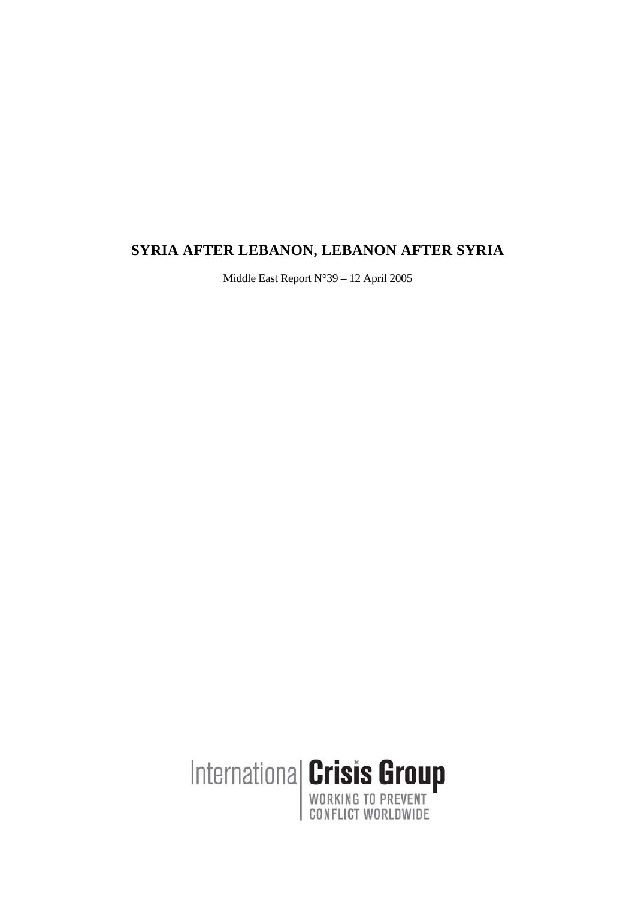# **SYRIA AFTER LEBANON, LEBANON AFTER SYRIA**

Middle East Report N°39 – 12 April 2005

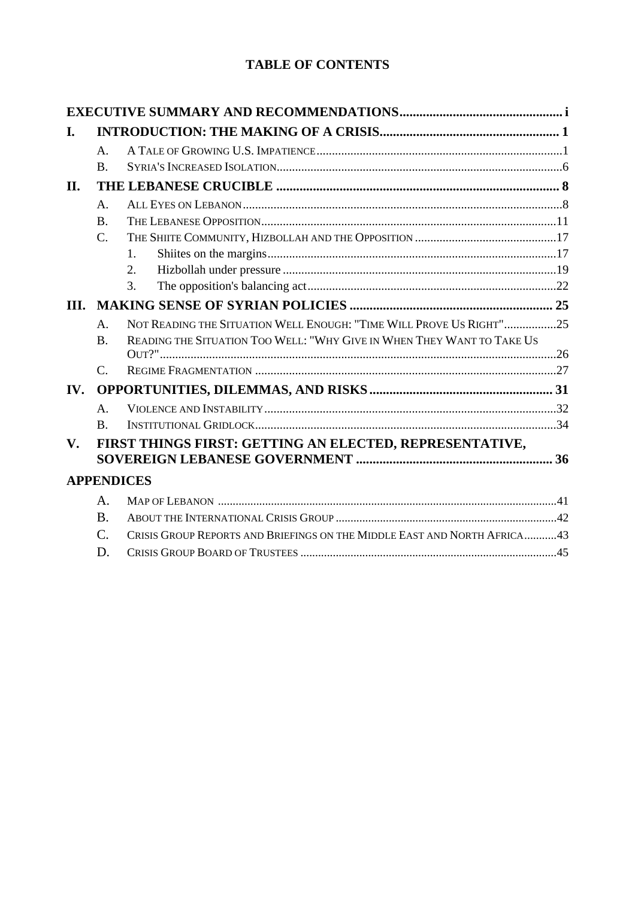# **TABLE OF CONTENTS**

| I.          |                 |                                                                          |  |  |  |
|-------------|-----------------|--------------------------------------------------------------------------|--|--|--|
|             | $\mathsf{A}$ .  |                                                                          |  |  |  |
|             | $\mathbf{B}$ .  |                                                                          |  |  |  |
| II.         |                 |                                                                          |  |  |  |
|             | A.              |                                                                          |  |  |  |
|             | <b>B.</b>       |                                                                          |  |  |  |
|             | $C_{\cdot}$     |                                                                          |  |  |  |
|             |                 | $\mathbf{1}$ .                                                           |  |  |  |
|             |                 | 2.                                                                       |  |  |  |
|             |                 | 3.                                                                       |  |  |  |
| III.        |                 |                                                                          |  |  |  |
|             | A.              | NOT READING THE SITUATION WELL ENOUGH: "TIME WILL PROVE US RIGHT"25      |  |  |  |
|             | $\mathbf{B}$ .  | READING THE SITUATION TOO WELL: "WHY GIVE IN WHEN THEY WANT TO TAKE US   |  |  |  |
|             | $\mathcal{C}$ . |                                                                          |  |  |  |
| IV.         |                 |                                                                          |  |  |  |
|             | A <sub>1</sub>  |                                                                          |  |  |  |
|             | $\bf{B}$        |                                                                          |  |  |  |
| $V_{\cdot}$ |                 | FIRST THINGS FIRST: GETTING AN ELECTED, REPRESENTATIVE,                  |  |  |  |
|             |                 | <b>APPENDICES</b>                                                        |  |  |  |
|             | A.              |                                                                          |  |  |  |
|             | $\mathbf{B}$ .  |                                                                          |  |  |  |
|             | $\mathcal{C}$ . | CRISIS GROUP REPORTS AND BRIEFINGS ON THE MIDDLE EAST AND NORTH AFRICA43 |  |  |  |
|             | D.              |                                                                          |  |  |  |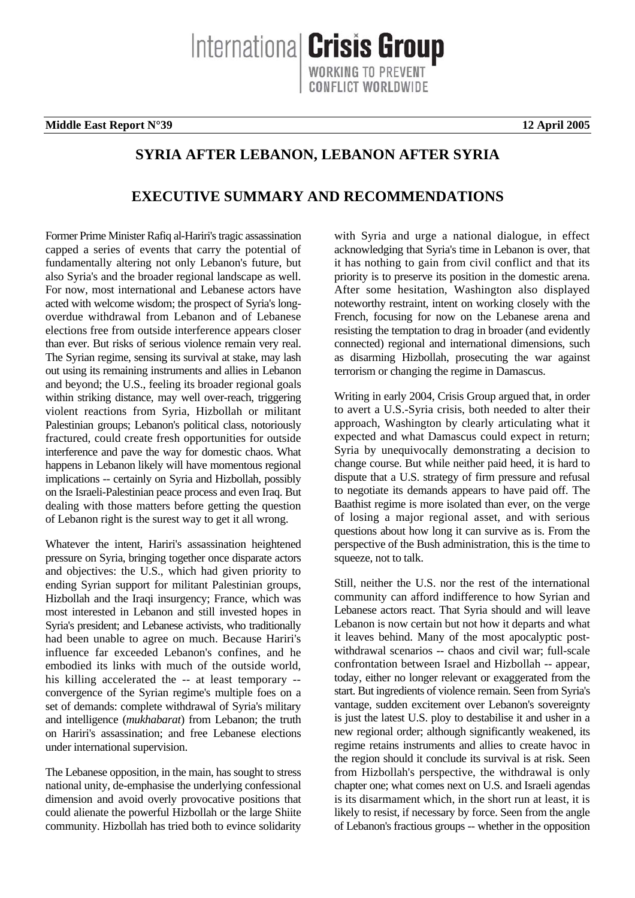Internationa **Crisis Group** 

**Middle East Report N°39 12 April 2005** 

# **SYRIA AFTER LEBANON, LEBANON AFTER SYRIA**

# **EXECUTIVE SUMMARY AND RECOMMENDATIONS**

Former Prime Minister Rafiq al-Hariri's tragic assassination capped a series of events that carry the potential of fundamentally altering not only Lebanon's future, but also Syria's and the broader regional landscape as well. For now, most international and Lebanese actors have acted with welcome wisdom; the prospect of Syria's longoverdue withdrawal from Lebanon and of Lebanese elections free from outside interference appears closer than ever. But risks of serious violence remain very real. The Syrian regime, sensing its survival at stake, may lash out using its remaining instruments and allies in Lebanon and beyond; the U.S., feeling its broader regional goals within striking distance, may well over-reach, triggering violent reactions from Syria, Hizbollah or militant Palestinian groups; Lebanon's political class, notoriously fractured, could create fresh opportunities for outside interference and pave the way for domestic chaos. What happens in Lebanon likely will have momentous regional implications -- certainly on Syria and Hizbollah, possibly on the Israeli-Palestinian peace process and even Iraq. But dealing with those matters before getting the question of Lebanon right is the surest way to get it all wrong.

Whatever the intent, Hariri's assassination heightened pressure on Syria, bringing together once disparate actors and objectives: the U.S., which had given priority to ending Syrian support for militant Palestinian groups, Hizbollah and the Iraqi insurgency; France, which was most interested in Lebanon and still invested hopes in Syria's president; and Lebanese activists, who traditionally had been unable to agree on much. Because Hariri's influence far exceeded Lebanon's confines, and he embodied its links with much of the outside world, his killing accelerated the -- at least temporary - convergence of the Syrian regime's multiple foes on a set of demands: complete withdrawal of Syria's military and intelligence (*mukhabarat*) from Lebanon; the truth on Hariri's assassination; and free Lebanese elections under international supervision.

The Lebanese opposition, in the main, has sought to stress national unity, de-emphasise the underlying confessional dimension and avoid overly provocative positions that could alienate the powerful Hizbollah or the large Shiite community. Hizbollah has tried both to evince solidarity with Syria and urge a national dialogue, in effect acknowledging that Syria's time in Lebanon is over, that it has nothing to gain from civil conflict and that its priority is to preserve its position in the domestic arena. After some hesitation, Washington also displayed noteworthy restraint, intent on working closely with the French, focusing for now on the Lebanese arena and resisting the temptation to drag in broader (and evidently connected) regional and international dimensions, such as disarming Hizbollah, prosecuting the war against terrorism or changing the regime in Damascus.

Writing in early 2004, Crisis Group argued that, in order to avert a U.S.-Syria crisis, both needed to alter their approach, Washington by clearly articulating what it expected and what Damascus could expect in return; Syria by unequivocally demonstrating a decision to change course. But while neither paid heed, it is hard to dispute that a U.S. strategy of firm pressure and refusal to negotiate its demands appears to have paid off. The Baathist regime is more isolated than ever, on the verge of losing a major regional asset, and with serious questions about how long it can survive as is. From the perspective of the Bush administration, this is the time to squeeze, not to talk.

Still, neither the U.S. nor the rest of the international community can afford indifference to how Syrian and Lebanese actors react. That Syria should and will leave Lebanon is now certain but not how it departs and what it leaves behind. Many of the most apocalyptic postwithdrawal scenarios -- chaos and civil war; full-scale confrontation between Israel and Hizbollah -- appear, today, either no longer relevant or exaggerated from the start. But ingredients of violence remain. Seen from Syria's vantage, sudden excitement over Lebanon's sovereignty is just the latest U.S. ploy to destabilise it and usher in a new regional order; although significantly weakened, its regime retains instruments and allies to create havoc in the region should it conclude its survival is at risk. Seen from Hizbollah's perspective, the withdrawal is only chapter one; what comes next on U.S. and Israeli agendas is its disarmament which, in the short run at least, it is likely to resist, if necessary by force. Seen from the angle of Lebanon's fractious groups -- whether in the opposition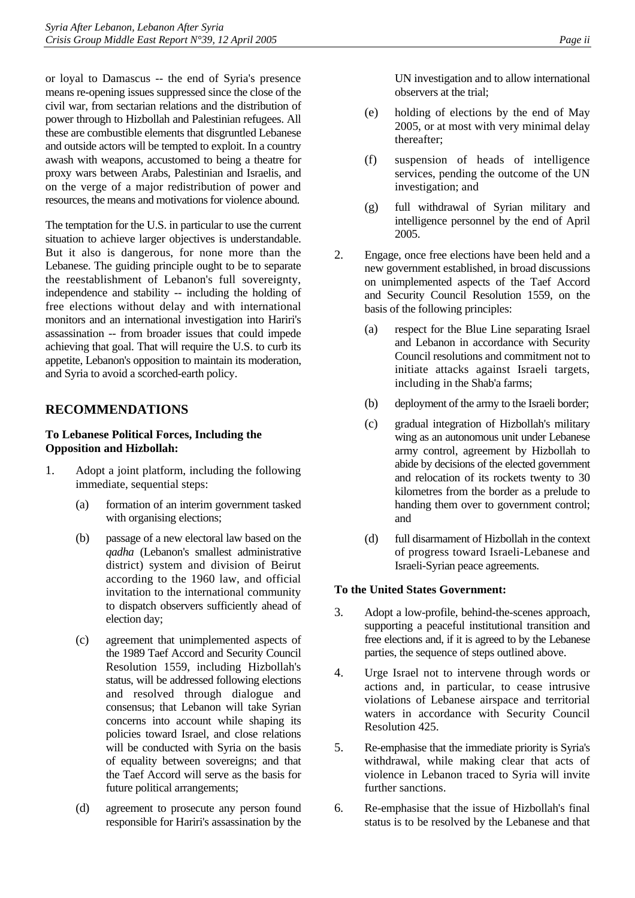or loyal to Damascus -- the end of Syria's presence means re-opening issues suppressed since the close of the civil war, from sectarian relations and the distribution of power through to Hizbollah and Palestinian refugees. All these are combustible elements that disgruntled Lebanese and outside actors will be tempted to exploit. In a country awash with weapons, accustomed to being a theatre for proxy wars between Arabs, Palestinian and Israelis, and on the verge of a major redistribution of power and resources, the means and motivations for violence abound.

The temptation for the U.S. in particular to use the current situation to achieve larger objectives is understandable. But it also is dangerous, for none more than the Lebanese. The guiding principle ought to be to separate the reestablishment of Lebanon's full sovereignty, independence and stability -- including the holding of free elections without delay and with international monitors and an international investigation into Hariri's assassination -- from broader issues that could impede achieving that goal. That will require the U.S. to curb its appetite, Lebanon's opposition to maintain its moderation, and Syria to avoid a scorched-earth policy.

# **RECOMMENDATIONS**

#### **To Lebanese Political Forces, Including the Opposition and Hizbollah:**

- 1. Adopt a joint platform, including the following immediate, sequential steps:
	- (a) formation of an interim government tasked with organising elections;
	- (b) passage of a new electoral law based on the *qadha* (Lebanon's smallest administrative district) system and division of Beirut according to the 1960 law, and official invitation to the international community to dispatch observers sufficiently ahead of election day;
	- (c) agreement that unimplemented aspects of the 1989 Taef Accord and Security Council Resolution 1559, including Hizbollah's status, will be addressed following elections and resolved through dialogue and consensus; that Lebanon will take Syrian concerns into account while shaping its policies toward Israel, and close relations will be conducted with Syria on the basis of equality between sovereigns; and that the Taef Accord will serve as the basis for future political arrangements;
	- (d) agreement to prosecute any person found responsible for Hariri's assassination by the

UN investigation and to allow international observers at the trial;

- (e) holding of elections by the end of May 2005, or at most with very minimal delay thereafter;
- (f) suspension of heads of intelligence services, pending the outcome of the UN investigation; and
- (g) full withdrawal of Syrian military and intelligence personnel by the end of April 2005.
- 2. Engage, once free elections have been held and a new government established, in broad discussions on unimplemented aspects of the Taef Accord and Security Council Resolution 1559, on the basis of the following principles:
	- (a) respect for the Blue Line separating Israel and Lebanon in accordance with Security Council resolutions and commitment not to initiate attacks against Israeli targets, including in the Shab'a farms;
	- (b) deployment of the army to the Israeli border;
	- (c) gradual integration of Hizbollah's military wing as an autonomous unit under Lebanese army control, agreement by Hizbollah to abide by decisions of the elected government and relocation of its rockets twenty to 30 kilometres from the border as a prelude to handing them over to government control; and
	- (d) full disarmament of Hizbollah in the context of progress toward Israeli-Lebanese and Israeli-Syrian peace agreements.

#### **To the United States Government:**

- 3. Adopt a low-profile, behind-the-scenes approach, supporting a peaceful institutional transition and free elections and, if it is agreed to by the Lebanese parties, the sequence of steps outlined above.
- 4. Urge Israel not to intervene through words or actions and, in particular, to cease intrusive violations of Lebanese airspace and territorial waters in accordance with Security Council Resolution 425.
- 5. Re-emphasise that the immediate priority is Syria's withdrawal, while making clear that acts of violence in Lebanon traced to Syria will invite further sanctions.
- 6. Re-emphasise that the issue of Hizbollah's final status is to be resolved by the Lebanese and that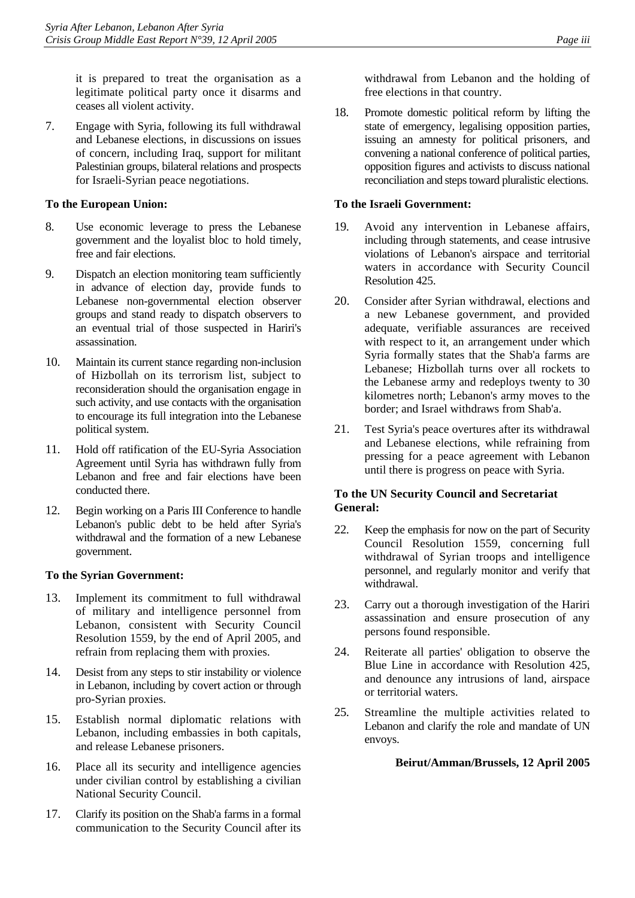it is prepared to treat the organisation as a legitimate political party once it disarms and ceases all violent activity.

7. Engage with Syria, following its full withdrawal and Lebanese elections, in discussions on issues of concern, including Iraq, support for militant Palestinian groups, bilateral relations and prospects for Israeli-Syrian peace negotiations.

#### **To the European Union:**

- 8. Use economic leverage to press the Lebanese government and the loyalist bloc to hold timely, free and fair elections.
- 9. Dispatch an election monitoring team sufficiently in advance of election day, provide funds to Lebanese non-governmental election observer groups and stand ready to dispatch observers to an eventual trial of those suspected in Hariri's assassination.
- 10. Maintain its current stance regarding non-inclusion of Hizbollah on its terrorism list, subject to reconsideration should the organisation engage in such activity, and use contacts with the organisation to encourage its full integration into the Lebanese political system.
- 11. Hold off ratification of the EU-Syria Association Agreement until Syria has withdrawn fully from Lebanon and free and fair elections have been conducted there.
- 12. Begin working on a Paris III Conference to handle Lebanon's public debt to be held after Syria's withdrawal and the formation of a new Lebanese government.

#### **To the Syrian Government:**

- 13. Implement its commitment to full withdrawal of military and intelligence personnel from Lebanon, consistent with Security Council Resolution 1559, by the end of April 2005, and refrain from replacing them with proxies.
- 14. Desist from any steps to stir instability or violence in Lebanon, including by covert action or through pro-Syrian proxies.
- 15. Establish normal diplomatic relations with Lebanon, including embassies in both capitals, and release Lebanese prisoners.
- 16. Place all its security and intelligence agencies under civilian control by establishing a civilian National Security Council.
- 17. Clarify its position on the Shab'a farms in a formal communication to the Security Council after its

withdrawal from Lebanon and the holding of free elections in that country.

18. Promote domestic political reform by lifting the state of emergency, legalising opposition parties, issuing an amnesty for political prisoners, and convening a national conference of political parties, opposition figures and activists to discuss national reconciliation and steps toward pluralistic elections.

#### **To the Israeli Government:**

- 19. Avoid any intervention in Lebanese affairs, including through statements, and cease intrusive violations of Lebanon's airspace and territorial waters in accordance with Security Council Resolution 425.
- 20. Consider after Syrian withdrawal, elections and a new Lebanese government, and provided adequate, verifiable assurances are received with respect to it, an arrangement under which Syria formally states that the Shab'a farms are Lebanese; Hizbollah turns over all rockets to the Lebanese army and redeploys twenty to 30 kilometres north; Lebanon's army moves to the border; and Israel withdraws from Shab'a.
- 21. Test Syria's peace overtures after its withdrawal and Lebanese elections, while refraining from pressing for a peace agreement with Lebanon until there is progress on peace with Syria.

#### **To the UN Security Council and Secretariat General:**

- 22. Keep the emphasis for now on the part of Security Council Resolution 1559, concerning full withdrawal of Syrian troops and intelligence personnel, and regularly monitor and verify that withdrawal.
- 23. Carry out a thorough investigation of the Hariri assassination and ensure prosecution of any persons found responsible.
- 24. Reiterate all parties' obligation to observe the Blue Line in accordance with Resolution 425, and denounce any intrusions of land, airspace or territorial waters.
- 25. Streamline the multiple activities related to Lebanon and clarify the role and mandate of UN envoys.

#### **Beirut/Amman/Brussels, 12 April 2005**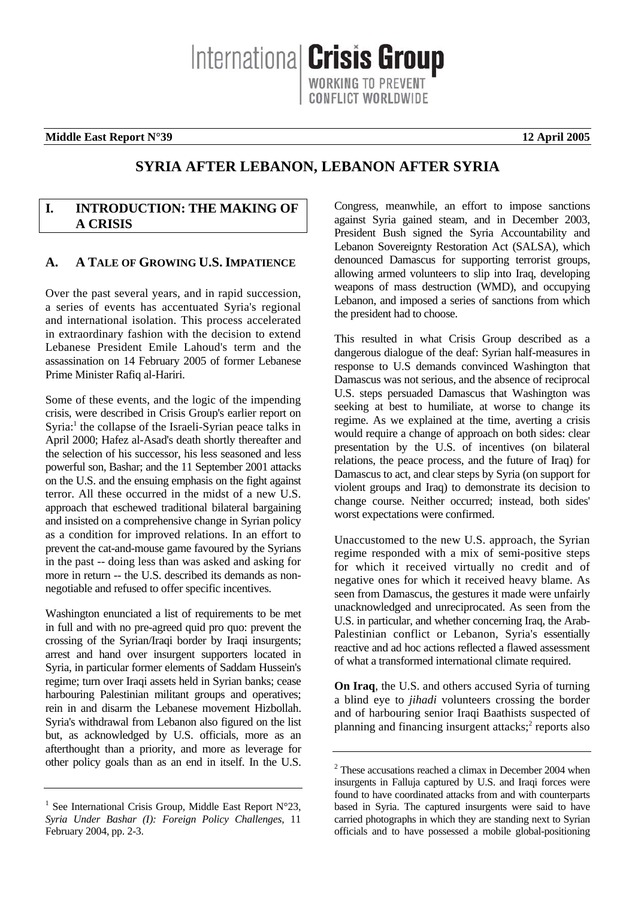International Crisis Group WORKING TO PREVENT CONFLICT WORLDWIDE

#### **Middle East Report N°39 12 April 2005**

# **SYRIA AFTER LEBANON, LEBANON AFTER SYRIA**

# <span id="page-5-0"></span>**I. INTRODUCTION: THE MAKING OF A CRISIS**

## <span id="page-5-1"></span>**A. A TALE OF GROWING U.S. IMPATIENCE**

Over the past several years, and in rapid succession, a series of events has accentuated Syria's regional and international isolation. This process accelerated in extraordinary fashion with the decision to extend Lebanese President Emile Lahoud's term and the assassination on 14 February 2005 of former Lebanese Prime Minister Rafiq al-Hariri.

Some of these events, and the logic of the impending crisis, were described in Crisis Group's earlier report on Syria:<sup>[1](#page-5-2)</sup> the collapse of the Israeli-Syrian peace talks in April 2000; Hafez al-Asad's death shortly thereafter and the selection of his successor, his less seasoned and less powerful son, Bashar; and the 11 September 2001 attacks on the U.S. and the ensuing emphasis on the fight against terror. All these occurred in the midst of a new U.S. approach that eschewed traditional bilateral bargaining and insisted on a comprehensive change in Syrian policy as a condition for improved relations. In an effort to prevent the cat-and-mouse game favoured by the Syrians in the past -- doing less than was asked and asking for more in return -- the U.S. described its demands as nonnegotiable and refused to offer specific incentives.

Washington enunciated a list of requirements to be met in full and with no pre-agreed quid pro quo: prevent the crossing of the Syrian/Iraqi border by Iraqi insurgents; arrest and hand over insurgent supporters located in Syria, in particular former elements of Saddam Hussein's regime; turn over Iraqi assets held in Syrian banks; cease harbouring Palestinian militant groups and operatives; rein in and disarm the Lebanese movement Hizbollah. Syria's withdrawal from Lebanon also figured on the list but, as acknowledged by U.S. officials, more as an afterthought than a priority, and more as leverage for other policy goals than as an end in itself. In the U.S. Congress, meanwhile, an effort to impose sanctions against Syria gained steam, and in December 2003, President Bush signed the Syria Accountability and Lebanon Sovereignty Restoration Act (SALSA), which denounced Damascus for supporting terrorist groups, allowing armed volunteers to slip into Iraq, developing weapons of mass destruction (WMD), and occupying Lebanon, and imposed a series of sanctions from which the president had to choose.

This resulted in what Crisis Group described as a dangerous dialogue of the deaf: Syrian half-measures in response to U.S demands convinced Washington that Damascus was not serious, and the absence of reciprocal U.S. steps persuaded Damascus that Washington was seeking at best to humiliate, at worse to change its regime. As we explained at the time, averting a crisis would require a change of approach on both sides: clear presentation by the U.S. of incentives (on bilateral relations, the peace process, and the future of Iraq) for Damascus to act, and clear steps by Syria (on support for violent groups and Iraq) to demonstrate its decision to change course. Neither occurred; instead, both sides' worst expectations were confirmed.

Unaccustomed to the new U.S. approach, the Syrian regime responded with a mix of semi-positive steps for which it received virtually no credit and of negative ones for which it received heavy blame. As seen from Damascus, the gestures it made were unfairly unacknowledged and unreciprocated. As seen from the U.S. in particular, and whether concerning Iraq, the Arab-Palestinian conflict or Lebanon, Syria's essentially reactive and ad hoc actions reflected a flawed assessment of what a transformed international climate required.

**On Iraq**, the U.S. and others accused Syria of turning a blind eye to *jihadi* volunteers crossing the border and of harbouring senior Iraqi Baathists suspected of planning and financing insurgent attacks;<sup>2</sup> [r](#page-5-3)eports also

<span id="page-5-2"></span><sup>&</sup>lt;sup>1</sup> See International Crisis Group, Middle East Report  $N^{\circ}23$ , *Syria Under Bashar (I): Foreign Policy Challenges*, 11 February 2004, pp. 2-3.

<span id="page-5-3"></span><sup>&</sup>lt;sup>2</sup> These accusations reached a climax in December 2004 when insurgents in Falluja captured by U.S. and Iraqi forces were found to have coordinated attacks from and with counterparts based in Syria. The captured insurgents were said to have carried photographs in which they are standing next to Syrian officials and to have possessed a mobile global-positioning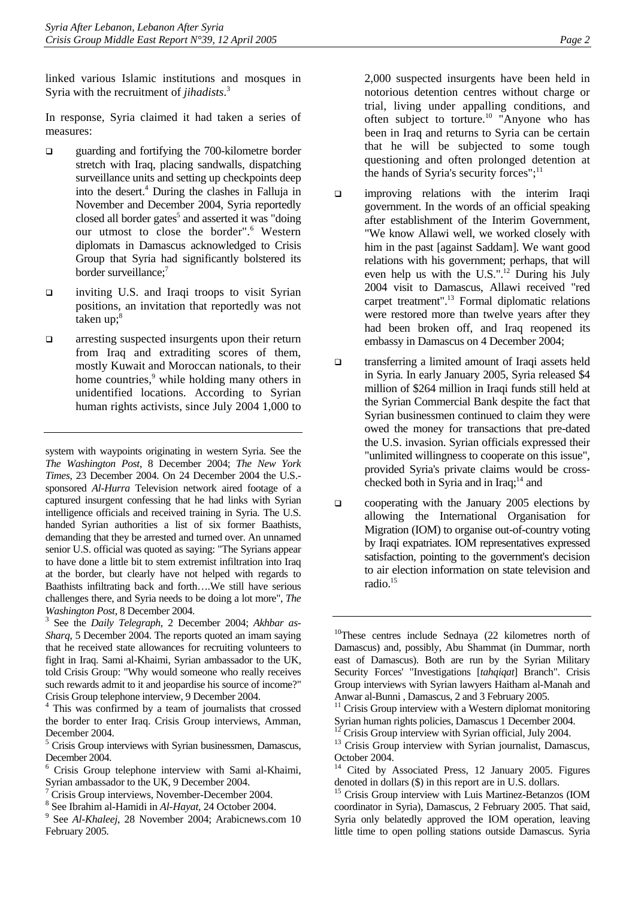linked various Islamic institutions and mosques in Syria with the recruitment of *jihadists*. 3 

In response, Syria claimed it had taken a series of measures:

- quarding and fortifying the 700-kilometre border stretch with Iraq, placing sandwalls, dispatching surveillance units and setting up checkpoints deep intothe desert.<sup>4</sup> During the clashes in Falluja in November and December 2004, Syria reportedly closed [a](#page-6-2)ll border gates<sup>5</sup> and asserted it was "doing ourutmost to close the border".<sup>6</sup> Western diplomats in Damascus acknowledged to Crisis Group that Syria had significantly bolstered its border surveillance;<sup>[7](#page-6-4)</sup>
- inviting U.S. and Iraqi troops to visit Syrian positions, an invitation that reportedly was not taken up; $^8$  $^8$
- $\Box$  arresting suspected insurgents upon their return from Iraq and extraditing scores of them, mostly Kuwait and Moroccan nationals, to their home countries,<sup>[9](#page-6-6)</sup> while holding many others in unidentified locations. According to Syrian human rights activists, since July 2004 1,000 to

system with waypoints originating in western Syria. See the *The Washington Post*, 8 December 2004; *The New York Times*, 23 December 2004. On 24 December 2004 the U.S. sponsored *Al-Hurra* Television network aired footage of a captured insurgent confessing that he had links with Syrian intelligence officials and received training in Syria. The U.S. handed Syrian authorities a list of six former Baathists, demanding that they be arrested and turned over. An unnamed senior U.S. official was quoted as saying: "The Syrians appear to have done a little bit to stem extremist infiltration into Iraq at the border, but clearly have not helped with regards to Baathists infiltrating back and forth….We still have serious challenges there, and Syria needs to be doing a lot more", *The Washington Post*, 8 December 2004.

<span id="page-6-0"></span><sup>3</sup> See the *Daily Telegraph*, 2 December 2004; *Akhbar as-Sharq*, 5 December 2004. The reports quoted an imam saying that he received state allowances for recruiting volunteers to fight in Iraq. Sami al-Khaimi, Syrian ambassador to the UK, told Crisis Group: "Why would someone who really receives such rewards admit to it and jeopardise his source of income?" Crisis Group telephone interview, 9 December 2004.

<span id="page-6-2"></span><sup>5</sup> Crisis Group interviews with Syrian businessmen, Damascus, December 2004.

2,000 suspected insurgents have been held in notorious detention centres without charge or trial, living under appalling conditions, and often subject to torture.<sup>10</sup> "Anyone who has been in Iraq and returns to Syria can be certain that he will be subjected to some tough questioning and often prolonged detention at the hands of Syria's security forces"; $^{11}$ 

- $\Box$  improving relations with the interim Iraqi government. In the words of an official speaking after establishment of the Interim Government, "We know Allawi well, we worked closely with him in the past [against Saddam]. We want good relations with his government; perhaps, that will even help us with the U.S.".<sup>12</sup> During his July 2004 visit to Damascus, Allawi received "red carpet treatment".<sup>13</sup> Formal diplomatic relations were restored more than twelve years after they had been broken off, and Iraq reopened its embassy in Damascus on 4 December 2004;
- transferring a limited amount of Iraqi assets held in Syria. In early January 2005, Syria released \$4 million of \$264 million in Iraqi funds still held at the Syrian Commercial Bank despite the fact that Syrian businessmen continued to claim they were owed the money for transactions that pre-dated the U.S. invasion. Syrian officials expressed their "unlimited willingness to cooperate on this issue", provided Syria's private claims would be crosschecked both in Syria and in Iraq; $^{14}$  and
- $\Box$  cooperating with the January 2005 elections by allowing the International Organisation for Migration (IOM) to organise out-of-country voting by Iraqi expatriates. IOM representatives expressed satisfaction, pointing to the government's decision to air election information on state television and radio[.15](#page-6-12)

<span id="page-6-1"></span><sup>&</sup>lt;sup>4</sup> This was confirmed by a team of journalists that crossed the border to enter Iraq. Crisis Group interviews, Amman, December 2004.

<span id="page-6-3"></span><sup>6</sup> Crisis Group telephone interview with Sami al-Khaimi, Syrian ambassador to the UK, 9 December 2004.

<span id="page-6-4"></span><sup>&</sup>lt;sup>7</sup> Crisis Group interviews, November-December 2004.

<span id="page-6-5"></span><sup>&</sup>lt;sup>8</sup> See Ibrahim al-Hamidi in *Al-Hayat*, 24 October 2004.

<span id="page-6-6"></span><sup>&</sup>lt;sup>9</sup> See *Al-Khaleej*, 28 November 2004; Arabicnews.com 10 February 2005*.* 

<span id="page-6-7"></span><sup>10</sup>These centres include Sednaya (22 kilometres north of Damascus) and, possibly, Abu Shammat (in Dummar, north east of Damascus). Both are run by the Syrian Military Security Forces' "Investigations [*tahqiqat*] Branch". Crisis Group interviews with Syrian lawyers Haitham al-Manah and Anwar al-Bunni , Damascus, 2 and 3 February 2005.

<span id="page-6-8"></span> $11$  Crisis Group interview with a Western diplomat monitoring Syrian human rights policies, Damascus 1 December 2004.

<span id="page-6-9"></span> $12$ <sup>12</sup> Crisis Group interview with Syrian official, July 2004.

<span id="page-6-10"></span><sup>&</sup>lt;sup>13</sup> Crisis Group interview with Syrian journalist, Damascus, October 2004.

<span id="page-6-11"></span>Cited by Associated Press, 12 January 2005. Figures denoted in dollars (\$) in this report are in U.S. dollars.

<span id="page-6-12"></span><sup>&</sup>lt;sup>15</sup> Crisis Group interview with Luis Martinez-Betanzos (IOM coordinator in Syria), Damascus, 2 February 2005. That said, Syria only belatedly approved the IOM operation, leaving little time to open polling stations outside Damascus. Syria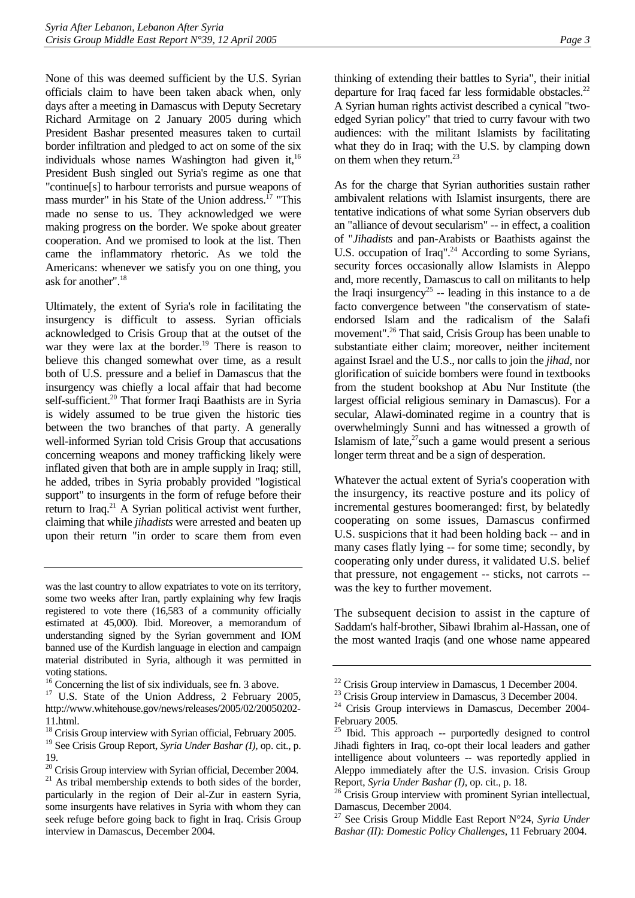None of this was deemed sufficient by the U.S. Syrian officials claim to have been taken aback when, only days after a meeting in Damascus with Deputy Secretary Richard Armitage on 2 January 2005 during which President Bashar presented measures taken to curtail border infiltration and pledged to act on some of the six individuals whose names Washington had given it, $16$ President Bush singled out Syria's regime as one that "continue[s] to harbour terrorists and pursue weapons of mass murder" in his State of the Union address.<sup>17</sup> "This made no sense to us. They acknowledged we were making progress on the border. We spoke about greater cooperation. And we promised to look at the list. Then came the inflammatory rhetoric. As we told the Americans: whenever we satisfy you on one thing, you ask for another".[18](#page-7-2)

Ultimately, the extent of Syria's role in facilitating the insurgency is difficult to assess. Syrian officials acknowledged to Crisis Group that at the outset of the war they were lax at the border.<sup>19</sup> There is reason to believe this changed somewhat over time, as a result both of U.S. pressure and a belief in Damascus that the insurgency was chiefly a local affair that had become self-sufficient.<sup>20</sup> That former Iraqi Baathists are in Syria is widely assumed to be true given the historic ties between the two branches of that party. A generally well-informed Syrian told Crisis Group that accusations concerning weapons and money trafficking likely were inflated given that both are in ample supply in Iraq; still, he added, tribes in Syria probably provided "logistical support" to insurgents in the form of refuge before their return to Iraq.<sup>21</sup> A Syrian political activist went further, claiming that while *jihadists* were arrested and beaten up upon their return "in order to scare them from even thinking of extending their battles to Syria", their initial departure for Iraq faced far less formidable obstacles.<sup>22</sup> A Syrian human rights activist described a cynical "twoedged Syrian policy" that tried to curry favour with two audiences: with the militant Islamists by facilitating what they do in Iraq; with the U.S. by clamping down on them when they return.<sup>23</sup>

As for the charge that Syrian authorities sustain rather ambivalent relations with Islamist insurgents, there are tentative indications of what some Syrian observers dub an "alliance of devout secularism" -- in effect, a coalition of "*Jihadists* and pan-Arabists or Baathists against the U.S. occupation of Iraq".<sup>24</sup> According to some Syrians, security forces occasionally allow Islamists in Aleppo and, more recently, Damascus to call on militants to help the Iraqi insurgency<sup>25</sup> -- leading in this instance to a de facto convergence between "the conservatism of stateendorsed Islam and the radicalism of the Salafi movement".<sup>26</sup> That said, Crisis Group has been unable to substantiate either claim; moreover, neither incitement against Israel and the U.S., nor calls to join the *jihad,* nor glorification of suicide bombers were found in textbooks from the student bookshop at Abu Nur Institute (the largest official religious seminary in Damascus). For a secular, Alawi-dominated regime in a country that is overwhelmingly Sunni and has witnessed a growth of Islamism of late, $27$  such a game would present a serious longer term threat and be a sign of desperation.

Whatever the actual extent of Syria's cooperation with the insurgency, its reactive posture and its policy of incremental gestures boomeranged: first, by belatedly cooperating on some issues, Damascus confirmed U.S. suspicions that it had been holding back -- and in many cases flatly lying -- for some time; secondly, by cooperating only under duress, it validated U.S. belief that pressure, not engagement -- sticks, not carrots - was the key to further movement.

The subsequent decision to assist in the capture of Saddam's half-brother, Sibawi Ibrahim al-Hassan, one of the most wanted Iraqis (and one whose name appeared

was the last country to allow expatriates to vote on its territory, some two weeks after Iran, partly explaining why few Iraqis registered to vote there (16,583 of a community officially estimated at 45,000). Ibid. Moreover, a memorandum of understanding signed by the Syrian government and IOM banned use of the Kurdish language in election and campaign material distributed in Syria, although it was permitted in voting stations.

<span id="page-7-0"></span><sup>&</sup>lt;sup>16</sup> Concerning the list of six individuals, see fn. 3 above.

<span id="page-7-1"></span><sup>&</sup>lt;sup>17</sup> U.S. State of the Union Address, 2 February 2005, http://www.whitehouse.gov/news/releases/2005/02/20050202- 11.html.

<span id="page-7-2"></span><sup>&</sup>lt;sup>18</sup> Crisis Group interview with Syrian official, February 2005.

<span id="page-7-3"></span><sup>19</sup> See Crisis Group Report, *Syria Under Bashar (I),* op. cit., p. 19.

<span id="page-7-5"></span><span id="page-7-4"></span> $20$  Crisis Group interview with Syrian official, December 2004. <sup>21</sup> As tribal membership extends to both sides of the border, particularly in the region of Deir al-Zur in eastern Syria, some insurgents have relatives in Syria with whom they can seek refuge before going back to fight in Iraq. Crisis Group interview in Damascus, December 2004.

<span id="page-7-6"></span> $22$  Crisis Group interview in Damascus, 1 December 2004.

<span id="page-7-7"></span><sup>&</sup>lt;sup>23</sup> Crisis Group interview in Damascus, 3 December 2004.

<span id="page-7-8"></span><sup>24</sup> Crisis Group interviews in Damascus, December 2004- February 2005.

<span id="page-7-9"></span><sup>25</sup> Ibid. This approach -- purportedly designed to control Jihadi fighters in Iraq, co-opt their local leaders and gather intelligence about volunteers -- was reportedly applied in Aleppo immediately after the U.S. invasion. Crisis Group Report, *Syria Under Bashar (I)*, op. cit., p. 18.<br><sup>26</sup> Crisis Group interview with prominent Syrian intellectual,

<span id="page-7-10"></span>Damascus, December 2004.

<span id="page-7-11"></span><sup>27</sup> See Crisis Group Middle East Report N°24, *Syria Under Bashar (II): Domestic Policy Challenges*, 11 February 2004.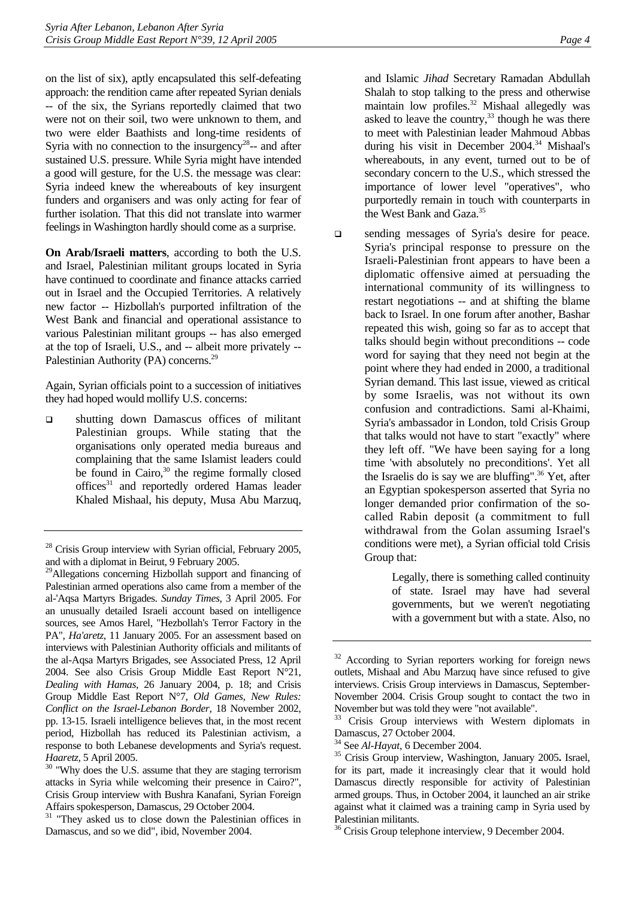on the list of six), aptly encapsulated this self-defeating approach: the rendition came after repeated Syrian denials -- of the six, the Syrians reportedly claimed that two were not on their soil, two were unknown to them, and two were elder Baathists and long-time residents of Syria with no connection to the insurgency<sup>28</sup>-- and after sustained U.S. pressure. While Syria might have intended a good will gesture, for the U.S. the message was clear: Syria indeed knew the whereabouts of key insurgent funders and organisers and was only acting for fear of further isolation. That this did not translate into warmer feelings in Washington hardly should come as a surprise.

**On Arab/Israeli matters**, according to both the U.S. and Israel, Palestinian militant groups located in Syria have continued to coordinate and finance attacks carried out in Israel and the Occupied Territories. A relatively new factor -- Hizbollah's purported infiltration of the West Bank and financial and operational assistance to various Palestinian militant groups -- has also emerged at the top of Israeli, U.S., and -- albeit more privately -- Palestinian Authority (PA) concerns.<sup>29</sup>

Again, Syrian officials point to a succession of initiatives they had hoped would mollify U.S. concerns:

 shutting down Damascus offices of militant Palestinian groups. While stating that the organisations only operated media bureaus and complaining that the same Islamist leaders could be found in Cairo, $30$  the regime formally closed offices<sup>31</sup> and reportedly ordered Hamas leader Khaled Mishaal, his deputy, Musa Abu Marzuq,

and Islamic *Jihad* Secretary Ramadan Abdullah Shalah to stop talking to the press and otherwise maintain low profiles.<sup>32</sup> Mishaal allegedly was asked to leave the country,  $33$  though he was there to meet with Palestinian leader Mahmoud Abbas during his visit in December 2004.<sup>[34](#page-8-6)</sup> Mishaal's whereabouts, in any event, turned out to be of secondary concern to the U.S., which stressed the importance of lower level "operatives", who purportedly remain in touch with counterparts in the West Bank and Gaza.<sup>[35](#page-8-7)</sup>

 $\Box$  sending messages of Syria's desire for peace. Syria's principal response to pressure on the Israeli-Palestinian front appears to have been a diplomatic offensive aimed at persuading the international community of its willingness to restart negotiations -- and at shifting the blame back to Israel. In one forum after another, Bashar repeated this wish, going so far as to accept that talks should begin without preconditions -- code word for saying that they need not begin at the point where they had ended in 2000, a traditional Syrian demand. This last issue, viewed as critical by some Israelis, was not without its own confusion and contradictions. Sami al-Khaimi, Syria's ambassador in London, told Crisis Group that talks would not have to start "exactly" where they left off. "We have been saying for a long time 'with absolutely no preconditions'. Yet all the Israelis do is say we are bluffing".<sup>36</sup> Yet, after an Egyptian spokesperson asserted that Syria no longer demanded prior confirmation of the socalled Rabin deposit (a commitment to full withdrawal from the Golan assuming Israel's conditions were met), a Syrian official told Crisis Group that:

> Legally, there is something called continuity of state. Israel may have had several governments, but we weren't negotiating with a government but with a state. Also, no

<span id="page-8-0"></span><sup>&</sup>lt;sup>28</sup> Crisis Group interview with Syrian official, February 2005, and with a diplomat in Beirut, 9 February 2005.

<span id="page-8-1"></span><sup>&</sup>lt;sup>29</sup>Allegations concerning Hizbollah support and financing of Palestinian armed operations also came from a member of the al-'Aqsa Martyrs Brigades. *Sunday Times*, 3 April 2005. For an unusually detailed Israeli account based on intelligence sources, see Amos Harel, "Hezbollah's Terror Factory in the PA", *Ha'aretz*, 11 January 2005. For an assessment based on interviews with Palestinian Authority officials and militants of the al-Aqsa Martyrs Brigades, see Associated Press, 12 April 2004. See also Crisis Group Middle East Report N°21, *Dealing with Hamas*, 26 January 2004, p. 18; and Crisis Group Middle East Report N°7, *Old Games, New Rules: Conflict on the Israel-Lebanon Border*, 18 November 2002, pp. 13-15. Israeli intelligence believes that, in the most recent period, Hizbollah has reduced its Palestinian activism, a response to both Lebanese developments and Syria's request.

<span id="page-8-2"></span>*Haaretz,* 5 April 2005.<br><sup>30</sup> "Why does the U.S. assume that they are staging terrorism attacks in Syria while welcoming their presence in Cairo?", Crisis Group interview with Bushra Kanafani, Syrian Foreign Affairs spokesperson, Damascus, 29 October 2004.

<span id="page-8-3"></span><sup>&</sup>lt;sup>31</sup> "They asked us to close down the Palestinian offices in Damascus, and so we did", ibid, November 2004.

<span id="page-8-4"></span> $32$  According to Syrian reporters working for foreign news outlets, Mishaal and Abu Marzuq have since refused to give interviews. Crisis Group interviews in Damascus, September-November 2004. Crisis Group sought to contact the two in November but was told they were "not available".

<span id="page-8-5"></span>Crisis Group interviews with Western diplomats in Damascus, 27 October 2004.

<span id="page-8-7"></span><span id="page-8-6"></span>

<sup>34</sup> See *Al-Hayat*, 6 December 2004. 35 Crisis Group interview, Washington, January 2005**.** Israel, for its part, made it increasingly clear that it would hold Damascus directly responsible for activity of Palestinian armed groups. Thus, in October 2004, it launched an air strike against what it claimed was a training camp in Syria used by Palestinian militants.

<span id="page-8-8"></span><sup>&</sup>lt;sup>36</sup> Crisis Group telephone interview, 9 December 2004.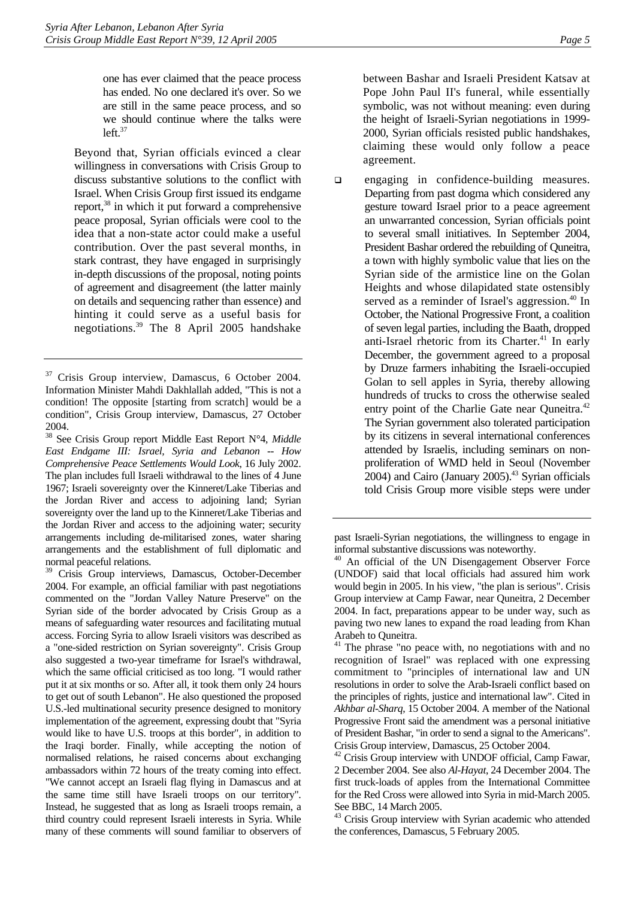one has ever claimed that the peace process has ended. No one declared it's over. So we are still in the same peace process, and so we should continue where the talks were  $left<sup>37</sup>$ 

Beyond that, Syrian officials evinced a clear willingness in conversations with Crisis Group to discuss substantive solutions to the conflict with Israel. When Crisis Group first issued its endgame report,<sup>38</sup> in which it put forward a comprehensive peace proposal, Syrian officials were cool to the idea that a non-state actor could make a useful contribution. Over the past several months, in stark contrast, they have engaged in surprisingly in-depth discussions of the proposal, noting points of agreement and disagreement (the latter mainly on details and sequencing rather than essence) and hinting it could serve as a useful basis for negotiations.[39](#page-9-2) The 8 April 2005 handshake

between Bashar and Israeli President Katsav at Pope John Paul II's funeral, while essentially symbolic, was not without meaning: even during the height of Israeli-Syrian negotiations in 1999- 2000, Syrian officials resisted public handshakes, claiming these would only follow a peace agreement.

 $\Box$  engaging in confidence-building measures. Departing from past dogma which considered any gesture toward Israel prior to a peace agreement an unwarranted concession, Syrian officials point to several small initiatives. In September 2004, President Bashar ordered the rebuilding of Quneitra, a town with highly symbolic value that lies on the Syrian side of the armistice line on the Golan Heights and whose dilapidated state ostensibly served as a reminder of Israel's aggression.<sup>40</sup> In October, the National Progressive Front, a coalition of seven legal parties, including the Baath, dropped anti-Israel rhetoric from its Charter.<sup>41</sup> In early December, the government agreed to a proposal by Druze farmers inhabiting the Israeli-occupied Golan to sell apples in Syria, thereby allowing hundreds of trucks to cross the otherwise sealed entry point of the Charlie Gate near Quneitra.<sup>42</sup> The Syrian government also tolerated participation by its citizens in several international conferences attended by Israelis, including seminars on nonproliferation of WMD held in Seoul (November 2004) and Cairo (January 2005).<sup>43</sup> Syrian officials told Crisis Group more visible steps were under

<span id="page-9-6"></span><sup>43</sup> Crisis Group interview with Syrian academic who attended the conferences, Damascus, 5 February 2005.

<span id="page-9-0"></span><sup>&</sup>lt;sup>37</sup> Crisis Group interview, Damascus, 6 October 2004. Information Minister Mahdi Dakhlallah added, "This is not a condition! The opposite [starting from scratch] would be a condition", Crisis Group interview, Damascus, 27 October 2004.

<span id="page-9-1"></span><sup>38</sup> See Crisis Group report Middle East Report N°4, *Middle East Endgame III: Israel, Syria and Lebanon -- How Comprehensive Peace Settlements Would Look*, 16 July 2002. The plan includes full Israeli withdrawal to the lines of 4 June 1967; Israeli sovereignty over the Kinneret/Lake Tiberias and the Jordan River and access to adjoining land; Syrian sovereignty over the land up to the Kinneret/Lake Tiberias and the Jordan River and access to the adjoining water; security arrangements including de-militarised zones, water sharing arrangements and the establishment of full diplomatic and normal peaceful relations.

<span id="page-9-2"></span><sup>39</sup> Crisis Group interviews, Damascus, October-December 2004. For example, an official familiar with past negotiations commented on the "Jordan Valley Nature Preserve" on the Syrian side of the border advocated by Crisis Group as a means of safeguarding water resources and facilitating mutual access. Forcing Syria to allow Israeli visitors was described as a "one-sided restriction on Syrian sovereignty". Crisis Group also suggested a two-year timeframe for Israel's withdrawal, which the same official criticised as too long. "I would rather put it at six months or so. After all, it took them only 24 hours to get out of south Lebanon". He also questioned the proposed U.S.-led multinational security presence designed to monitory implementation of the agreement, expressing doubt that "Syria would like to have U.S. troops at this border", in addition to the Iraqi border. Finally, while accepting the notion of normalised relations, he raised concerns about exchanging ambassadors within 72 hours of the treaty coming into effect. "We cannot accept an Israeli flag flying in Damascus and at the same time still have Israeli troops on our territory". Instead, he suggested that as long as Israeli troops remain, a third country could represent Israeli interests in Syria. While many of these comments will sound familiar to observers of

past Israeli-Syrian negotiations, the willingness to engage in informal substantive discussions was noteworthy.

<span id="page-9-3"></span><sup>&</sup>lt;sup>40</sup> An official of the UN Disengagement Observer Force (UNDOF) said that local officials had assured him work would begin in 2005. In his view, "the plan is serious". Crisis Group interview at Camp Fawar, near Quneitra, 2 December 2004. In fact, preparations appear to be under way, such as paving two new lanes to expand the road leading from Khan Arabeh to Quneitra.

<span id="page-9-4"></span><sup>&</sup>lt;sup>41</sup> The phrase "no peace with, no negotiations with and no recognition of Israel" was replaced with one expressing commitment to "principles of international law and UN resolutions in order to solve the Arab-Israeli conflict based on the principles of rights, justice and international law". Cited in *Akhbar al-Sharq*, 15 October 2004. A member of the National Progressive Front said the amendment was a personal initiative of President Bashar, "in order to send a signal to the Americans". Crisis Group interview, Damascus, 25 October 2004.

<span id="page-9-5"></span><sup>&</sup>lt;sup>42</sup> Crisis Group interview with UNDOF official, Camp Fawar, 2 December 2004. See also *Al-Hayat*, 24 December 2004. The first truck-loads of apples from the International Committee for the Red Cross were allowed into Syria in mid-March 2005. See BBC, 14 March 2005.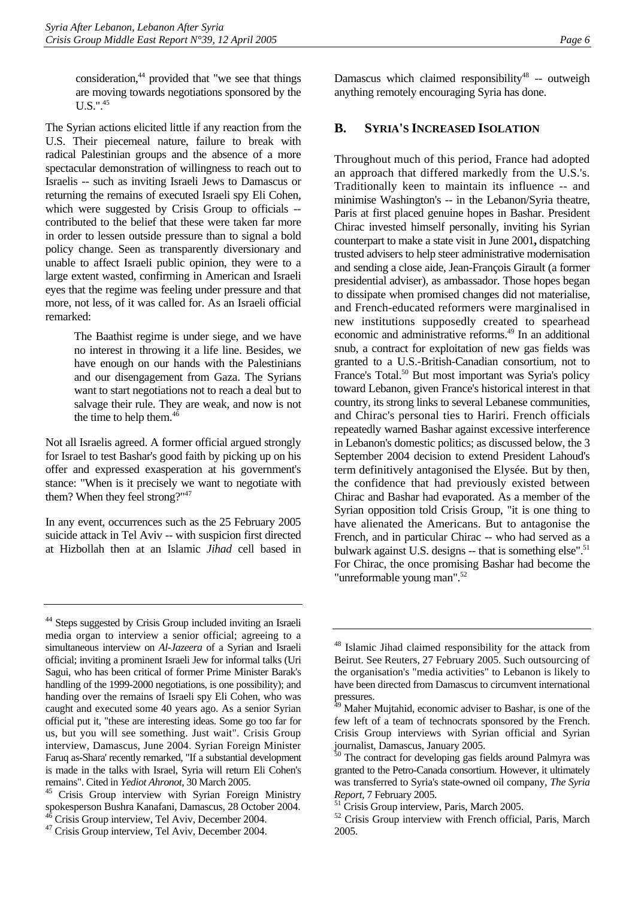consideration, $44$  provided that "we see that things are moving towards negotiations sponsored by the  $U.S.$ ".<sup>45</sup>

The Syrian actions elicited little if any reaction from the U.S. Their piecemeal nature, failure to break with radical Palestinian groups and the absence of a more spectacular demonstration of willingness to reach out to Israelis -- such as inviting Israeli Jews to Damascus or returning the remains of executed Israeli spy Eli Cohen, which were suggested by Crisis Group to officials -contributed to the belief that these were taken far more in order to lessen outside pressure than to signal a bold policy change. Seen as transparently diversionary and unable to affect Israeli public opinion, they were to a large extent wasted, confirming in American and Israeli eyes that the regime was feeling under pressure and that more, not less, of it was called for. As an Israeli official remarked:

> The Baathist regime is under siege, and we have no interest in throwing it a life line. Besides, we have enough on our hands with the Palestinians and our disengagement from Gaza. The Syrians want to start negotiations not to reach a deal but to salvage their rule. They are weak, and now is not the time to help them.<sup>46</sup>

Not all Israelis agreed. A former official argued strongly for Israel to test Bashar's good faith by picking up on his offer and expressed exasperation at his government's stance: "When is it precisely we want to negotiate with them? When they feel strong?["47](#page-10-4) 

In any event, occurrences such as the 25 February 2005 suicide attack in Tel Aviv -- with suspicion first directed at Hizbollah then at an Islamic *Jihad* cell based in Damascus which claimed responsibility<sup>48</sup> -- outweigh anything remotely encouraging Syria has done.

#### <span id="page-10-0"></span>**B. SYRIA'S INCREASED ISOLATION**

Throughout much of this period, France had adopted an approach that differed markedly from the U.S.'s. Traditionally keen to maintain its influence -- and minimise Washington's -- in the Lebanon/Syria theatre, Paris at first placed genuine hopes in Bashar. President Chirac invested himself personally, inviting his Syrian counterpart to make a state visit in June 2001**,** dispatching trusted advisers to help steer administrative modernisation and sending a close aide, Jean-François Girault (a former presidential adviser), as ambassador. Those hopes began to dissipate when promised changes did not materialise, and French-educated reformers were marginalised in new institutions supposedly created to spearhead economic and administrative reforms.<sup>49</sup> In an additional snub, a contract for exploitation of new gas fields was granted to a U.S.-British-Canadian consortium, not to France's Total.<sup>50</sup> But most important was Syria's policy toward Lebanon, given France's historical interest in that country, its strong links to several Lebanese communities, and Chirac's personal ties to Hariri. French officials repeatedly warned Bashar against excessive interference in Lebanon's domestic politics; as discussed below, the 3 September 2004 decision to extend President Lahoud's term definitively antagonised the Elysée. But by then, the confidence that had previously existed between Chirac and Bashar had evaporated. As a member of the Syrian opposition told Crisis Group, "it is one thing to have alienated the Americans. But to antagonise the French, and in particular Chirac -- who had served as a bulwark against U.S. designs -- that is something else".<sup>51</sup> For Chirac, the once promising Bashar had become the "unreformable young man"[.52](#page-10-9)

<span id="page-10-1"></span><sup>&</sup>lt;sup>44</sup> Steps suggested by Crisis Group included inviting an Israeli media organ to interview a senior official; agreeing to a simultaneous interview on *Al-Jazeera* of a Syrian and Israeli official; inviting a prominent Israeli Jew for informal talks (Uri Sagui, who has been critical of former Prime Minister Barak's handling of the 1999-2000 negotiations, is one possibility); and handing over the remains of Israeli spy Eli Cohen, who was caught and executed some 40 years ago. As a senior Syrian official put it, "these are interesting ideas. Some go too far for us, but you will see something. Just wait". Crisis Group interview, Damascus, June 2004. Syrian Foreign Minister Faruq as-Shara' recently remarked, "If a substantial development is made in the talks with Israel, Syria will return Eli Cohen's remains". Cited in *Yediot Ahronot*, 30 March 2005. 45 Crisis Group interview with Syrian Foreign Ministry

<span id="page-10-2"></span>spokesperson Bushra Kanafani, Damascus, 28 October 2004. 46 Crisis Group interview, Tel Aviv, December 2004.

<span id="page-10-4"></span><span id="page-10-3"></span><sup>47</sup> Crisis Group interview, Tel Aviv, December 2004.

<span id="page-10-5"></span><sup>48</sup> Islamic Jihad claimed responsibility for the attack from Beirut. See Reuters, 27 February 2005. Such outsourcing of the organisation's "media activities" to Lebanon is likely to have been directed from Damascus to circumvent international pressures.

<span id="page-10-6"></span>Maher Mujtahid, economic adviser to Bashar, is one of the few left of a team of technocrats sponsored by the French. Crisis Group interviews with Syrian official and Syrian journalist, Damascus, January 2005.

<span id="page-10-7"></span>The contract for developing gas fields around Palmyra was granted to the Petro-Canada consortium. However, it ultimately was transferred to Syria's state-owned oil company, *The Syria Report*, 7 February 2005. 51 Crisis Group interview, Paris, March 2005.

<span id="page-10-8"></span>

<span id="page-10-9"></span><sup>&</sup>lt;sup>52</sup> Crisis Group interview with French official, Paris, March 2005.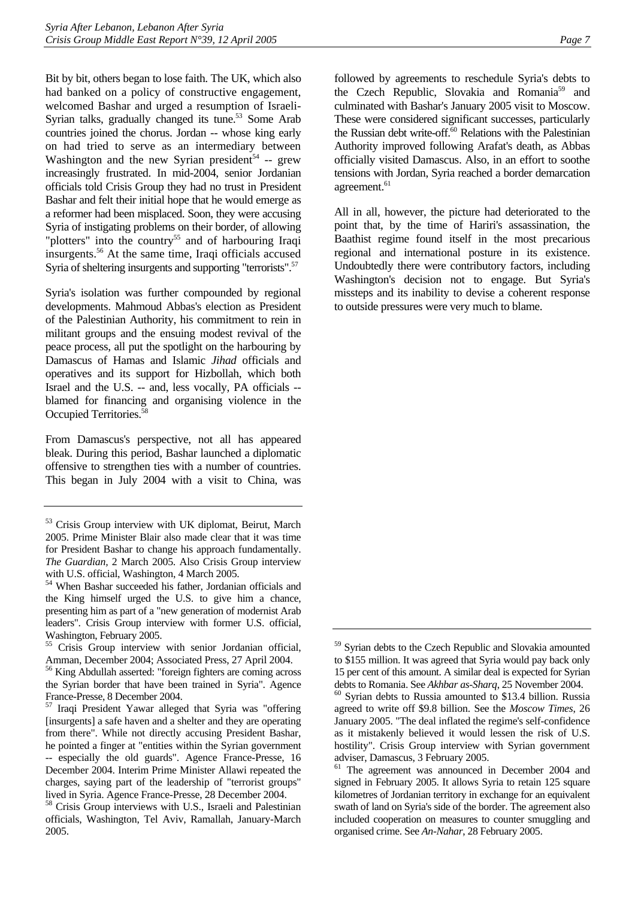Bit by bit, others began to lose faith. The UK, which also had banked on a policy of constructive engagement, welcomed Bashar and urged a resumption of Israeli-Syrian talks, gradually changed its tune.<sup>53</sup> Some Arab countries joined the chorus. Jordan -- whose king early on had tried to serve as an intermediary between Washington and the new Syrian president<sup>54</sup> -- grew increasingly frustrated. In mid-2004, senior Jordanian officials told Crisis Group they had no trust in President Bashar and felt their initial hope that he would emerge as a reformer had been misplaced. Soon, they were accusing Syria of instigating problems on their border, of allowing "plotters" into the country<sup>55</sup> and of harbouring Iraqi insurgents.[56](#page-11-3) At the same time, Iraqi officials accused Syria of sheltering insurgents and supporting "terrorists".<sup>57</sup>

Syria's isolation was further compounded by regional developments. Mahmoud Abbas's election as President of the Palestinian Authority, his commitment to rein in militant groups and the ensuing modest revival of the peace process, all put the spotlight on the harbouring by Damascus of Hamas and Islamic *Jihad* officials and operatives and its support for Hizbollah, which both Israel and the U.S. -- and, less vocally, PA officials - blamed for financing and organising violence in the Occupied Territories.<sup>58</sup>

From Damascus's perspective, not all has appeared bleak. During this period, Bashar launched a diplomatic offensive to strengthen ties with a number of countries. This began in July 2004 with a visit to China, was All in all, however, the picture had deteriorated to the point that, by the time of Hariri's assassination, the Baathist regime found itself in the most precarious regional and international posture in its existence. Undoubtedly there were contributory factors, including Washington's decision not to engage. But Syria's missteps and its inability to devise a coherent response to outside pressures were very much to blame.

<span id="page-11-0"></span><sup>53</sup> Crisis Group interview with UK diplomat, Beirut, March 2005. Prime Minister Blair also made clear that it was time for President Bashar to change his approach fundamentally. *The Guardian,* 2 March 2005. Also Crisis Group interview with U.S. official, Washington, 4 March 2005.

<span id="page-11-1"></span><sup>54</sup> When Bashar succeeded his father, Jordanian officials and the King himself urged the U.S. to give him a chance, presenting him as part of a "new generation of modernist Arab leaders". Crisis Group interview with former U.S. official, Washington, February 2005.

<span id="page-11-2"></span><sup>55</sup> Crisis Group interview with senior Jordanian official, Amman, December 2004; Associated Press, 27 April 2004.

<span id="page-11-3"></span><sup>56</sup> King Abdullah asserted: "foreign fighters are coming across the Syrian border that have been trained in Syria". Agence France-Presse, 8 December 2004.

<span id="page-11-4"></span><sup>57</sup> Iraqi President Yawar alleged that Syria was "offering [insurgents] a safe haven and a shelter and they are operating from there". While not directly accusing President Bashar, he pointed a finger at "entities within the Syrian government -- especially the old guards". Agence France-Presse, 16 December 2004. Interim Prime Minister Allawi repeated the charges, saying part of the leadership of "terrorist groups" lived in Syria. Agence France-Presse, 28 December 2004.

<span id="page-11-5"></span><sup>&</sup>lt;sup>58</sup> Crisis Group interviews with U.S., Israeli and Palestinian officials, Washington, Tel Aviv, Ramallah, January-March 2005.

followed by agreements to reschedule Syria's debts to the Czech Republic, Slovakia and Romania<sup>59</sup> and culminated with Bashar's January 2005 visit to Moscow. These were considered significant successes, particularly the Russian debt write-off.<sup>60</sup> Relations with the Palestinian Authority improved following Arafat's death, as Abbas officially visited Damascus. Also, in an effort to soothe tensions with Jordan, Syria reached a border demarcation agreement.<sup>61</sup>

<span id="page-11-6"></span><sup>59</sup> Syrian debts to the Czech Republic and Slovakia amounted to \$155 million. It was agreed that Syria would pay back only 15 per cent of this amount. A similar deal is expected for Syrian

<span id="page-11-7"></span>debts to Romania. See *Akhbar as-Sharq*, 25 November 2004. 60 Syrian debts to Russia amounted to \$13.4 billion. Russia agreed to write off \$9.8 billion. See the *Moscow Times*, 26 January 2005. "The deal inflated the regime's self-confidence as it mistakenly believed it would lessen the risk of U.S. hostility". Crisis Group interview with Syrian government adviser, Damascus, 3 February 2005.

<span id="page-11-8"></span><sup>&</sup>lt;sup>61</sup> The agreement was announced in December 2004 and signed in February 2005. It allows Syria to retain 125 square kilometres of Jordanian territory in exchange for an equivalent swath of land on Syria's side of the border. The agreement also included cooperation on measures to counter smuggling and organised crime. See *An-Nahar*, 28 February 2005.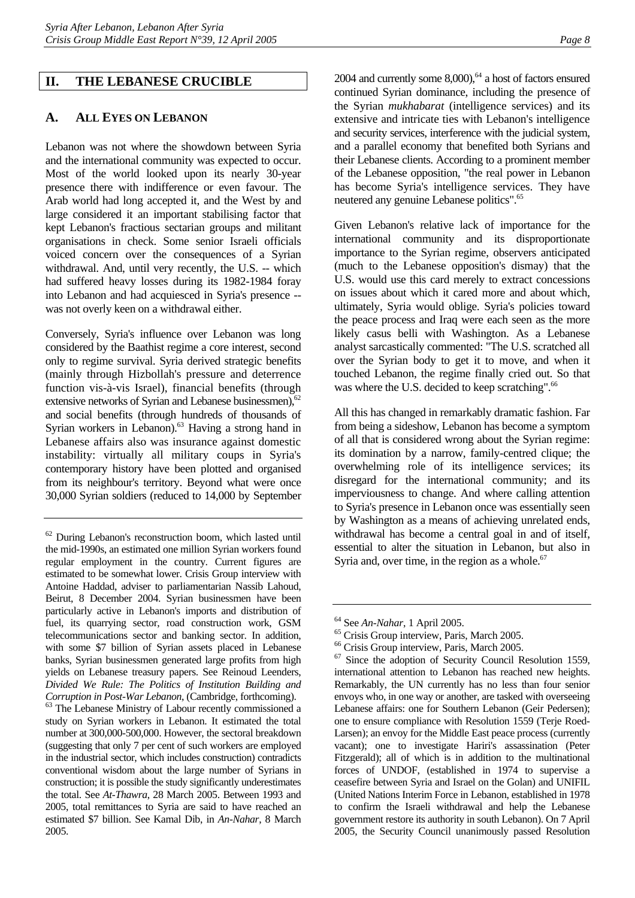#### <span id="page-12-0"></span>**II. THE LEBANESE CRUCIBLE**

### <span id="page-12-1"></span>**A. ALL EYES ON LEBANON**

Lebanon was not where the showdown between Syria and the international community was expected to occur. Most of the world looked upon its nearly 30-year presence there with indifference or even favour. The Arab world had long accepted it, and the West by and large considered it an important stabilising factor that kept Lebanon's fractious sectarian groups and militant organisations in check. Some senior Israeli officials voiced concern over the consequences of a Syrian withdrawal. And, until very recently, the U.S. -- which had suffered heavy losses during its 1982-1984 foray into Lebanon and had acquiesced in Syria's presence - was not overly keen on a withdrawal either.

Conversely, Syria's influence over Lebanon was long considered by the Baathist regime a core interest, second only to regime survival. Syria derived strategic benefits (mainly through Hizbollah's pressure and deterrence function vis-à-vis Israel), financial benefits (through extensive networks of Syrian and Lebanese businessmen),<sup>62</sup> and social benefits (through hundreds of thousands of Syrian workers in Lebanon).<sup>63</sup> Having a strong hand in Lebanese affairs also was insurance against domestic instability: virtually all military coups in Syria's contemporary history have been plotted and organised from its neighbour's territory. Beyond what were once 30,000 Syrian soldiers (reduced to 14,000 by September

<span id="page-12-3"></span>study on Syrian workers in Lebanon. It estimated the total number at 300,000-500,000. However, the sectoral breakdown (suggesting that only 7 per cent of such workers are employed in the industrial sector, which includes construction) contradicts conventional wisdom about the large number of Syrians in construction; it is possible the study significantly underestimates the total. See *At-Thawra*, 28 March 2005. Between 1993 and 2005, total remittances to Syria are said to have reached an estimated \$7 billion. See Kamal Dib, in *An-Nahar*, 8 March 2005.

2004 and currently some  $8,000$ ,  $64$  a host of factors ensured continued Syrian dominance, including the presence of the Syrian *mukhabarat* (intelligence services) and its extensive and intricate ties with Lebanon's intelligence and security services, interference with the judicial system, and a parallel economy that benefited both Syrians and their Lebanese clients. According to a prominent member of the Lebanese opposition, "the real power in Lebanon has become Syria's intelligence services. They have neutered any genuine Lebanese politics".<sup>65</sup>

Given Lebanon's relative lack of importance for the international community and its disproportionate importance to the Syrian regime, observers anticipated (much to the Lebanese opposition's dismay) that the U.S. would use this card merely to extract concessions on issues about which it cared more and about which, ultimately, Syria would oblige. Syria's policies toward the peace process and Iraq were each seen as the more likely casus belli with Washington. As a Lebanese analyst sarcastically commented: "The U.S. scratched all over the Syrian body to get it to move, and when it touched Lebanon, the regime finally cried out. So that was where the U.S. decided to keep scratching".<sup>66</sup>

All this has changed in remarkably dramatic fashion. Far from being a sideshow, Lebanon has become a symptom of all that is considered wrong about the Syrian regime: its domination by a narrow, family-centred clique; the overwhelming role of its intelligence services; its disregard for the international community; and its imperviousness to change. And where calling attention to Syria's presence in Lebanon once was essentially seen by Washington as a means of achieving unrelated ends, withdrawal has become a central goal in and of itself, essential to alter the situation in Lebanon, but also in Syria and, over time, in the region as a whole. $67$ 

<span id="page-12-2"></span><sup>62</sup> During Lebanon's reconstruction boom, which lasted until the mid-1990s, an estimated one million Syrian workers found regular employment in the country. Current figures are estimated to be somewhat lower. Crisis Group interview with Antoine Haddad, adviser to parliamentarian Nassib Lahoud, Beirut, 8 December 2004. Syrian businessmen have been particularly active in Lebanon's imports and distribution of fuel, its quarrying sector, road construction work, GSM telecommunications sector and banking sector. In addition, with some \$7 billion of Syrian assets placed in Lebanese banks, Syrian businessmen generated large profits from high yields on Lebanese treasury papers. See Reinoud Leenders, *Divided We Rule: The Politics of Institution Building and Corruption in Post-War Lebanon*, (Cambridge, forthcoming). 63 The Lebanese Ministry of Labour recently commissioned a

<span id="page-12-5"></span><span id="page-12-4"></span>

<sup>64</sup> See *An-Nahar*, 1 April 2005. 65 Crisis Group interview, Paris, March 2005.

<span id="page-12-6"></span><sup>66</sup> Crisis Group interview, Paris, March 2005.

<span id="page-12-7"></span><sup>67</sup> Since the adoption of Security Council Resolution 1559, international attention to Lebanon has reached new heights. Remarkably, the UN currently has no less than four senior envoys who, in one way or another, are tasked with overseeing Lebanese affairs: one for Southern Lebanon (Geir Pedersen); one to ensure compliance with Resolution 1559 (Terje Roed-Larsen); an envoy for the Middle East peace process (currently vacant); one to investigate Hariri's assassination (Peter Fitzgerald); all of which is in addition to the multinational forces of UNDOF, (established in 1974 to supervise a ceasefire between Syria and Israel on the Golan) and UNIFIL (United Nations Interim Force in Lebanon, established in 1978 to confirm the Israeli withdrawal and help the Lebanese government restore its authority in south Lebanon). On 7 April 2005, the Security Council unanimously passed Resolution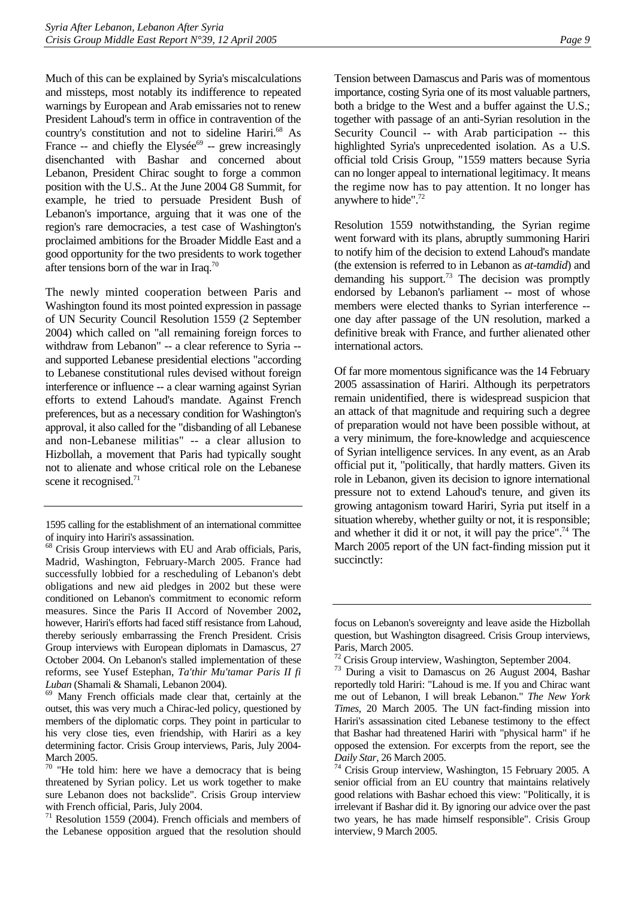Much of this can be explained by Syria's miscalculations and missteps, most notably its indifference to repeated warnings by European and Arab emissaries not to renew President Lahoud's term in office in contravention of the country's constitution and not to sideline Hariri.<sup>68</sup> As France -- and chiefly the Elysée<sup>69</sup> -- grew increasingly disenchanted with Bashar and concerned about Lebanon, President Chirac sought to forge a common position with the U.S.. At the June 2004 G8 Summit, for example, he tried to persuade President Bush of Lebanon's importance, arguing that it was one of the region's rare democracies, a test case of Washington's proclaimed ambitions for the Broader Middle East and a good opportunity for the two presidents to work together after tensions born of the war in Iraq.[70](#page-13-2) 

The newly minted cooperation between Paris and Washington found its most pointed expression in passage of UN Security Council Resolution 1559 (2 September 2004) which called on "all remaining foreign forces to withdraw from Lebanon" -- a clear reference to Syria - and supported Lebanese presidential elections "according to Lebanese constitutional rules devised without foreign interference or influence -- a clear warning against Syrian efforts to extend Lahoud's mandate. Against French preferences, but as a necessary condition for Washington's approval, it also called for the "disbanding of all Lebanese and non-Lebanese militias" -- a clear allusion to Hizbollah, a movement that Paris had typically sought not to alienate and whose critical role on the Lebanese scene it recognised.<sup>71</sup>

<span id="page-13-1"></span>*Luban* (Shamali & Shamali, Lebanon 2004). 69 Many French officials made clear that, certainly at the outset, this was very much a Chirac-led policy, questioned by members of the diplomatic corps. They point in particular to his very close ties, even friendship, with Hariri as a key determining factor. Crisis Group interviews, Paris, July 2004- March 2005.

Tension between Damascus and Paris was of momentous importance, costing Syria one of its most valuable partners, both a bridge to the West and a buffer against the U.S.; together with passage of an anti-Syrian resolution in the Security Council -- with Arab participation -- this highlighted Syria's unprecedented isolation. As a U.S. official told Crisis Group, "1559 matters because Syria can no longer appeal to international legitimacy. It means the regime now has to pay attention. It no longer has anywhere to hide"[.72](#page-13-4)

Resolution 1559 notwithstanding, the Syrian regime went forward with its plans, abruptly summoning Hariri to notify him of the decision to extend Lahoud's mandate (the extension is referred to in Lebanon as *at-tamdid*) and demanding his support.<sup>73</sup> The decision was promptly endorsed by Lebanon's parliament -- most of whose members were elected thanks to Syrian interference - one day after passage of the UN resolution, marked a definitive break with France, and further alienated other international actors.

Of far more momentous significance was the 14 February 2005 assassination of Hariri. Although its perpetrators remain unidentified, there is widespread suspicion that an attack of that magnitude and requiring such a degree of preparation would not have been possible without, at a very minimum, the fore-knowledge and acquiescence of Syrian intelligence services. In any event, as an Arab official put it, "politically, that hardly matters. Given its role in Lebanon, given its decision to ignore international pressure not to extend Lahoud's tenure, and given its growing antagonism toward Hariri, Syria put itself in a situation whereby, whether guilty or not, it is responsible; and whether it did it or not, it will pay the price".<sup>74</sup> The March 2005 report of the UN fact-finding mission put it succinctly:

<sup>1595</sup> calling for the establishment of an international committee of inquiry into Hariri's assassination.

<span id="page-13-0"></span><sup>&</sup>lt;sup>68</sup> Crisis Group interviews with EU and Arab officials, Paris, Madrid, Washington, February-March 2005. France had successfully lobbied for a rescheduling of Lebanon's debt obligations and new aid pledges in 2002 but these were conditioned on Lebanon's commitment to economic reform measures. Since the Paris II Accord of November 2002**,**  however, Hariri's efforts had faced stiff resistance from Lahoud, thereby seriously embarrassing the French President. Crisis Group interviews with European diplomats in Damascus, 27 October 2004. On Lebanon's stalled implementation of these reforms, see Yusef Estephan, *Ta'thir Mu'tamar Paris II fi* 

<span id="page-13-2"></span> $70$  "He told him: here we have a democracy that is being threatened by Syrian policy. Let us work together to make sure Lebanon does not backslide". Crisis Group interview with French official, Paris, July 2004.

<span id="page-13-3"></span><sup>71</sup> Resolution 1559 (2004). French officials and members of the Lebanese opposition argued that the resolution should

focus on Lebanon's sovereignty and leave aside the Hizbollah question, but Washington disagreed. Crisis Group interviews, Paris, March 2005.

<span id="page-13-4"></span><sup>&</sup>lt;sup>72</sup> Crisis Group interview, Washington, September 2004.

<span id="page-13-5"></span><sup>73</sup> During a visit to Damascus on 26 August 2004, Bashar reportedly told Hariri: "Lahoud is me. If you and Chirac want me out of Lebanon, I will break Lebanon." *The New York Times*, 20 March 2005. The UN fact-finding mission into Hariri's assassination cited Lebanese testimony to the effect that Bashar had threatened Hariri with "physical harm" if he opposed the extension. For excerpts from the report, see the *Daily Star*, 26 March 2005.<br><sup>74</sup> Crisis Group interview, Washington, 15 February 2005. A

<span id="page-13-6"></span>senior official from an EU country that maintains relatively good relations with Bashar echoed this view: "Politically, it is irrelevant if Bashar did it. By ignoring our advice over the past two years, he has made himself responsible". Crisis Group interview, 9 March 2005.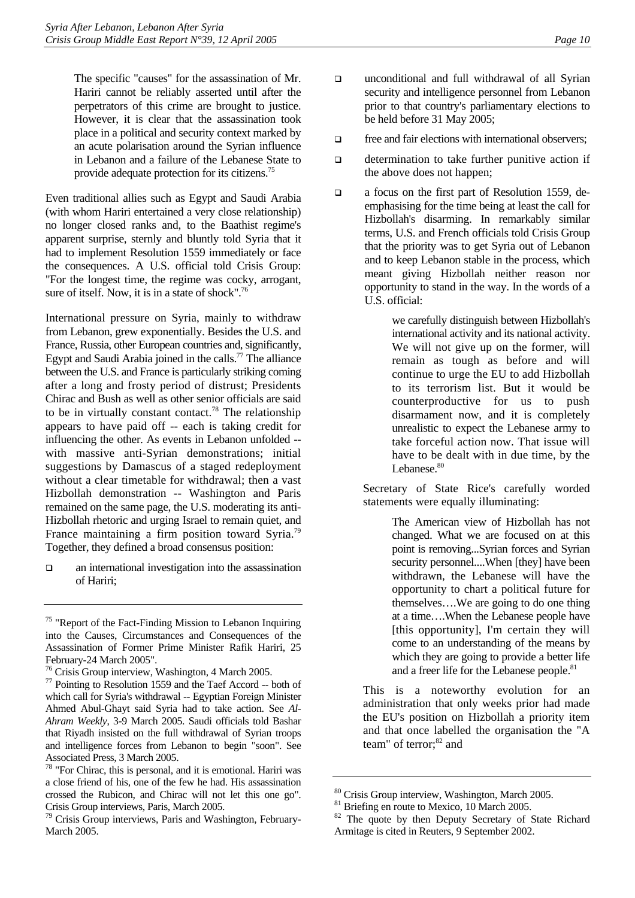The specific "causes" for the assassination of Mr. Hariri cannot be reliably asserted until after the perpetrators of this crime are brought to justice. However, it is clear that the assassination took place in a political and security context marked by an acute polarisation around the Syrian influence in Lebanon and a failure of the Lebanese State to provide adequate protection for its citizens[.75](#page-14-0)

Even traditional allies such as Egypt and Saudi Arabia (with whom Hariri entertained a very close relationship) no longer closed ranks and, to the Baathist regime's apparent surprise, sternly and bluntly told Syria that it had to implement Resolution 1559 immediately or face the consequences. A U.S. official told Crisis Group: "For the longest time, the regime was cocky, arrogant, sure of itself. Now, it is in a state of shock".<sup>76</sup>

International pressure on Syria, mainly to withdraw from Lebanon, grew exponentially. Besides the U.S. and France, Russia, other European countries and, significantly, Egypt and Saudi Arabia joined in the calls.<sup>77</sup> The alliance between the U.S. and France is particularly striking coming after a long and frosty period of distrust; Presidents Chirac and Bush as well as other senior officials are said to be in virtually constant contact.<sup>78</sup> The relationship appears to have paid off -- each is taking credit for influencing the other. As events in Lebanon unfolded - with massive anti-Syrian demonstrations; initial suggestions by Damascus of a staged redeployment without a clear timetable for withdrawal; then a vast Hizbollah demonstration -- Washington and Paris remained on the same page, the U.S. moderating its anti-Hizbollah rhetoric and urging Israel to remain quiet, and France maintaining a firm position toward Syria.<sup>79</sup> Together, they defined a broad consensus position:

 $\Box$  an international investigation into the assassination of Hariri;

- unconditional and full withdrawal of all Syrian security and intelligence personnel from Lebanon prior to that country's parliamentary elections to be held before 31 May 2005;
- $\Box$  free and fair elections with international observers;
- $\Box$  determination to take further punitive action if the above does not happen;
- a focus on the first part of Resolution 1559, deemphasising for the time being at least the call for Hizbollah's disarming. In remarkably similar terms, U.S. and French officials told Crisis Group that the priority was to get Syria out of Lebanon and to keep Lebanon stable in the process, which meant giving Hizbollah neither reason nor opportunity to stand in the way. In the words of a U.S. official:

we carefully distinguish between Hizbollah's international activity and its national activity. We will not give up on the former, will remain as tough as before and will continue to urge the EU to add Hizbollah to its terrorism list. But it would be counterproductive for us to push disarmament now, and it is completely unrealistic to expect the Lebanese army to take forceful action now. That issue will have to be dealt with in due time, by the Lebanese.<sup>[80](#page-14-5)</sup>

Secretary of State Rice's carefully worded statements were equally illuminating:

> The American view of Hizbollah has not changed. What we are focused on at this point is removing...Syrian forces and Syrian security personnel....When [they] have been withdrawn, the Lebanese will have the opportunity to chart a political future for themselves….We are going to do one thing at a time….When the Lebanese people have [this opportunity], I'm certain they will come to an understanding of the means by which they are going to provide a better life and a freer life for the Lebanese people.<sup>81</sup>

This is a noteworthy evolution for an administration that only weeks prior had made the EU's position on Hizbollah a priority item and that once labelled the organisation the "A team" of terror:<sup>82</sup> and

<span id="page-14-0"></span><sup>&</sup>lt;sup>75</sup> "Report of the Fact-Finding Mission to Lebanon Inquiring into the Causes, Circumstances and Consequences of the Assassination of Former Prime Minister Rafik Hariri, 25 February-24 March 2005".

<span id="page-14-1"></span><sup>76</sup> Crisis Group interview, Washington, 4 March 2005.

<span id="page-14-2"></span> $77$  Pointing to Resolution 1559 and the Taef Accord -- both of which call for Syria's withdrawal -- Egyptian Foreign Minister Ahmed Abul-Ghayt said Syria had to take action. See *Al-Ahram Weekly*, 3-9 March 2005. Saudi officials told Bashar that Riyadh insisted on the full withdrawal of Syrian troops and intelligence forces from Lebanon to begin "soon". See Associated Press, 3 March 2005.

<span id="page-14-3"></span><sup>78 &</sup>quot;For Chirac, this is personal, and it is emotional. Hariri was a close friend of his, one of the few he had. His assassination crossed the Rubicon, and Chirac will not let this one go". Crisis Group interviews, Paris, March 2005.

<span id="page-14-4"></span><sup>79</sup> Crisis Group interviews, Paris and Washington, February-March 2005.

<span id="page-14-5"></span><sup>80</sup> Crisis Group interview, Washington, March 2005.

<span id="page-14-6"></span><sup>&</sup>lt;sup>81</sup> Briefing en route to Mexico, 10 March 2005.

<span id="page-14-7"></span><sup>&</sup>lt;sup>82</sup> The quote by then Deputy Secretary of State Richard Armitage is cited in Reuters, 9 September 2002.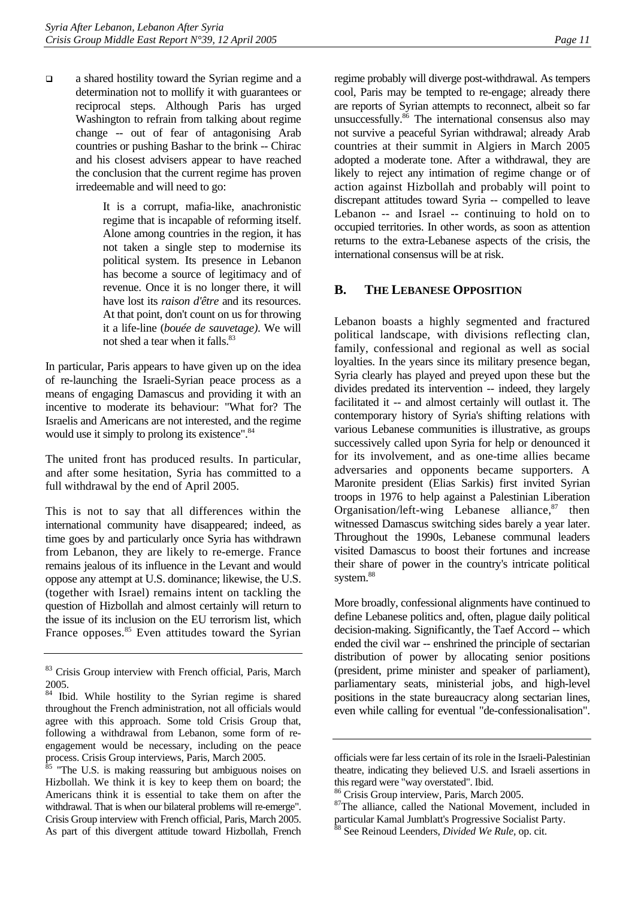a shared hostility toward the Syrian regime and a determination not to mollify it with guarantees or reciprocal steps. Although Paris has urged Washington to refrain from talking about regime change -- out of fear of antagonising Arab countries or pushing Bashar to the brink -- Chirac and his closest advisers appear to have reached the conclusion that the current regime has proven irredeemable and will need to go:

> It is a corrupt, mafia-like, anachronistic regime that is incapable of reforming itself. Alone among countries in the region, it has not taken a single step to modernise its political system. Its presence in Lebanon has become a source of legitimacy and of revenue. Once it is no longer there, it will have lost its *raison d'être* and its resources. At that point, don't count on us for throwing it a life-line (*bouée de sauvetage)*. We will not shed a tear when it falls.<sup>[83](#page-15-1)</sup>

In particular, Paris appears to have given up on the idea of re-launching the Israeli-Syrian peace process as a means of engaging Damascus and providing it with an incentive to moderate its behaviour: "What for? The Israelis and Americans are not interested, and the regime would use it simply to prolong its existence".<sup>[84](#page-15-2)</sup>

The united front has produced results. In particular, and after some hesitation, Syria has committed to a full withdrawal by the end of April 2005.

This is not to say that all differences within the international community have disappeared; indeed, as time goes by and particularly once Syria has withdrawn from Lebanon, they are likely to re-emerge. France remains jealous of its influence in the Levant and would oppose any attempt at U.S. dominance; likewise, the U.S. (together with Israel) remains intent on tackling the question of Hizbollah and almost certainly will return to the issue of its inclusion on the EU terrorism list, which France opposes. $85$  Even attitudes toward the Syrian regime probably will diverge post-withdrawal. As tempers cool, Paris may be tempted to re-engage; already there are reports of Syrian attempts to reconnect, albeit so far unsuccessfully.<sup>86</sup> The international consensus also may not survive a peaceful Syrian withdrawal; already Arab countries at their summit in Algiers in March 2005 adopted a moderate tone. After a withdrawal, they are likely to reject any intimation of regime change or of action against Hizbollah and probably will point to discrepant attitudes toward Syria -- compelled to leave Lebanon -- and Israel -- continuing to hold on to occupied territories. In other words, as soon as attention returns to the extra-Lebanese aspects of the crisis, the international consensus will be at risk.

#### <span id="page-15-0"></span>**B. THE LEBANESE OPPOSITION**

Lebanon boasts a highly segmented and fractured political landscape, with divisions reflecting clan, family, confessional and regional as well as social loyalties. In the years since its military presence began, Syria clearly has played and preyed upon these but the divides predated its intervention -- indeed, they largely facilitated it -- and almost certainly will outlast it. The contemporary history of Syria's shifting relations with various Lebanese communities is illustrative, as groups successively called upon Syria for help or denounced it for its involvement, and as one-time allies became adversaries and opponents became supporters. A Maronite president (Elias Sarkis) first invited Syrian troops in 1976 to help against a Palestinian Liberation Organisation/left-wing Lebanese alliance, $87$  then witnessed Damascus switching sides barely a year later. Throughout the 1990s, Lebanese communal leaders visited Damascus to boost their fortunes and increase their share of power in the country's intricate political system.<sup>88</sup>

More broadly, confessional alignments have continued to define Lebanese politics and, often, plague daily political decision-making. Significantly, the Taef Accord -- which ended the civil war -- enshrined the principle of sectarian distribution of power by allocating senior positions (president, prime minister and speaker of parliament), parliamentary seats, ministerial jobs, and high-level positions in the state bureaucracy along sectarian lines, even while calling for eventual "de-confessionalisation".

<span id="page-15-1"></span><sup>&</sup>lt;sup>83</sup> Crisis Group interview with French official, Paris, March 2005.

<span id="page-15-2"></span><sup>&</sup>lt;sup>84</sup> Ibid. While hostility to the Syrian regime is shared throughout the French administration, not all officials would agree with this approach. Some told Crisis Group that, following a withdrawal from Lebanon, some form of reengagement would be necessary, including on the peace process. Crisis Group interviews, Paris, March 2005.

<span id="page-15-3"></span><sup>&</sup>lt;sup>85</sup> "The U.S. is making reassuring but ambiguous noises on Hizbollah. We think it is key to keep them on board; the Americans think it is essential to take them on after the withdrawal. That is when our bilateral problems will re-emerge". Crisis Group interview with French official, Paris, March 2005. As part of this divergent attitude toward Hizbollah, French

officials were far less certain of its role in the Israeli-Palestinian theatre, indicating they believed U.S. and Israeli assertions in this regard were "way overstated". Ibid.

<span id="page-15-4"></span><sup>86</sup> Crisis Group interview, Paris, March 2005.

<span id="page-15-5"></span><sup>&</sup>lt;sup>87</sup>The alliance, called the National Movement, included in particular Kamal Jumblatt's Progressive Socialist Party.

<span id="page-15-6"></span><sup>88</sup> See Reinoud Leenders, *Divided We Rule,* op. cit.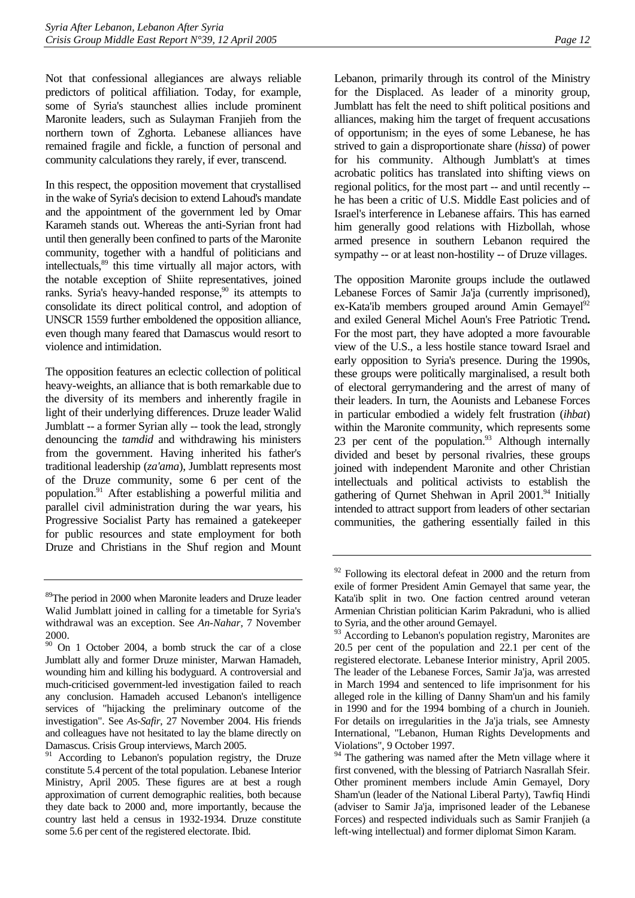Not that confessional allegiances are always reliable predictors of political affiliation. Today, for example, some of Syria's staunchest allies include prominent Maronite leaders, such as Sulayman Franjieh from the northern town of Zghorta. Lebanese alliances have remained fragile and fickle, a function of personal and community calculations they rarely, if ever, transcend.

In this respect, the opposition movement that crystallised in the wake of Syria's decision to extend Lahoud's mandate and the appointment of the government led by Omar Karameh stands out. Whereas the anti-Syrian front had until then generally been confined to parts of the Maronite community, together with a handful of politicians and intellectuals[,89](#page-16-0) this time virtually all major actors, with the notable exception of Shiite representatives, joined ranks. Syria's heavy-handed response,<sup>90</sup> its attempts to consolidate its direct political control, and adoption of UNSCR 1559 further emboldened the opposition alliance, even though many feared that Damascus would resort to violence and intimidation.

The opposition features an eclectic collection of political heavy-weights, an alliance that is both remarkable due to the diversity of its members and inherently fragile in light of their underlying differences. Druze leader Walid Jumblatt -- a former Syrian ally -- took the lead, strongly denouncing the *tamdid* and withdrawing his ministers from the government. Having inherited his father's traditional leadership (*za'ama*), Jumblatt represents most of the Druze community, some 6 per cent of the population[.91](#page-16-2) After establishing a powerful militia and parallel civil administration during the war years, his Progressive Socialist Party has remained a gatekeeper for public resources and state employment for both Druze and Christians in the Shuf region and Mount Lebanon, primarily through its control of the Ministry for the Displaced. As leader of a minority group, Jumblatt has felt the need to shift political positions and alliances, making him the target of frequent accusations of opportunism; in the eyes of some Lebanese, he has strived to gain a disproportionate share (*hissa*) of power for his community. Although Jumblatt's at times acrobatic politics has translated into shifting views on regional politics, for the most part -- and until recently - he has been a critic of U.S. Middle East policies and of Israel's interference in Lebanese affairs. This has earned him generally good relations with Hizbollah, whose armed presence in southern Lebanon required the sympathy -- or at least non-hostility -- of Druze villages.

The opposition Maronite groups include the outlawed Lebanese Forces of Samir Ja'ja (currently imprisoned), ex-Kata'ib members grouped around Amin Gemayel<sup>92</sup> and exiled General Michel Aoun's Free Patriotic Trend**.**  For the most part, they have adopted a more favourable view of the U.S., a less hostile stance toward Israel and early opposition to Syria's presence. During the 1990s, these groups were politically marginalised, a result both of electoral gerrymandering and the arrest of many of their leaders. In turn, the Aounists and Lebanese Forces in particular embodied a widely felt frustration (*ihbat*) within the Maronite community, which represents some 23 per cent of the population. $93$  Although internally divided and beset by personal rivalries, these groups joined with independent Maronite and other Christian intellectuals and political activists to establish the gathering of Qurnet Shehwan in April 2001.<sup>94</sup> Initially intended to attract support from leaders of other sectarian communities, the gathering essentially failed in this

<span id="page-16-0"></span><sup>&</sup>lt;sup>89</sup>The period in 2000 when Maronite leaders and Druze leader Walid Jumblatt joined in calling for a timetable for Syria's withdrawal was an exception. See *An-Nahar*, 7 November 2000.

<span id="page-16-1"></span><sup>90</sup> On 1 October 2004, a bomb struck the car of a close Jumblatt ally and former Druze minister, Marwan Hamadeh, wounding him and killing his bodyguard. A controversial and much-criticised government-led investigation failed to reach any conclusion. Hamadeh accused Lebanon's intelligence services of "hijacking the preliminary outcome of the investigation". See *As-Safir*, 27 November 2004. His friends and colleagues have not hesitated to lay the blame directly on Damascus. Crisis Group interviews, March 2005.

<span id="page-16-2"></span>According to Lebanon's population registry, the Druze constitute 5.4 percent of the total population. Lebanese Interior Ministry, April 2005. These figures are at best a rough approximation of current demographic realities, both because they date back to 2000 and, more importantly, because the country last held a census in 1932-1934. Druze constitute some 5.6 per cent of the registered electorate. Ibid.

<span id="page-16-3"></span> $92$  Following its electoral defeat in 2000 and the return from exile of former President Amin Gemayel that same year, the Kata'ib split in two. One faction centred around veteran Armenian Christian politician Karim Pakraduni, who is allied to Syria, and the other around Gemayel.

<span id="page-16-4"></span> $93$  According to Lebanon's population registry, Maronites are 20.5 per cent of the population and 22.1 per cent of the registered electorate. Lebanese Interior ministry, April 2005. The leader of the Lebanese Forces, Samir Ja'ja, was arrested in March 1994 and sentenced to life imprisonment for his alleged role in the killing of Danny Sham'un and his family in 1990 and for the 1994 bombing of a church in Jounieh. For details on irregularities in the Ja'ja trials, see Amnesty International, "Lebanon, Human Rights Developments and Violations", 9 October 1997.

<span id="page-16-5"></span><sup>&</sup>lt;sup>94</sup> The gathering was named after the Metn village where it first convened, with the blessing of Patriarch Nasrallah Sfeir. Other prominent members include Amin Gemayel, Dory Sham'un (leader of the National Liberal Party), Tawfiq Hindi (adviser to Samir Ja'ja, imprisoned leader of the Lebanese Forces) and respected individuals such as Samir Franjieh (a left-wing intellectual) and former diplomat Simon Karam.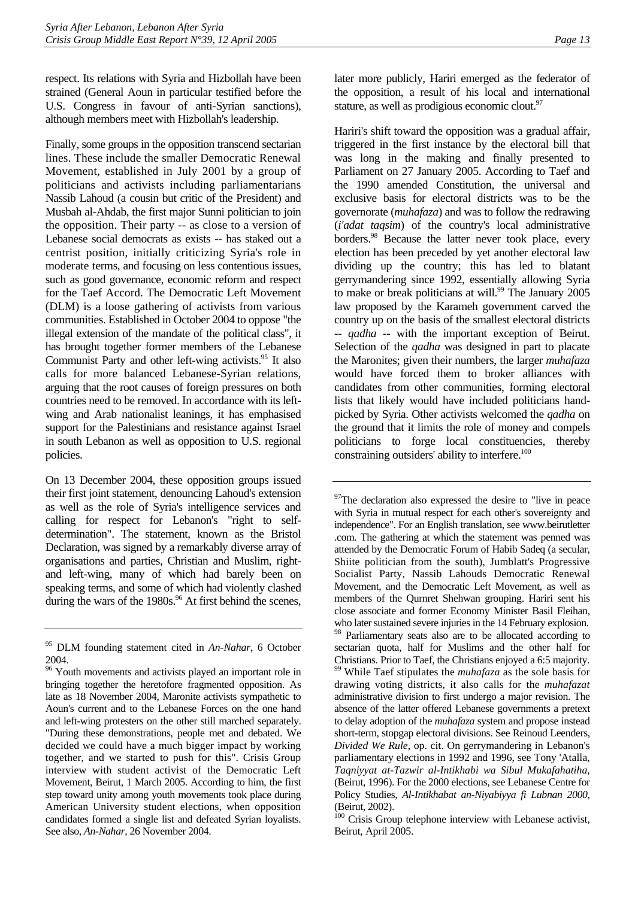respect. Its relations with Syria and Hizbollah have been strained (General Aoun in particular testified before the U.S. Congress in favour of anti-Syrian sanctions), although members meet with Hizbollah's leadership.

Finally, some groups in the opposition transcend sectarian lines. These include the smaller Democratic Renewal Movement, established in July 2001 by a group of politicians and activists including parliamentarians Nassib Lahoud (a cousin but critic of the President) and Musbah al-Ahdab, the first major Sunni politician to join the opposition. Their party -- as close to a version of Lebanese social democrats as exists -- has staked out a centrist position, initially criticizing Syria's role in moderate terms, and focusing on less contentious issues, such as good governance, economic reform and respect for the Taef Accord. The Democratic Left Movement (DLM) is a loose gathering of activists from various communities. Established in October 2004 to oppose "the illegal extension of the mandate of the political class", it has brought together former members of the Lebanese Communist Party and other left-wing activists.<sup>95</sup> It also calls for more balanced Lebanese-Syrian relations, arguing that the root causes of foreign pressures on both countries need to be removed. In accordance with its leftwing and Arab nationalist leanings, it has emphasised support for the Palestinians and resistance against Israel in south Lebanon as well as opposition to U.S. regional policies.

On 13 December 2004, these opposition groups issued their first joint statement, denouncing Lahoud's extension as well as the role of Syria's intelligence services and calling for respect for Lebanon's "right to selfdetermination". The statement, known as the Bristol Declaration, was signed by a remarkably diverse array of organisations and parties, Christian and Muslim, rightand left-wing, many of which had barely been on speaking terms, and some of which had violently clashed during the wars of the  $1980s$ .<sup>96</sup> At first behind the scenes, later more publicly, Hariri emerged as the federator of the opposition, a result of his local and international stature, as well as prodigious economic clout.<sup>[97](#page-17-2)</sup>

Hariri's shift toward the opposition was a gradual affair, triggered in the first instance by the electoral bill that was long in the making and finally presented to Parliament on 27 January 2005. According to Taef and the 1990 amended Constitution, the universal and exclusive basis for electoral districts was to be the governorate (*muhafaza*) and was to follow the redrawing (*i'adat taqsim*) of the country's local administrative borders.<sup>98</sup> Because the latter never took place, every election has been preceded by yet another electoral law dividing up the country; this has led to blatant gerrymandering since 1992, essentially allowing Syria to make or break politicians at will.<sup>99</sup> The January 2005 law proposed by the Karameh government carved the country up on the basis of the smallest electoral districts -- *qadha --* with the important exception of Beirut. Selection of the *qadha* was designed in part to placate the Maronites; given their numbers, the larger *muhafaza*  would have forced them to broker alliances with candidates from other communities, forming electoral lists that likely would have included politicians handpicked by Syria. Other activists welcomed the *qadha* on the ground that it limits the role of money and compels politicians to forge local constituencies, thereby constraining outsiders' ability to interfere.<sup>100</sup>

<span id="page-17-2"></span> $97$ The declaration also expressed the desire to "live in peace with Syria in mutual respect for each other's sovereignty and independence". For an English translation, see www.beirutletter .com. The gathering at which the statement was penned was attended by the Democratic Forum of Habib Sadeq (a secular, Shiite politician from the south), Jumblatt's Progressive Socialist Party, Nassib Lahouds Democratic Renewal Movement, and the Democratic Left Movement, as well as members of the Qurnret Shehwan grouping. Hariri sent his close associate and former Economy Minister Basil Fleihan, who later sustained severe injuries in the 14 February explosion. <sup>98</sup> Parliamentary seats also are to be allocated according to sectarian quota, half for Muslims and the other half for Christians. Prior to Taef, the Christians enjoyed a 6:5 majority. 99 While Taef stipulates the *muhafaza* as the sole basis for drawing voting districts, it also calls for the *muhafazat* 

<span id="page-17-4"></span><span id="page-17-3"></span>administrative division to first undergo a major revision. The absence of the latter offered Lebanese governments a pretext to delay adoption of the *muhafaza* system and propose instead short-term, stopgap electoral divisions. See Reinoud Leenders, *Divided We Rule*, op. cit. On gerrymandering in Lebanon's parliamentary elections in 1992 and 1996, see Tony 'Atalla, *Taqniyyat at-Tazwir al-Intikhabi wa Sibul Mukafahatiha*, (Beirut, 1996). For the 2000 elections, see Lebanese Centre for Policy Studies, *Al-Intikhabat an-Niyabiyya fi Lubnan 2000*, (Beirut, 2002).

<span id="page-17-5"></span><sup>100</sup> Crisis Group telephone interview with Lebanese activist, Beirut, April 2005.

<span id="page-17-0"></span><sup>95</sup> DLM founding statement cited in *An-Nahar*, 6 October 2004.

<span id="page-17-1"></span><sup>&</sup>lt;sup>96</sup> Youth movements and activists played an important role in bringing together the heretofore fragmented opposition. As late as 18 November 2004, Maronite activists sympathetic to Aoun's current and to the Lebanese Forces on the one hand and left-wing protesters on the other still marched separately. "During these demonstrations, people met and debated. We decided we could have a much bigger impact by working together, and we started to push for this". Crisis Group interview with student activist of the Democratic Left Movement, Beirut, 1 March 2005. According to him, the first step toward unity among youth movements took place during American University student elections, when opposition candidates formed a single list and defeated Syrian loyalists. See also, *An-Nahar*, 26 November 2004.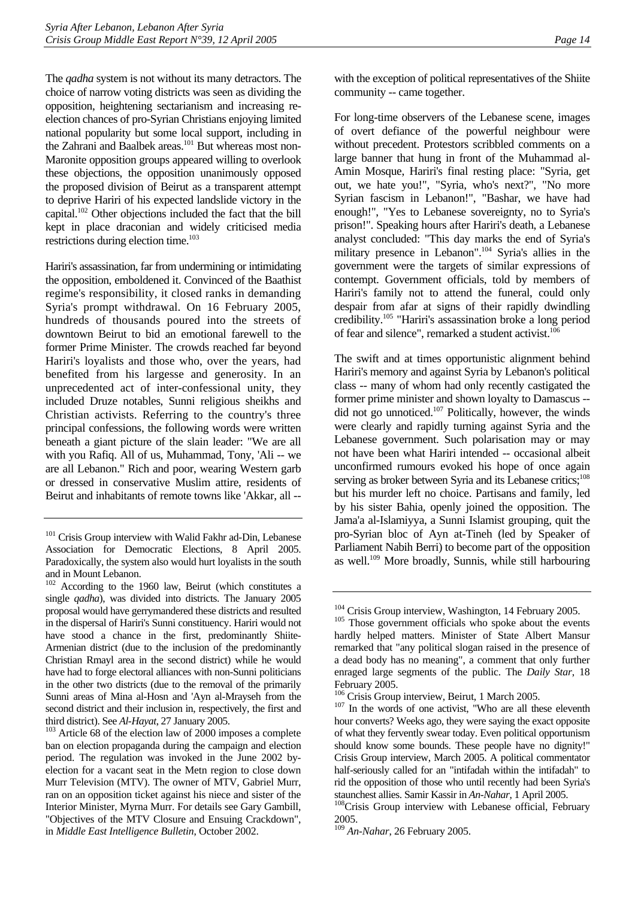The *qadha* system is not without its many detractors. The choice of narrow voting districts was seen as dividing the opposition, heightening sectarianism and increasing reelection chances of pro-Syrian Christians enjoying limited national popularity but some local support, including in the Zahrani and Baalbek areas.<sup>101</sup> But whereas most non-Maronite opposition groups appeared willing to overlook these objections, the opposition unanimously opposed the proposed division of Beirut as a transparent attempt to deprive Hariri of his expected landslide victory in the capital.[102 O](#page-18-1)ther objections included the fact that the bill kept in place draconian and widely criticised media restrictions during election time.<sup>103</sup>

Hariri's assassination, far from undermining or intimidating the opposition, emboldened it. Convinced of the Baathist regime's responsibility, it closed ranks in demanding Syria's prompt withdrawal. On 16 February 2005, hundreds of thousands poured into the streets of downtown Beirut to bid an emotional farewell to the former Prime Minister. The crowds reached far beyond Hariri's loyalists and those who, over the years, had benefited from his largesse and generosity. In an unprecedented act of inter-confessional unity, they included Druze notables, Sunni religious sheikhs and Christian activists. Referring to the country's three principal confessions, the following words were written beneath a giant picture of the slain leader: "We are all with you Rafiq. All of us, Muhammad, Tony, 'Ali -- we are all Lebanon." Rich and poor, wearing Western garb or dressed in conservative Muslim attire, residents of Beirut and inhabitants of remote towns like 'Akkar, all --

with the exception of political representatives of the Shiite community -- came together.

For long-time observers of the Lebanese scene, images of overt defiance of the powerful neighbour were without precedent. Protestors scribbled comments on a large banner that hung in front of the Muhammad al-Amin Mosque, Hariri's final resting place: "Syria, get out, we hate you!", "Syria, who's next?", "No more Syrian fascism in Lebanon!", "Bashar, we have had enough!", "Yes to Lebanese sovereignty, no to Syria's prison!". Speaking hours after Hariri's death, a Lebanese analyst concluded: "This day marks the end of Syria's military presence in Lebanon".[104](#page-18-3) Syria's allies in the government were the targets of similar expressions of contempt. Government officials, told by members of Hariri's family not to attend the funeral, could only despair from afar at signs of their rapidly dwindling credibility[.105 "](#page-18-4)Hariri's assassination broke a long period of fear and silence", remarked a student activist.<sup>106</sup>

The swift and at times opportunistic alignment behind Hariri's memory and against Syria by Lebanon's political class -- many of whom had only recently castigated the former prime minister and shown loyalty to Damascus - did not go unnoticed.<sup>107</sup> Politically, however, the winds were clearly and rapidly turning against Syria and the Lebanese government. Such polarisation may or may not have been what Hariri intended -- occasional albeit unconfirmed rumours evoked his hope of once again serving as broker between Syria and its Lebanese critics;<sup>108</sup> but his murder left no choice. Partisans and family, led by his sister Bahia, openly joined the opposition. The Jama'a al-Islamiyya, a Sunni Islamist grouping, quit the pro-Syrian bloc of Ayn at-Tineh (led by Speaker of Parliament Nabih Berri) to become part of the opposition as well.[109 M](#page-18-8)ore broadly, Sunnis, while still harbouring

<span id="page-18-0"></span><sup>&</sup>lt;sup>101</sup> Crisis Group interview with Walid Fakhr ad-Din, Lebanese Association for Democratic Elections, 8 April 2005. Paradoxically, the system also would hurt loyalists in the south and in Mount Lebanon.

<span id="page-18-1"></span><sup>102</sup> According to the 1960 law, Beirut (which constitutes a single *qadha*), was divided into districts. The January 2005 proposal would have gerrymandered these districts and resulted in the dispersal of Hariri's Sunni constituency. Hariri would not have stood a chance in the first, predominantly Shiite-Armenian district (due to the inclusion of the predominantly Christian Rmayl area in the second district) while he would have had to forge electoral alliances with non-Sunni politicians in the other two districts (due to the removal of the primarily Sunni areas of Mina al-Hosn and 'Ayn al-Mrayseh from the second district and their inclusion in, respectively, the first and

<span id="page-18-2"></span>third district). See *Al-Hayat*, 27 January 2005.<br><sup>103</sup> Article 68 of the election law of 2000 imposes a complete ban on election propaganda during the campaign and election period. The regulation was invoked in the June 2002 byelection for a vacant seat in the Metn region to close down Murr Television (MTV). The owner of MTV, Gabriel Murr, ran on an opposition ticket against his niece and sister of the Interior Minister, Myrna Murr. For details see Gary Gambill, "Objectives of the MTV Closure and Ensuing Crackdown", in *Middle East Intelligence Bulletin*, October 2002.

<span id="page-18-4"></span><span id="page-18-3"></span>

 $104$  Crisis Group interview, Washington, 14 February 2005.<br> $105$  Those government officials who spoke about the events hardly helped matters. Minister of State Albert Mansur remarked that "any political slogan raised in the presence of a dead body has no meaning", a comment that only further enraged large segments of the public. The *Daily Star*, 18 February 2005.<br><sup>106</sup> Crisis Group interview, Beirut, 1 March 2005.

<span id="page-18-5"></span>

<span id="page-18-6"></span> $107$  In the words of one activist, "Who are all these eleventh hour converts? Weeks ago, they were saying the exact opposite of what they fervently swear today. Even political opportunism should know some bounds. These people have no dignity!" Crisis Group interview, March 2005. A political commentator half-seriously called for an "intifadah within the intifadah" to rid the opposition of those who until recently had been Syria's

<span id="page-18-7"></span>staunchest allies. Samir Kassir in *An-Nahar*, 1 April 2005.<br><sup>108</sup>Crisis Group interview with Lebanese official, February 2005.

<span id="page-18-8"></span><sup>109</sup> *An-Nahar*, 26 February 2005.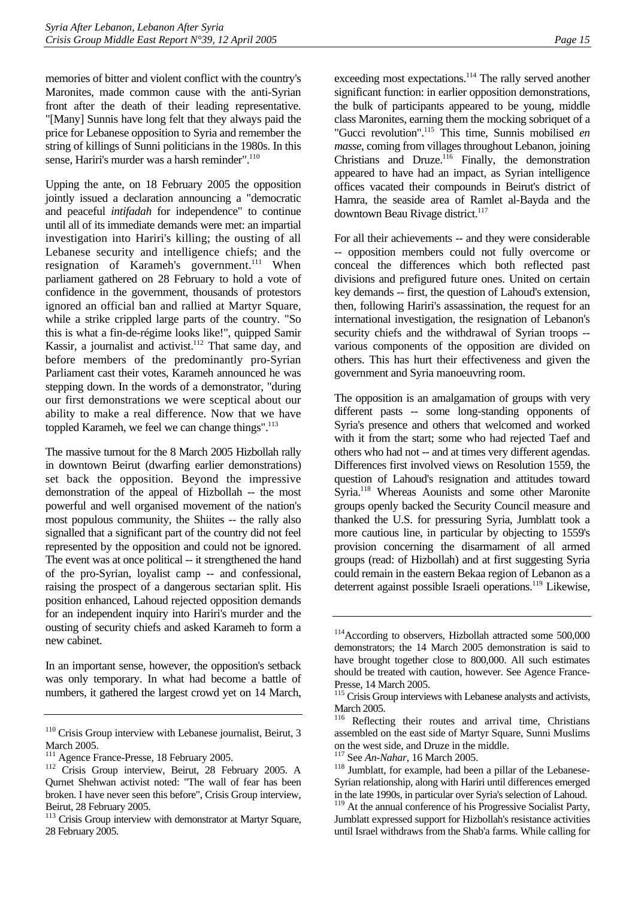memories of bitter and violent conflict with the country's Maronites, made common cause with the anti-Syrian front after the death of their leading representative. "[Many] Sunnis have long felt that they always paid the price for Lebanese opposition to Syria and remember the string of killings of Sunni politicians in the 1980s. In this sense, Hariri's murder was a harsh reminder".<sup>110</sup>

Upping the ante, on 18 February 2005 the opposition jointly issued a declaration announcing a "democratic and peaceful *intifadah* for independence" to continue until all of its immediate demands were met: an impartial investigation into Hariri's killing; the ousting of all Lebanese security and intelligence chiefs; and the resignation of Karameh's government.<sup>111</sup> When parliament gathered on 28 February to hold a vote of confidence in the government, thousands of protestors ignored an official ban and rallied at Martyr Square, while a strike crippled large parts of the country. "So this is what a fin-de-régime looks like!", quipped Samir Kassir, a journalist and activist.<sup>112</sup> That same day, and before members of the predominantly pro-Syrian Parliament cast their votes, Karameh announced he was stepping down. In the words of a demonstrator, "during our first demonstrations we were sceptical about our ability to make a real difference. Now that we have toppled Karameh, we feel we can change things".<sup>113</sup>

The massive turnout for the 8 March 2005 Hizbollah rally in downtown Beirut (dwarfing earlier demonstrations) set back the opposition. Beyond the impressive demonstration of the appeal of Hizbollah -- the most powerful and well organised movement of the nation's most populous community, the Shiites -- the rally also signalled that a significant part of the country did not feel represented by the opposition and could not be ignored. The event was at once political -- it strengthened the hand of the pro-Syrian, loyalist camp -- and confessional, raising the prospect of a dangerous sectarian split. His position enhanced, Lahoud rejected opposition demands for an independent inquiry into Hariri's murder and the ousting of security chiefs and asked Karameh to form a new cabinet.

In an important sense, however, the opposition's setback was only temporary. In what had become a battle of numbers, it gathered the largest crowd yet on 14 March, exceeding most expectations.<sup>114</sup> The rally served another significant function: in earlier opposition demonstrations, the bulk of participants appeared to be young, middle class Maronites, earning them the mocking sobriquet of a "Gucci revolution".[115](#page-19-5) This time, Sunnis mobilised *en masse*, coming from villages throughout Lebanon, joining Christians and Druze. $116$  Finally, the demonstration appeared to have had an impact, as Syrian intelligence offices vacated their compounds in Beirut's district of Hamra, the seaside area of Ramlet al-Bayda and the downtown Beau Rivage district.<sup>[117](#page-19-7)</sup>

For all their achievements -- and they were considerable -- opposition members could not fully overcome or conceal the differences which both reflected past divisions and prefigured future ones. United on certain key demands -- first, the question of Lahoud's extension, then, following Hariri's assassination, the request for an international investigation, the resignation of Lebanon's security chiefs and the withdrawal of Syrian troops - various components of the opposition are divided on others. This has hurt their effectiveness and given the government and Syria manoeuvring room.

The opposition is an amalgamation of groups with very different pasts -- some long-standing opponents of Syria's presence and others that welcomed and worked with it from the start; some who had rejected Taef and others who had not -- and at times very different agendas. Differences first involved views on Resolution 1559, the question of Lahoud's resignation and attitudes toward Syria.<sup>118</sup> Whereas Aounists and some other Maronite groups openly backed the Security Council measure and thanked the U.S. for pressuring Syria, Jumblatt took a more cautious line, in particular by objecting to 1559's provision concerning the disarmament of all armed groups (read: of Hizbollah) and at first suggesting Syria could remain in the eastern Bekaa region of Lebanon as a deterrent against possible Israeli operations.<sup>119</sup> Likewise,

<span id="page-19-0"></span><sup>&</sup>lt;sup>110</sup> Crisis Group interview with Lebanese journalist, Beirut, 3

<span id="page-19-1"></span>March 2005.<br><sup>111</sup> Agence France-Presse, 18 February 2005.

<span id="page-19-2"></span><sup>&</sup>lt;sup>112</sup> Crisis Group interview, Beirut, 28 February 2005. A Qurnet Shehwan activist noted: "The wall of fear has been broken. I have never seen this before", Crisis Group interview, Beirut, 28 February 2005.

<span id="page-19-3"></span><sup>&</sup>lt;sup>113</sup> Crisis Group interview with demonstrator at Martyr Square, 28 February 2005.

<span id="page-19-4"></span><sup>114</sup>According to observers, Hizbollah attracted some 500,000 demonstrators; the 14 March 2005 demonstration is said to have brought together close to 800,000. All such estimates should be treated with caution, however. See Agence France-Presse, 14 March 2005.

<span id="page-19-5"></span><sup>&</sup>lt;sup>115</sup> Crisis Group interviews with Lebanese analysts and activists, March 2005.

<span id="page-19-6"></span>Reflecting their routes and arrival time, Christians assembled on the east side of Martyr Square, Sunni Muslims on the west side, and Druze in the middle.<br> $117$  See *An-Nahar*, 16 March 2005.

<span id="page-19-7"></span>

<span id="page-19-8"></span><sup>&</sup>lt;sup>118</sup> Jumblatt, for example, had been a pillar of the Lebanese-Syrian relationship, along with Hariri until differences emerged in the late 1990s, in particular over Syria's selection of Lahoud.

<span id="page-19-9"></span><sup>&</sup>lt;sup>119</sup> At the annual conference of his Progressive Socialist Party, Jumblatt expressed support for Hizbollah's resistance activities until Israel withdraws from the Shab'a farms. While calling for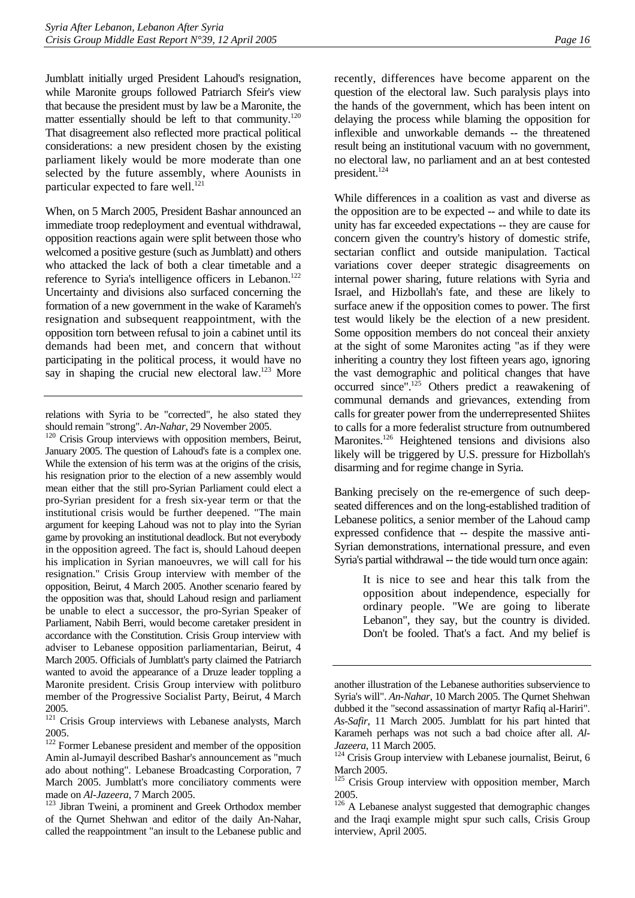Jumblatt initially urged President Lahoud's resignation, while Maronite groups followed Patriarch Sfeir's view that because the president must by law be a Maronite, the matter essentially should be left to that community.<sup>120</sup> That disagreement also reflected more practical political considerations: a new president chosen by the existing parliament likely would be more moderate than one selected by the future assembly, where Aounists in particular expected to fare well.<sup>121</sup>

When, on 5 March 2005, President Bashar announced an immediate troop redeployment and eventual withdrawal, opposition reactions again were split between those who welcomed a positive gesture (such as Jumblatt) and others who attacked the lack of both a clear timetable and a reference to Syria's intelligence officers in Lebanon.<sup>122</sup> Uncertainty and divisions also surfaced concerning the formation of a new government in the wake of Karameh's resignation and subsequent reappointment, with the opposition torn between refusal to join a cabinet until its demands had been met, and concern that without participating in the political process, it would have no say in shaping the crucial new electoral law.<sup>123</sup> More

<span id="page-20-0"></span>should remain "strong". *An-Nahar*, 29 November 2005.<br><sup>120</sup> Crisis Group interviews with opposition members, Beirut, January 2005. The question of Lahoud's fate is a complex one. While the extension of his term was at the origins of the crisis, his resignation prior to the election of a new assembly would mean either that the still pro-Syrian Parliament could elect a pro-Syrian president for a fresh six-year term or that the institutional crisis would be further deepened. "The main argument for keeping Lahoud was not to play into the Syrian game by provoking an institutional deadlock. But not everybody in the opposition agreed. The fact is, should Lahoud deepen his implication in Syrian manoeuvres, we will call for his resignation." Crisis Group interview with member of the opposition, Beirut, 4 March 2005. Another scenario feared by the opposition was that, should Lahoud resign and parliament be unable to elect a successor, the pro-Syrian Speaker of Parliament, Nabih Berri, would become caretaker president in accordance with the Constitution. Crisis Group interview with adviser to Lebanese opposition parliamentarian, Beirut, 4 March 2005. Officials of Jumblatt's party claimed the Patriarch wanted to avoid the appearance of a Druze leader toppling a Maronite president. Crisis Group interview with politburo member of the Progressive Socialist Party, Beirut, 4 March 2005.

recently, differences have become apparent on the question of the electoral law. Such paralysis plays into the hands of the government, which has been intent on delaying the process while blaming the opposition for inflexible and unworkable demands -- the threatened result being an institutional vacuum with no government, no electoral law, no parliament and an at best contested president.<sup>124</sup>

While differences in a coalition as vast and diverse as the opposition are to be expected -- and while to date its unity has far exceeded expectations -- they are cause for concern given the country's history of domestic strife, sectarian conflict and outside manipulation. Tactical variations cover deeper strategic disagreements on internal power sharing, future relations with Syria and Israel, and Hizbollah's fate, and these are likely to surface anew if the opposition comes to power. The first test would likely be the election of a new president. Some opposition members do not conceal their anxiety at the sight of some Maronites acting "as if they were inheriting a country they lost fifteen years ago, ignoring the vast demographic and political changes that have occurred since".[125](#page-20-5) Others predict a reawakening of communal demands and grievances, extending from calls for greater power from the underrepresented Shiites to calls for a more federalist structure from outnumbered Maronites.<sup>126</sup> Heightened tensions and divisions also likely will be triggered by U.S. pressure for Hizbollah's disarming and for regime change in Syria.

Banking precisely on the re-emergence of such deepseated differences and on the long-established tradition of Lebanese politics, a senior member of the Lahoud camp expressed confidence that -- despite the massive anti-Syrian demonstrations, international pressure, and even Syria's partial withdrawal -- the tide would turn once again:

> It is nice to see and hear this talk from the opposition about independence, especially for ordinary people. "We are going to liberate Lebanon", they say, but the country is divided. Don't be fooled. That's a fact. And my belief is

relations with Syria to be "corrected", he also stated they

<span id="page-20-1"></span><sup>&</sup>lt;sup>121</sup> Crisis Group interviews with Lebanese analysts, March 2005.

<span id="page-20-2"></span><sup>&</sup>lt;sup>122</sup> Former Lebanese president and member of the opposition Amin al-Jumayil described Bashar's announcement as "much ado about nothing". Lebanese Broadcasting Corporation, 7 March 2005. Jumblatt's more conciliatory comments were made on *Al-Jazeera*, 7 March 2005.<br><sup>123</sup> Jibran Tweini, a prominent and Greek Orthodox member

<span id="page-20-3"></span>of the Qurnet Shehwan and editor of the daily An-Nahar, called the reappointment "an insult to the Lebanese public and

another illustration of the Lebanese authorities subservience to Syria's will". *An-Nahar*, 10 March 2005. The Qurnet Shehwan dubbed it the "second assassination of martyr Rafiq al-Hariri". *As-Safir*, 11 March 2005. Jumblatt for his part hinted that Karameh perhaps was not such a bad choice after all. *Al-*

<span id="page-20-4"></span>*Jazeera*, 11 March 2005.<br><sup>124</sup> Crisis Group interview with Lebanese journalist, Beirut, 6 March 2005.

<span id="page-20-5"></span><sup>&</sup>lt;sup>125</sup> Crisis Group interview with opposition member, March 2005.

<span id="page-20-6"></span><sup>&</sup>lt;sup>126</sup> A Lebanese analyst suggested that demographic changes and the Iraqi example might spur such calls, Crisis Group interview, April 2005.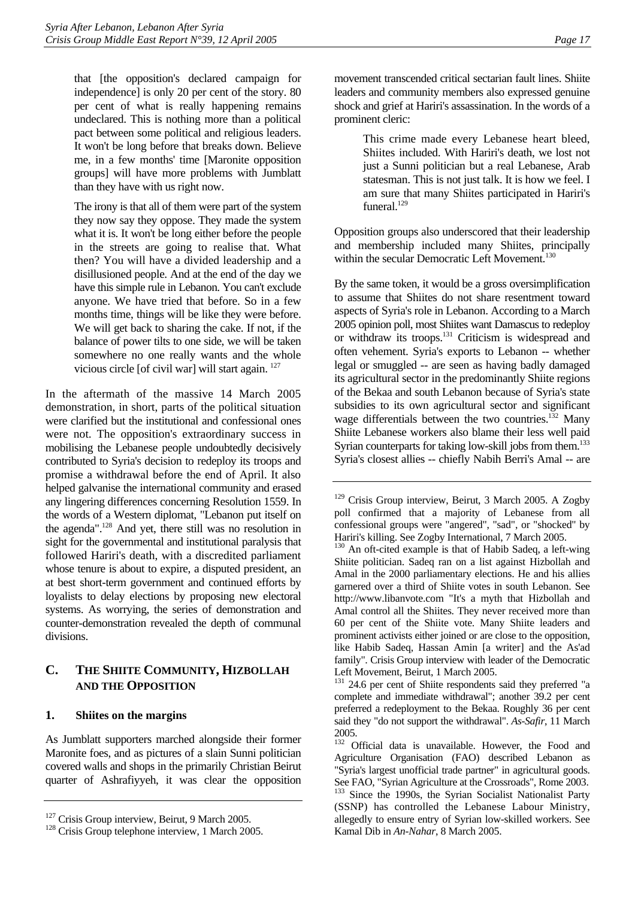that [the opposition's declared campaign for independence] is only 20 per cent of the story. 80 per cent of what is really happening remains undeclared. This is nothing more than a political pact between some political and religious leaders. It won't be long before that breaks down. Believe me, in a few months' time [Maronite opposition groups] will have more problems with Jumblatt than they have with us right now.

The irony is that all of them were part of the system they now say they oppose. They made the system what it is. It won't be long either before the people in the streets are going to realise that. What then? You will have a divided leadership and a disillusioned people. And at the end of the day we have this simple rule in Lebanon. You can't exclude anyone. We have tried that before. So in a few months time, things will be like they were before. We will get back to sharing the cake. If not, if the balance of power tilts to one side, we will be taken somewhere no one really wants and the whole vicious circle [of civil war] will start again. [127](#page-21-2) 

In the aftermath of the massive 14 March 2005 demonstration, in short, parts of the political situation were clarified but the institutional and confessional ones were not. The opposition's extraordinary success in mobilising the Lebanese people undoubtedly decisively contributed to Syria's decision to redeploy its troops and promise a withdrawal before the end of April. It also helped galvanise the international community and erased any lingering differences concerning Resolution 1559. In the words of a Western diplomat, "Lebanon put itself on the agenda".[128](#page-21-3) And yet, there still was no resolution in sight for the governmental and institutional paralysis that followed Hariri's death, with a discredited parliament whose tenure is about to expire, a disputed president, an at best short-term government and continued efforts by loyalists to delay elections by proposing new electoral systems. As worrying, the series of demonstration and counter-demonstration revealed the depth of communal divisions.

## <span id="page-21-0"></span>**C. THE SHIITE COMMUNITY, HIZBOLLAH AND THE OPPOSITION**

#### <span id="page-21-1"></span>**1. Shiites on the margins**

As Jumblatt supporters marched alongside their former Maronite foes, and as pictures of a slain Sunni politician covered walls and shops in the primarily Christian Beirut quarter of Ashrafiyyeh, it was clear the opposition movement transcended critical sectarian fault lines. Shiite leaders and community members also expressed genuine shock and grief at Hariri's assassination. In the words of a prominent cleric:

> This crime made every Lebanese heart bleed, Shiites included. With Hariri's death, we lost not just a Sunni politician but a real Lebanese, Arab statesman. This is not just talk. It is how we feel. I am sure that many Shiites participated in Hariri's funeral $129$

Opposition groups also underscored that their leadership and membership included many Shiites, principally within the secular Democratic Left Movement.<sup>130</sup>

By the same token, it would be a gross oversimplification to assume that Shiites do not share resentment toward aspects of Syria's role in Lebanon. According to a March 2005 opinion poll, most Shiites want Damascus to redeploy or withdraw its troops.[131](#page-21-6) Criticism is widespread and often vehement. Syria's exports to Lebanon -- whether legal or smuggled -- are seen as having badly damaged its agricultural sector in the predominantly Shiite regions of the Bekaa and south Lebanon because of Syria's state subsidies to its own agricultural sector and significant wage differentials between the two countries.<sup>132</sup> Many Shiite Lebanese workers also blame their less well paid Syrian counterparts for taking low-skill jobs from them.<sup>133</sup> Syria's closest allies -- chiefly Nabih Berri's Amal -- are

<span id="page-21-3"></span><span id="page-21-2"></span>

<sup>&</sup>lt;sup>127</sup> Crisis Group interview, Beirut, 9 March 2005.<br><sup>128</sup> Crisis Group telephone interview, 1 March 2005.

<span id="page-21-4"></span><sup>&</sup>lt;sup>129</sup> Crisis Group interview, Beirut, 3 March 2005. A Zogby poll confirmed that a majority of Lebanese from all confessional groups were "angered", "sad", or "shocked" by Hariri's killing. See Zogby International, 7 March 2005.

<span id="page-21-5"></span><sup>&</sup>lt;sup>130</sup> An oft-cited example is that of Habib Sadeq, a left-wing Shiite politician. Sadeq ran on a list against Hizbollah and Amal in the 2000 parliamentary elections. He and his allies garnered over a third of Shiite votes in south Lebanon. See http://www.libanvote.com "It's a myth that Hizbollah and Amal control all the Shiites. They never received more than 60 per cent of the Shiite vote. Many Shiite leaders and prominent activists either joined or are close to the opposition, like Habib Sadeq, Hassan Amin [a writer] and the As'ad family". Crisis Group interview with leader of the Democratic Left Movement, Beirut, 1 March 2005.

<span id="page-21-6"></span><sup>&</sup>lt;sup>131</sup> 24.6 per cent of Shiite respondents said they preferred "a complete and immediate withdrawal"; another 39.2 per cent preferred a redeployment to the Bekaa. Roughly 36 per cent said they "do not support the withdrawal". *As-Safir*, 11 March  $\frac{2005}{132}$ 

<span id="page-21-8"></span><span id="page-21-7"></span>Official data is unavailable. However, the Food and Agriculture Organisation (FAO) described Lebanon as "Syria's largest unofficial trade partner" in agricultural goods. See FAO, "Syrian Agriculture at the Crossroads", Rome 2003. <sup>133</sup> Since the 1990s, the Syrian Socialist Nationalist Party (SSNP) has controlled the Lebanese Labour Ministry, allegedly to ensure entry of Syrian low-skilled workers. See Kamal Dib in *An-Nahar*, 8 March 2005.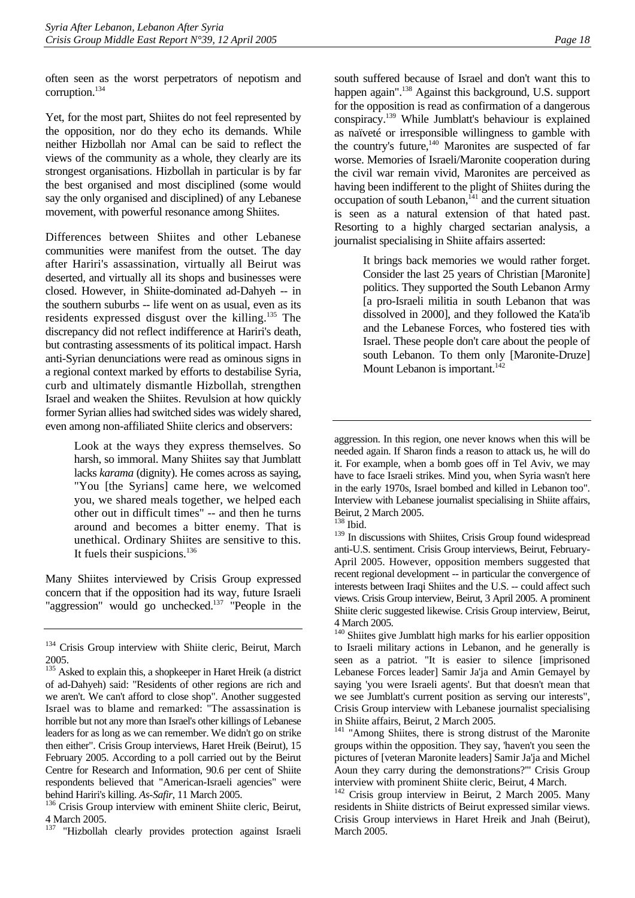often seen as the worst perpetrators of nepotism and corruption[.134](#page-22-0) 

Yet, for the most part, Shiites do not feel represented by the opposition, nor do they echo its demands. While neither Hizbollah nor Amal can be said to reflect the views of the community as a whole, they clearly are its strongest organisations. Hizbollah in particular is by far the best organised and most disciplined (some would say the only organised and disciplined) of any Lebanese movement, with powerful resonance among Shiites.

Differences between Shiites and other Lebanese communities were manifest from the outset. The day after Hariri's assassination, virtually all Beirut was deserted, and virtually all its shops and businesses were closed. However, in Shiite-dominated ad-Dahyeh -- in the southern suburbs -- life went on as usual, even as its residents expressed disgust over the killing.[135](#page-22-1) The discrepancy did not reflect indifference at Hariri's death, but contrasting assessments of its political impact. Harsh anti-Syrian denunciations were read as ominous signs in a regional context marked by efforts to destabilise Syria, curb and ultimately dismantle Hizbollah, strengthen Israel and weaken the Shiites. Revulsion at how quickly former Syrian allies had switched sides was widely shared, even among non-affiliated Shiite clerics and observers:

> Look at the ways they express themselves. So harsh, so immoral. Many Shiites say that Jumblatt lacks *karama* (dignity). He comes across as saying, "You [the Syrians] came here, we welcomed you, we shared meals together, we helped each other out in difficult times" -- and then he turns around and becomes a bitter enemy. That is unethical. Ordinary Shiites are sensitive to this. It fuels their suspicions. $136$

Many Shiites interviewed by Crisis Group expressed concern that if the opposition had its way, future Israeli "aggression" would go unchecked.<sup>137</sup> "People in the

south suffered because of Israel and don't want this to happen again".<sup>138</sup> Against this background, U.S. support for the opposition is read as confirmation of a dangerous conspiracy.[139](#page-22-5) While Jumblatt's behaviour is explained as naïveté or irresponsible willingness to gamble with the country's future, $140$  Maronites are suspected of far worse. Memories of Israeli/Maronite cooperation during the civil war remain vivid, Maronites are perceived as having been indifferent to the plight of Shiites during the  $occupation$  of south Lebanon, $^{141}$  and the current situation is seen as a natural extension of that hated past. Resorting to a highly charged sectarian analysis, a journalist specialising in Shiite affairs asserted:

> It brings back memories we would rather forget. Consider the last 25 years of Christian [Maronite] politics. They supported the South Lebanon Army [a pro-Israeli militia in south Lebanon that was dissolved in 2000], and they followed the Kata'ib and the Lebanese Forces, who fostered ties with Israel. These people don't care about the people of south Lebanon. To them only [Maronite-Druze] Mount Lebanon is important.<sup>142</sup>

<span id="page-22-0"></span><sup>&</sup>lt;sup>134</sup> Crisis Group interview with Shiite cleric, Beirut, March 2005.

<span id="page-22-1"></span><sup>&</sup>lt;sup>135</sup> Asked to explain this, a shopkeeper in Haret Hreik (a district of ad-Dahyeh) said: "Residents of other regions are rich and we aren't. We can't afford to close shop". Another suggested Israel was to blame and remarked: "The assassination is horrible but not any more than Israel's other killings of Lebanese leaders for as long as we can remember. We didn't go on strike then either". Crisis Group interviews, Haret Hreik (Beirut), 15 February 2005. According to a poll carried out by the Beirut Centre for Research and Information, 90.6 per cent of Shiite respondents believed that "American-Israeli agencies" were

<span id="page-22-2"></span>behind Hariri's killing. *As-Safir*, 11 March 2005.<br><sup>136</sup> Crisis Group interview with eminent Shiite cleric, Beirut, 4 March 2005.

<span id="page-22-3"></span><sup>137 &</sup>quot;Hizbollah clearly provides protection against Israeli

aggression. In this region, one never knows when this will be needed again. If Sharon finds a reason to attack us, he will do it. For example, when a bomb goes off in Tel Aviv, we may have to face Israeli strikes. Mind you, when Syria wasn't here in the early 1970s, Israel bombed and killed in Lebanon too". Interview with Lebanese journalist specialising in Shiite affairs, Beirut, 2 March 2005.

<span id="page-22-4"></span><sup>138</sup> Ibid.

<span id="page-22-5"></span><sup>&</sup>lt;sup>139</sup> In discussions with Shiites, Crisis Group found widespread anti-U.S. sentiment. Crisis Group interviews, Beirut, February-April 2005. However, opposition members suggested that recent regional development -- in particular the convergence of interests between Iraqi Shiites and the U.S. -- could affect such views. Crisis Group interview, Beirut, 3 April 2005. A prominent Shiite cleric suggested likewise. Crisis Group interview, Beirut, 4 March 2005.

<span id="page-22-6"></span><sup>&</sup>lt;sup>140</sup> Shiites give Jumblatt high marks for his earlier opposition to Israeli military actions in Lebanon, and he generally is seen as a patriot. "It is easier to silence [imprisoned Lebanese Forces leader] Samir Ja'ja and Amin Gemayel by saying 'you were Israeli agents'. But that doesn't mean that we see Jumblatt's current position as serving our interests", Crisis Group interview with Lebanese journalist specialising in Shiite affairs, Beirut, 2 March 2005.

<span id="page-22-7"></span><sup>&</sup>lt;sup>141</sup> "Among Shiites, there is strong distrust of the Maronite groups within the opposition. They say, 'haven't you seen the pictures of [veteran Maronite leaders] Samir Ja'ja and Michel Aoun they carry during the demonstrations?'" Crisis Group interview with prominent Shiite cleric, Beirut, 4 March.

<span id="page-22-8"></span><sup>&</sup>lt;sup>142</sup> Crisis group interview in Beirut, 2 March 2005. Many residents in Shiite districts of Beirut expressed similar views. Crisis Group interviews in Haret Hreik and Jnah (Beirut), March 2005.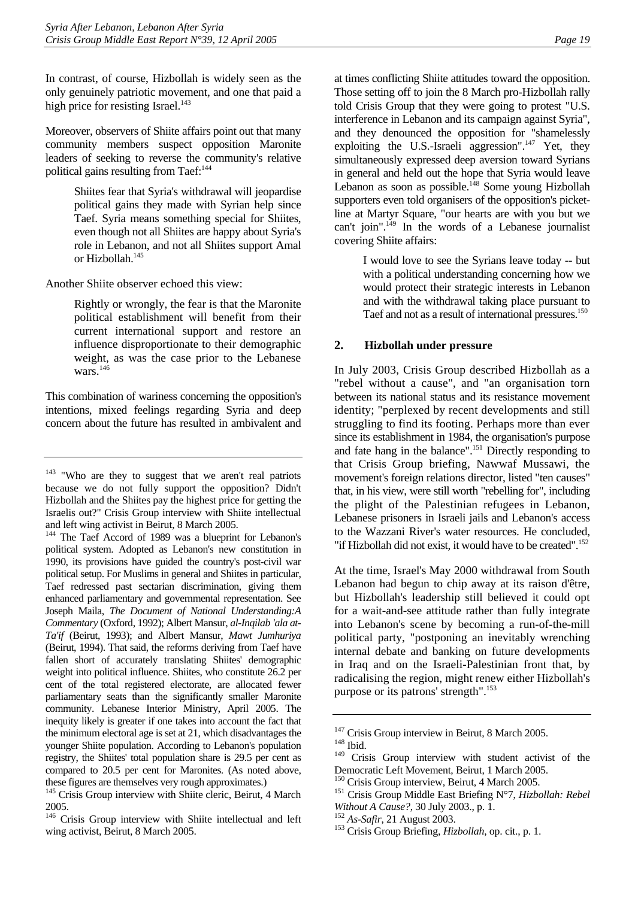In contrast, of course, Hizbollah is widely seen as the only genuinely patriotic movement, and one that paid a high price for resisting Israel. $143$ 

Moreover, observers of Shiite affairs point out that many community members suspect opposition Maronite leaders of seeking to reverse the community's relative political gains resulting from Taef:<sup>[144](#page-23-2)</sup>

> Shiites fear that Syria's withdrawal will jeopardise political gains they made with Syrian help since Taef. Syria means something special for Shiites, even though not all Shiites are happy about Syria's role in Lebanon, and not all Shiites support Amal or Hizbollah.<sup>145</sup>

Another Shiite observer echoed this view:

Rightly or wrongly, the fear is that the Maronite political establishment will benefit from their current international support and restore an influence disproportionate to their demographic weight, as was the case prior to the Lebanese wars $\frac{146}{1}$ 

This combination of wariness concerning the opposition's intentions, mixed feelings regarding Syria and deep concern about the future has resulted in ambivalent and

at times conflicting Shiite attitudes toward the opposition. Those setting off to join the 8 March pro-Hizbollah rally told Crisis Group that they were going to protest "U.S. interference in Lebanon and its campaign against Syria", and they denounced the opposition for "shamelessly exploiting the U.S.-Israeli aggression".<sup>147</sup> Yet, they simultaneously expressed deep aversion toward Syrians in general and held out the hope that Syria would leave Lebanon as soon as possible. $148$  Some young Hizbollah supporters even told organisers of the opposition's picketline at Martyr Square, "our hearts are with you but we can't join".<sup>149</sup> In the words of a Lebanese journalist covering Shiite affairs:

> I would love to see the Syrians leave today -- but with a political understanding concerning how we would protect their strategic interests in Lebanon and with the withdrawal taking place pursuant to Taef and not as a result of international pressures.<sup>[150](#page-23-8)</sup>

#### <span id="page-23-0"></span>**2. Hizbollah under pressure**

In July 2003, Crisis Group described Hizbollah as a "rebel without a cause", and "an organisation torn between its national status and its resistance movement identity; "perplexed by recent developments and still struggling to find its footing. Perhaps more than ever since its establishment in 1984, the organisation's purpose and fate hang in the balance".[151 D](#page-23-9)irectly responding to that Crisis Group briefing, Nawwaf Mussawi, the movement's foreign relations director, listed "ten causes" that, in his view, were still worth "rebelling for", including the plight of the Palestinian refugees in Lebanon, Lebanese prisoners in Israeli jails and Lebanon's access to the Wazzani River's water resources. He concluded, "if Hizbollah did not exist, it would have to be created".<sup>152</sup>

At the time, Israel's May 2000 withdrawal from South Lebanon had begun to chip away at its raison d'être, but Hizbollah's leadership still believed it could opt for a wait-and-see attitude rather than fully integrate into Lebanon's scene by becoming a run-of-the-mill political party, "postponing an inevitably wrenching internal debate and banking on future developments in Iraq and on the Israeli-Palestinian front that, by radicalising the region, might renew either Hizbollah's purpose or its patrons' strength".<sup>[153](#page-23-11)</sup>

<span id="page-23-1"></span><sup>&</sup>lt;sup>143</sup> "Who are they to suggest that we aren't real patriots because we do not fully support the opposition? Didn't Hizbollah and the Shiites pay the highest price for getting the Israelis out?" Crisis Group interview with Shiite intellectual and left wing activist in Beirut, 8 March 2005.

<span id="page-23-2"></span><sup>&</sup>lt;sup>144</sup> The Taef Accord of 1989 was a blueprint for Lebanon's political system. Adopted as Lebanon's new constitution in 1990, its provisions have guided the country's post-civil war political setup. For Muslims in general and Shiites in particular, Taef redressed past sectarian discrimination, giving them enhanced parliamentary and governmental representation. See Joseph Maila, *The Document of National Understanding:A Commentary* (Oxford, 1992); Albert Mansur, *al-Inqilab 'ala at-Ta'if* (Beirut, 1993); and Albert Mansur, *Mawt Jumhuriya*  (Beirut, 1994). That said, the reforms deriving from Taef have fallen short of accurately translating Shiites' demographic weight into political influence. Shiites, who constitute 26.2 per cent of the total registered electorate, are allocated fewer parliamentary seats than the significantly smaller Maronite community. Lebanese Interior Ministry, April 2005. The inequity likely is greater if one takes into account the fact that the minimum electoral age is set at 21, which disadvantages the younger Shiite population. According to Lebanon's population registry, the Shiites' total population share is 29.5 per cent as compared to 20.5 per cent for Maronites. (As noted above, these figures are themselves very rough approximates.)

<span id="page-23-3"></span><sup>&</sup>lt;sup>145</sup> Crisis Group interview with Shiite cleric, Beirut, 4 March 2005.

<span id="page-23-4"></span><sup>&</sup>lt;sup>146</sup> Crisis Group interview with Shiite intellectual and left wing activist, Beirut, 8 March 2005.

<span id="page-23-5"></span><sup>&</sup>lt;sup>147</sup> Crisis Group interview in Beirut, 8 March 2005.<br><sup>148</sup> Ibid.<br><sup>149</sup> Crisis Group interview, with student activity

<span id="page-23-6"></span>

<span id="page-23-7"></span>Crisis Group interview with student activist of the Democratic Left Movement, Beirut, 1 March 2005.

<span id="page-23-8"></span>

<span id="page-23-9"></span><sup>&</sup>lt;sup>151</sup> Crisis Group Middle East Briefing N°7, *Hizbollah: Rebel Without A Cause?*, 30 July 2003., p. 1. <sup>152</sup> *As-Safir*, 21 August 2003. 153 Crisis Group Briefing, *Hizbollah*, op. cit., p. 1.

<span id="page-23-10"></span>

<span id="page-23-11"></span>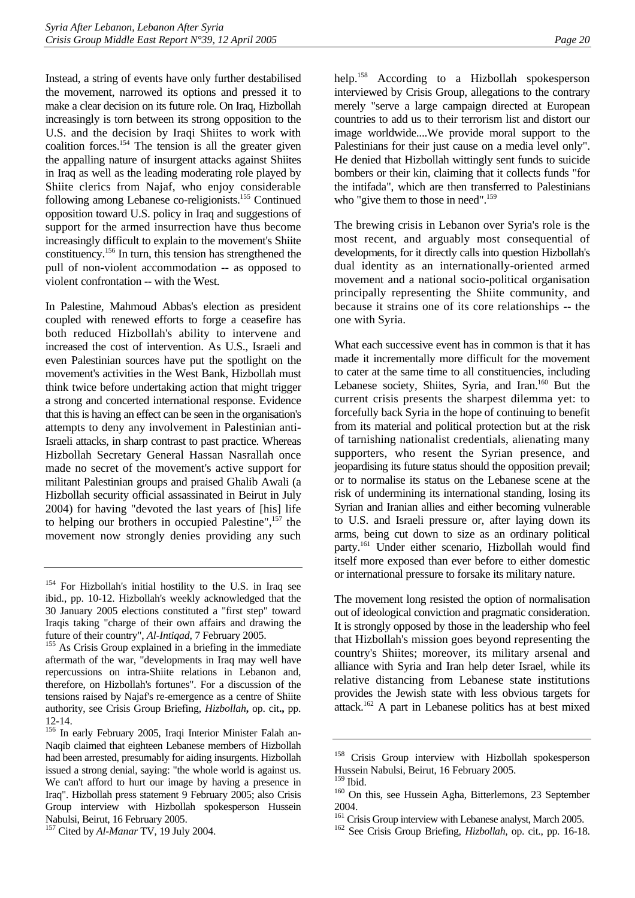Instead, a string of events have only further destabilised the movement, narrowed its options and pressed it to make a clear decision on its future role. On Iraq, Hizbollah increasingly is torn between its strong opposition to the U.S. and the decision by Iraqi Shiites to work with coalition forces.<sup>154</sup> The tension is all the greater given the appalling nature of insurgent attacks against Shiites in Iraq as well as the leading moderating role played by Shiite clerics from Najaf, who enjoy considerable following among Lebanese co-religionists.<sup>155</sup> Continued opposition toward U.S. policy in Iraq and suggestions of support for the armed insurrection have thus become increasingly difficult to explain to the movement's Shiite constituency[.156 I](#page-24-2)n turn, this tension has strengthened the pull of non-violent accommodation -- as opposed to violent confrontation -- with the West.

In Palestine, Mahmoud Abbas's election as president coupled with renewed efforts to forge a ceasefire has both reduced Hizbollah's ability to intervene and increased the cost of intervention. As U.S., Israeli and even Palestinian sources have put the spotlight on the movement's activities in the West Bank, Hizbollah must think twice before undertaking action that might trigger a strong and concerted international response. Evidence that this is having an effect can be seen in the organisation's attempts to deny any involvement in Palestinian anti-Israeli attacks, in sharp contrast to past practice. Whereas Hizbollah Secretary General Hassan Nasrallah once made no secret of the movement's active support for militant Palestinian groups and praised Ghalib Awali (a Hizbollah security official assassinated in Beirut in July 2004) for having "devoted the last years of [his] life to helping our brothers in occupied Palestine",<sup>157</sup> the movement now strongly denies providing any such help.[158](#page-24-4) According to a Hizbollah spokesperson interviewed by Crisis Group, allegations to the contrary merely "serve a large campaign directed at European countries to add us to their terrorism list and distort our image worldwide....We provide moral support to the Palestinians for their just cause on a media level only". He denied that Hizbollah wittingly sent funds to suicide bombers or their kin, claiming that it collects funds "for the intifada", which are then transferred to Palestinians who "give them to those in need".<sup>159</sup>

The brewing crisis in Lebanon over Syria's role is the most recent, and arguably most consequential of developments, for it directly calls into question Hizbollah's dual identity as an internationally-oriented armed movement and a national socio-political organisation principally representing the Shiite community, and because it strains one of its core relationships -- the one with Syria.

What each successive event has in common is that it has made it incrementally more difficult for the movement to cater at the same time to all constituencies, including Lebanese society, Shiites, Syria, and Iran.<sup>160</sup> But the current crisis presents the sharpest dilemma yet: to forcefully back Syria in the hope of continuing to benefit from its material and political protection but at the risk of tarnishing nationalist credentials, alienating many supporters, who resent the Syrian presence, and jeopardising its future status should the opposition prevail; or to normalise its status on the Lebanese scene at the risk of undermining its international standing, losing its Syrian and Iranian allies and either becoming vulnerable to U.S. and Israeli pressure or, after laying down its arms, being cut down to size as an ordinary political party.[161](#page-24-7) Under either scenario, Hizbollah would find itself more exposed than ever before to either domestic or international pressure to forsake its military nature.

The movement long resisted the option of normalisation out of ideological conviction and pragmatic consideration. It is strongly opposed by those in the leadership who feel that Hizbollah's mission goes beyond representing the country's Shiites; moreover, its military arsenal and alliance with Syria and Iran help deter Israel, while its relative distancing from Lebanese state institutions provides the Jewish state with less obvious targets for attack.<sup>162</sup> A part in Lebanese politics has at best mixed

<span id="page-24-0"></span><sup>&</sup>lt;sup>154</sup> For Hizbollah's initial hostility to the U.S. in Iraq see ibid., pp. 10-12. Hizbollah's weekly acknowledged that the 30 January 2005 elections constituted a "first step" toward Iraqis taking "charge of their own affairs and drawing the future of their country", *Al-Intiqad*, 7 February 2005.<br><sup>155</sup> As Crisis Group explained in a briefing in the immediate

<span id="page-24-1"></span>aftermath of the war, "developments in Iraq may well have repercussions on intra-Shiite relations in Lebanon and, therefore, on Hizbollah's fortunes". For a discussion of the tensions raised by Najaf's re-emergence as a centre of Shiite authority, see Crisis Group Briefing, *Hizbollah***,** op. cit**.,** pp. 12-14.

<span id="page-24-2"></span><sup>156</sup> In early February 2005, Iraqi Interior Minister Falah an-Naqib claimed that eighteen Lebanese members of Hizbollah had been arrested, presumably for aiding insurgents. Hizbollah issued a strong denial, saying: "the whole world is against us. We can't afford to hurt our image by having a presence in Iraq". Hizbollah press statement 9 February 2005; also Crisis Group interview with Hizbollah spokesperson Hussein Nabulsi, Beirut, 16 February 2005.

<span id="page-24-3"></span><sup>157</sup> Cited by *Al-Manar* TV, 19 July 2004.

<span id="page-24-4"></span><sup>&</sup>lt;sup>158</sup> Crisis Group interview with Hizbollah spokesperson Hussein Nabulsi, Beirut, 16 February 2005.

<span id="page-24-6"></span><span id="page-24-5"></span><sup>&</sup>lt;sup>160</sup> On this, see Hussein Agha, Bitterlemons, 23 September

<span id="page-24-7"></span><sup>2004.&</sup>lt;br><sup>161</sup> Crisis Group interview with Lebanese analyst, March 2005.

<span id="page-24-8"></span><sup>&</sup>lt;sup>162</sup> See Crisis Group Briefing, *Hizbollah*, op. cit., pp. 16-18.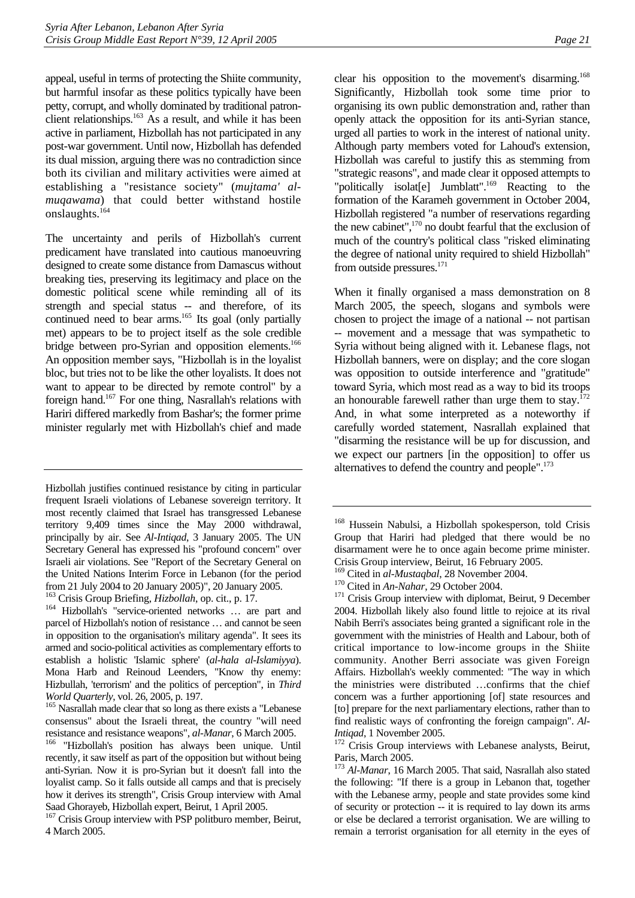appeal, useful in terms of protecting the Shiite community, but harmful insofar as these politics typically have been petty, corrupt, and wholly dominated by traditional patronclient relationships.<sup>163</sup> As a result, and while it has been active in parliament, Hizbollah has not participated in any post-war government. Until now, Hizbollah has defended its dual mission, arguing there was no contradiction since both its civilian and military activities were aimed at establishing a "resistance society" (*mujtama' almuqawama*) that could better withstand hostile onslaughts.[164](#page-25-1)

The uncertainty and perils of Hizbollah's current predicament have translated into cautious manoeuvring designed to create some distance from Damascus without breaking ties, preserving its legitimacy and place on the domestic political scene while reminding all of its strength and special status -- and therefore, of its continued need to bear arms.<sup>165</sup> Its goal (only partially met) appears to be to project itself as the sole credible bridge between pro-Syrian and opposition elements.<sup>166</sup> An opposition member says, "Hizbollah is in the loyalist bloc, but tries not to be like the other loyalists. It does not want to appear to be directed by remote control" by a foreign hand[.167 F](#page-25-4)or one thing, Nasrallah's relations with Hariri differed markedly from Bashar's; the former prime minister regularly met with Hizbollah's chief and made

Hizbollah justifies continued resistance by citing in particular frequent Israeli violations of Lebanese sovereign territory. It most recently claimed that Israel has transgressed Lebanese territory 9,409 times since the May 2000 withdrawal, principally by air. See *Al-Intiqad*, 3 January 2005. The UN Secretary General has expressed his "profound concern" over Israeli air violations. See "Report of the Secretary General on the United Nations Interim Force in Lebanon (for the period from 21 July 2004 to 20 January 2005)", 20 January 2005.<br><sup>163</sup> Crisis Group Briefing, *Hizbollah*, op. cit., p. 17.

<span id="page-25-1"></span><span id="page-25-0"></span><sup>164</sup> Hizbollah's "service-oriented networks ... are part and parcel of Hizbollah's notion of resistance … and cannot be seen in opposition to the organisation's military agenda". It sees its armed and socio-political activities as complementary efforts to establish a holistic 'Islamic sphere' (*al-hala al-Islamiyya*). Mona Harb and Reinoud Leenders, "Know thy enemy: Hizbullah, 'terrorism' and the politics of perception", in *Third* 

<span id="page-25-2"></span>*World Quarterly*, vol. 26, 2005, p. 197.<br><sup>165</sup> Nasrallah made clear that so long as there exists a "Lebanese" consensus" about the Israeli threat, the country "will need resistance and resistance weapons", *al-Manar*, 6 March 2005. 166 "Hizbollah's position has always been unique. Until

<span id="page-25-3"></span>recently, it saw itself as part of the opposition but without being anti-Syrian. Now it is pro-Syrian but it doesn't fall into the loyalist camp. So it falls outside all camps and that is precisely how it derives its strength", Crisis Group interview with Amal Saad Ghorayeb, Hizbollah expert, Beirut, 1 April 2005.

<span id="page-25-4"></span><sup>167</sup> Crisis Group interview with PSP politburo member, Beirut, 4 March 2005.

clear his opposition to the movement's disarming.<sup>168</sup> Significantly, Hizbollah took some time prior to organising its own public demonstration and, rather than openly attack the opposition for its anti-Syrian stance, urged all parties to work in the interest of national unity. Although party members voted for Lahoud's extension, Hizbollah was careful to justify this as stemming from "strategic reasons", and made clear it opposed attempts to "politically isolat[e] Jumblatt".<sup>169</sup> Reacting to the formation of the Karameh government in October 2004, Hizbollah registered "a number of reservations regarding the new cabinet", $170$  no doubt fearful that the exclusion of much of the country's political class "risked eliminating the degree of national unity required to shield Hizbollah" from outside pressures.<sup>171</sup>

When it finally organised a mass demonstration on 8 March 2005, the speech, slogans and symbols were chosen to project the image of a national -- not partisan -- movement and a message that was sympathetic to Syria without being aligned with it. Lebanese flags, not Hizbollah banners, were on display; and the core slogan was opposition to outside interference and "gratitude" toward Syria, which most read as a way to bid its troops an honourable farewell rather than urge them to stay. $172$ And, in what some interpreted as a noteworthy if carefully worded statement, Nasrallah explained that "disarming the resistance will be up for discussion, and we expect our partners [in the opposition] to offer us alternatives to defend the country and people".<sup>173</sup>

<span id="page-25-6"></span>

<span id="page-25-8"></span><span id="page-25-7"></span>

<span id="page-25-5"></span><sup>&</sup>lt;sup>168</sup> Hussein Nabulsi, a Hizbollah spokesperson, told Crisis Group that Hariri had pledged that there would be no disarmament were he to once again become prime minister. Crisis Group interview, Beirut, 16 February 2005.<br><sup>169</sup> Cited in *al-Mustaqbal*, 28 November 2004.

<sup>&</sup>lt;sup>170</sup> Cited in *An-Nahar*, 29 October 2004. <sup>171</sup> Crisis Group interview with diplomat, Beirut, 9 December 2004. Hizbollah likely also found little to rejoice at its rival Nabih Berri's associates being granted a significant role in the government with the ministries of Health and Labour, both of critical importance to low-income groups in the Shiite community. Another Berri associate was given Foreign Affairs. Hizbollah's weekly commented: "The way in which the ministries were distributed …confirms that the chief concern was a further apportioning [of] state resources and [to] prepare for the next parliamentary elections, rather than to find realistic ways of confronting the foreign campaign". *Al-Intiqad*, 1 November 2005.<br><sup>172</sup> Crisis Group interviews with Lebanese analysts, Beirut,

<span id="page-25-9"></span>Paris, March 2005.

<span id="page-25-10"></span><sup>&</sup>lt;sup>173</sup> Al-Manar, 16 March 2005. That said, Nasrallah also stated the following: "If there is a group in Lebanon that, together with the Lebanese army, people and state provides some kind of security or protection -- it is required to lay down its arms or else be declared a terrorist organisation. We are willing to remain a terrorist organisation for all eternity in the eyes of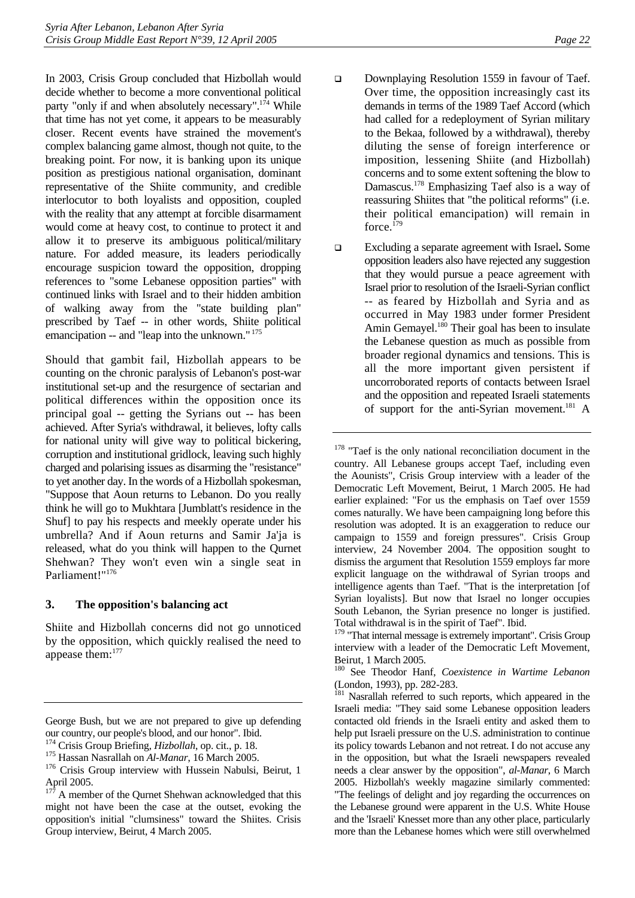In 2003, Crisis Group concluded that Hizbollah would decide whether to become a more conventional political party "only if and when absolutely necessary".<sup>174</sup> While that time has not yet come, it appears to be measurably closer. Recent events have strained the movement's complex balancing game almost, though not quite, to the breaking point. For now, it is banking upon its unique position as prestigious national organisation, dominant representative of the Shiite community, and credible interlocutor to both loyalists and opposition, coupled with the reality that any attempt at forcible disarmament would come at heavy cost, to continue to protect it and allow it to preserve its ambiguous political/military nature. For added measure, its leaders periodically encourage suspicion toward the opposition, dropping references to "some Lebanese opposition parties" with continued links with Israel and to their hidden ambition of walking away from the "state building plan" prescribed by Taef -- in other words, Shiite political emancipation -- and "leap into the unknown." [175](#page-26-2) 

Should that gambit fail, Hizbollah appears to be counting on the chronic paralysis of Lebanon's post-war institutional set-up and the resurgence of sectarian and political differences within the opposition once its principal goal -- getting the Syrians out -- has been achieved. After Syria's withdrawal, it believes, lofty calls for national unity will give way to political bickering, corruption and institutional gridlock, leaving such highly charged and polarising issues as disarming the "resistance" to yet another day. In the words of a Hizbollah spokesman, "Suppose that Aoun returns to Lebanon. Do you really think he will go to Mukhtara [Jumblatt's residence in the Shuf] to pay his respects and meekly operate under his umbrella? And if Aoun returns and Samir Ja'ja is released, what do you think will happen to the Qurnet Shehwan? They won't even win a single seat in Parliament!"<sup>176</sup>

#### <span id="page-26-0"></span>**3. The opposition's balancing act**

Shiite and Hizbollah concerns did not go unnoticed by the opposition, which quickly realised the need to appease them:[177](#page-26-4)

- Downplaying Resolution 1559 in favour of Taef. Over time, the opposition increasingly cast its demands in terms of the 1989 Taef Accord (which had called for a redeployment of Syrian military to the Bekaa, followed by a withdrawal), thereby diluting the sense of foreign interference or imposition, lessening Shiite (and Hizbollah) concerns and to some extent softening the blow to Damascus.[178 E](#page-26-5)mphasizing Taef also is a way of reassuring Shiites that "the political reforms" (i.e. their political emancipation) will remain in force.<sup>179</sup>
- Excluding a separate agreement with Israel**.** Some opposition leaders also have rejected any suggestion that they would pursue a peace agreement with Israel prior to resolution of the Israeli-Syrian conflict -- as feared by Hizbollah and Syria and as occurred in May 1983 under former President Amin Gemayel.<sup>180</sup> Their goal has been to insulate the Lebanese question as much as possible from broader regional dynamics and tensions. This is all the more important given persistent if uncorroborated reports of contacts between Israel and the opposition and repeated Israeli statements of support for the anti-Syrian movement.<sup>181</sup> A

<span id="page-26-7"></span>180 See Theodor Hanf, *Coexistence in Wartime Lebanon* (London, 1993), pp. 282-283.

George Bush, but we are not prepared to give up defending our country, our people's blood, and our honor". Ibid.<br><sup>174</sup> Crisis Group Briefing, *Hizbollah*, op. cit., p. 18.

<span id="page-26-1"></span>

<span id="page-26-2"></span><sup>&</sup>lt;sup>175</sup> Hassan Nasrallah on *Al-Manar*, 16 March 2005.

<span id="page-26-3"></span><sup>&</sup>lt;sup>176</sup> Crisis Group interview with Hussein Nabulsi, Beirut, 1 April 2005.

<span id="page-26-4"></span>A member of the Qurnet Shehwan acknowledged that this might not have been the case at the outset, evoking the opposition's initial "clumsiness" toward the Shiites. Crisis Group interview, Beirut, 4 March 2005.

<span id="page-26-5"></span><sup>&</sup>lt;sup>178</sup> "Taef is the only national reconciliation document in the country. All Lebanese groups accept Taef, including even the Aounists", Crisis Group interview with a leader of the Democratic Left Movement, Beirut, 1 March 2005. He had earlier explained: "For us the emphasis on Taef over 1559 comes naturally. We have been campaigning long before this resolution was adopted. It is an exaggeration to reduce our campaign to 1559 and foreign pressures". Crisis Group interview, 24 November 2004. The opposition sought to dismiss the argument that Resolution 1559 employs far more explicit language on the withdrawal of Syrian troops and intelligence agents than Taef. "That is the interpretation [of Syrian loyalists]. But now that Israel no longer occupies South Lebanon, the Syrian presence no longer is justified. Total withdrawal is in the spirit of Taef". Ibid.

<span id="page-26-6"></span><sup>&</sup>lt;sup>179</sup> "That internal message is extremely important". Crisis Group interview with a leader of the Democratic Left Movement, Beirut, 1 March 2005.

<span id="page-26-8"></span><sup>&</sup>lt;sup>181</sup> Nasrallah referred to such reports, which appeared in the Israeli media: "They said some Lebanese opposition leaders contacted old friends in the Israeli entity and asked them to help put Israeli pressure on the U.S. administration to continue its policy towards Lebanon and not retreat. I do not accuse any in the opposition, but what the Israeli newspapers revealed needs a clear answer by the opposition", *al-Manar*, 6 March 2005. Hizbollah's weekly magazine similarly commented: "The feelings of delight and joy regarding the occurrences on the Lebanese ground were apparent in the U.S. White House and the 'Israeli' Knesset more than any other place, particularly more than the Lebanese homes which were still overwhelmed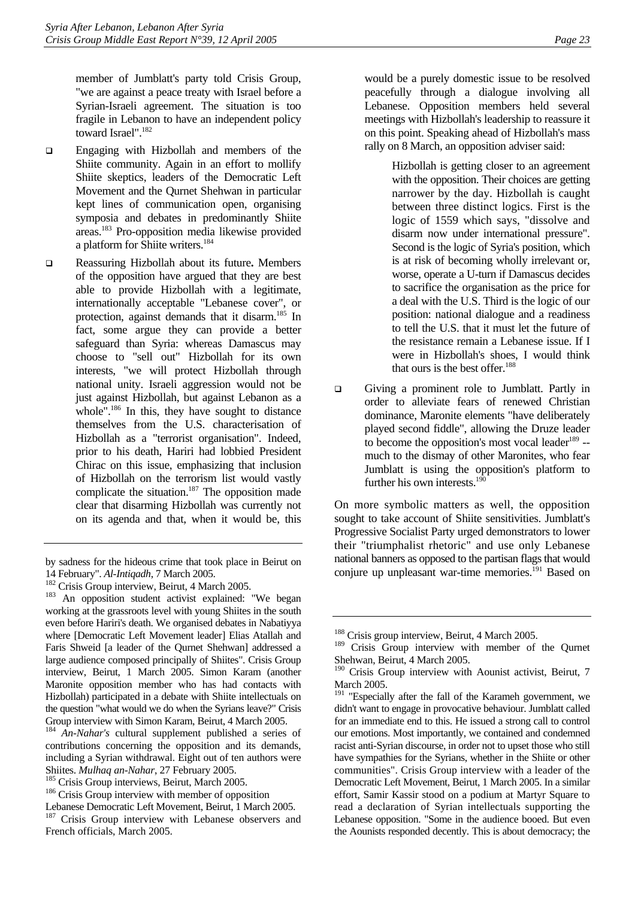member of Jumblatt's party told Crisis Group, "we are against a peace treaty with Israel before a Syrian-Israeli agreement. The situation is too fragile in Lebanon to have an independent policy toward Israel".<sup>[182](#page-27-0)</sup>

- Engaging with Hizbollah and members of the Shiite community. Again in an effort to mollify Shiite skeptics, leaders of the Democratic Left Movement and the Qurnet Shehwan in particular kept lines of communication open, organising symposia and debates in predominantly Shiite areas[.183 P](#page-27-1)ro-opposition media likewise provided a platform for Shiite writers.[184](#page-27-2)
- Reassuring Hizbollah about its future**.** Members of the opposition have argued that they are best able to provide Hizbollah with a legitimate, internationally acceptable "Lebanese cover", or protection, against demands that it disarm.[185](#page-27-3) In fact, some argue they can provide a better safeguard than Syria: whereas Damascus may choose to "sell out" Hizbollah for its own interests, "we will protect Hizbollah through national unity. Israeli aggression would not be just against Hizbollah, but against Lebanon as a whole".<sup>186</sup> In this, they have sought to distance themselves from the U.S. characterisation of Hizbollah as a "terrorist organisation". Indeed, prior to his death, Hariri had lobbied President Chirac on this issue, emphasizing that inclusion of Hizbollah on the terrorism list would vastly complicate the situation.<sup>187</sup> The opposition made clear that disarming Hizbollah was currently not on its agenda and that, when it would be, this

would be a purely domestic issue to be resolved peacefully through a dialogue involving all Lebanese. Opposition members held several meetings with Hizbollah's leadership to reassure it on this point. Speaking ahead of Hizbollah's mass rally on 8 March, an opposition adviser said:

> Hizbollah is getting closer to an agreement with the opposition. Their choices are getting narrower by the day. Hizbollah is caught between three distinct logics. First is the logic of 1559 which says, "dissolve and disarm now under international pressure". Second is the logic of Syria's position, which is at risk of becoming wholly irrelevant or, worse, operate a U-turn if Damascus decides to sacrifice the organisation as the price for a deal with the U.S. Third is the logic of our position: national dialogue and a readiness to tell the U.S. that it must let the future of the resistance remain a Lebanese issue. If I were in Hizbollah's shoes, I would think that ours is the best offer. $188$

 Giving a prominent role to Jumblatt. Partly in order to alleviate fears of renewed Christian dominance, Maronite elements "have deliberately played second fiddle", allowing the Druze leader to become the opposition's most vocal leader<sup>189</sup>  $$ much to the dismay of other Maronites, who fear Jumblatt is using the opposition's platform to further his own interests.<sup>190</sup>

On more symbolic matters as well, the opposition sought to take account of Shiite sensitivities. Jumblatt's Progressive Socialist Party urged demonstrators to lower their "triumphalist rhetoric" and use only Lebanese national banners as opposed to the partisan flags that would conjure up unpleasant war-time memories.<sup>191</sup> Based on

by sadness for the hideous crime that took place in Beirut on 14 February". *Al-Intiqadh*, 7 March 2005.<br><sup>182</sup> Crisis Group interview, Beirut, 4 March 2005.<br><sup>183</sup> An opposition student activist explained: "We began

<span id="page-27-0"></span>

<span id="page-27-1"></span>working at the grassroots level with young Shiites in the south even before Hariri's death. We organised debates in Nabatiyya where [Democratic Left Movement leader] Elias Atallah and Faris Shweid [a leader of the Qurnet Shehwan] addressed a large audience composed principally of Shiites". Crisis Group interview, Beirut, 1 March 2005. Simon Karam (another Maronite opposition member who has had contacts with Hizbollah) participated in a debate with Shiite intellectuals on the question "what would we do when the Syrians leave?" Crisis Group interview with Simon Karam, Beirut, 4 March 2005.<br><sup>184</sup> An-*Nahar's* cultural supplement published a series

<span id="page-27-2"></span><sup>184</sup> *An-Nahar's* cultural supplement published a series of contributions concerning the opposition and its demands, including a Syrian withdrawal. Eight out of ten authors were

<span id="page-27-4"></span><span id="page-27-3"></span>

Shiites. *Mulhaq an-Nahar*, 27 February 2005.<br><sup>185</sup> Crisis Group interviews, Beirut, March 2005.<br><sup>186</sup> Crisis Group interview with member of opposition

<span id="page-27-5"></span>Lebanese Democratic Left Movement, Beirut, 1 March 2005. <sup>187</sup> Crisis Group interview with Lebanese observers and French officials, March 2005.

<span id="page-27-6"></span><sup>&</sup>lt;sup>188</sup> Crisis group interview, Beirut, 4 March 2005.

<span id="page-27-7"></span><sup>&</sup>lt;sup>189</sup> Crisis Group interview with member of the Qurnet Shehwan, Beirut, 4 March 2005.

<span id="page-27-8"></span><sup>&</sup>lt;sup>190</sup> Crisis Group interview with Aounist activist, Beirut, 7 March 2005.

<span id="page-27-9"></span><sup>&</sup>lt;sup>191</sup> "Especially after the fall of the Karameh government, we didn't want to engage in provocative behaviour. Jumblatt called for an immediate end to this. He issued a strong call to control our emotions. Most importantly, we contained and condemned racist anti-Syrian discourse, in order not to upset those who still have sympathies for the Syrians, whether in the Shiite or other communities". Crisis Group interview with a leader of the Democratic Left Movement, Beirut, 1 March 2005. In a similar effort, Samir Kassir stood on a podium at Martyr Square to read a declaration of Syrian intellectuals supporting the Lebanese opposition. "Some in the audience booed. But even the Aounists responded decently. This is about democracy; the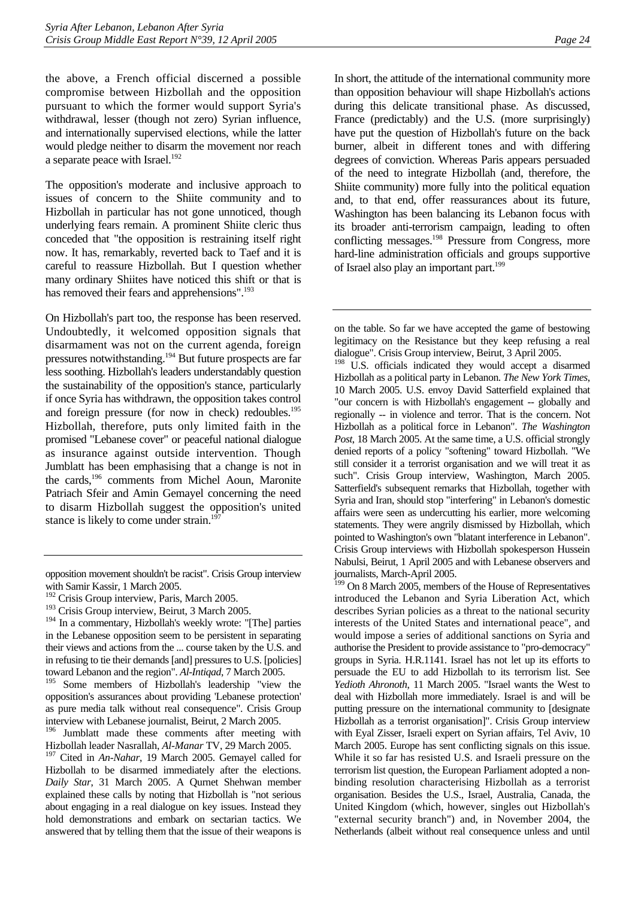the above, a French official discerned a possible compromise between Hizbollah and the opposition pursuant to which the former would support Syria's withdrawal, lesser (though not zero) Syrian influence, and internationally supervised elections, while the latter would pledge neither to disarm the movement nor reach a separate peace with Israel.<sup>192</sup>

The opposition's moderate and inclusive approach to issues of concern to the Shiite community and to Hizbollah in particular has not gone unnoticed, though underlying fears remain. A prominent Shiite cleric thus conceded that "the opposition is restraining itself right now. It has, remarkably, reverted back to Taef and it is careful to reassure Hizbollah. But I question whether many ordinary Shiites have noticed this shift or that is has removed their fears and apprehensions".<sup>193</sup>

On Hizbollah's part too, the response has been reserved. Undoubtedly, it welcomed opposition signals that disarmament was not on the current agenda, foreign pressures notwithstanding.[194 B](#page-28-2)ut future prospects are far less soothing. Hizbollah's leaders understandably question the sustainability of the opposition's stance, particularly if once Syria has withdrawn, the opposition takes control and foreign pressure (for now in check) redoubles.<sup>195</sup> Hizbollah, therefore, puts only limited faith in the promised "Lebanese cover" or peaceful national dialogue as insurance against outside intervention. Though Jumblatt has been emphasising that a change is not in the cards,<sup>196</sup> comments from Michel Aoun, Maronite Patriach Sfeir and Amin Gemayel concerning the need to disarm Hizbollah suggest the opposition's united stance is likely to come under strain.<sup>197</sup>

In short, the attitude of the international community more than opposition behaviour will shape Hizbollah's actions during this delicate transitional phase. As discussed, France (predictably) and the U.S. (more surprisingly) have put the question of Hizbollah's future on the back burner, albeit in different tones and with differing degrees of conviction. Whereas Paris appears persuaded of the need to integrate Hizbollah (and, therefore, the Shiite community) more fully into the political equation and, to that end, offer reassurances about its future, Washington has been balancing its Lebanon focus with its broader anti-terrorism campaign, leading to often conflicting messages.<sup>198</sup> Pressure from Congress, more hard-line administration officials and groups supportive of Israel also play an important part.<sup>199</sup>

<span id="page-28-6"></span><sup>198</sup> U.S. officials indicated they would accept a disarmed Hizbollah as a political party in Lebanon. *The New York Times*, 10 March 2005. U.S. envoy David Satterfield explained that "our concern is with Hizbollah's engagement -- globally and regionally -- in violence and terror. That is the concern. Not Hizbollah as a political force in Lebanon". *The Washington Post*, 18 March 2005. At the same time, a U.S. official strongly denied reports of a policy "softening" toward Hizbollah. "We still consider it a terrorist organisation and we will treat it as such". Crisis Group interview, Washington, March 2005. Satterfield's subsequent remarks that Hizbollah, together with Syria and Iran, should stop "interfering" in Lebanon's domestic affairs were seen as undercutting his earlier, more welcoming statements. They were angrily dismissed by Hizbollah, which pointed to Washington's own "blatant interference in Lebanon". Crisis Group interviews with Hizbollah spokesperson Hussein Nabulsi, Beirut, 1 April 2005 and with Lebanese observers and journalists, March-April 2005.

<span id="page-28-7"></span><sup>199</sup> On 8 March 2005, members of the House of Representatives introduced the Lebanon and Syria Liberation Act, which describes Syrian policies as a threat to the national security interests of the United States and international peace", and would impose a series of additional sanctions on Syria and authorise the President to provide assistance to "pro-democracy" groups in Syria. H.R.1141. Israel has not let up its efforts to persuade the EU to add Hizbollah to its terrorism list. See *Yedioth Ahronoth*, 11 March 2005. "Israel wants the West to deal with Hizbollah more immediately. Israel is and will be putting pressure on the international community to [designate Hizbollah as a terrorist organisation]". Crisis Group interview with Eyal Zisser, Israeli expert on Syrian affairs, Tel Aviv, 10 March 2005. Europe has sent conflicting signals on this issue. While it so far has resisted U.S. and Israeli pressure on the terrorism list question, the European Parliament adopted a nonbinding resolution characterising Hizbollah as a terrorist organisation. Besides the U.S., Israel, Australia, Canada, the United Kingdom (which, however, singles out Hizbollah's "external security branch") and, in November 2004, the Netherlands (albeit without real consequence unless and until

opposition movement shouldn't be racist". Crisis Group interview with Samir Kassir, 1 March 2005.

<span id="page-28-0"></span><sup>&</sup>lt;sup>192</sup> Crisis Group interview, Paris, March 2005.

<span id="page-28-1"></span><sup>&</sup>lt;sup>193</sup> Crisis Group interview, Beirut, 3 March 2005.

<span id="page-28-2"></span><sup>&</sup>lt;sup>194</sup> In a commentary, Hizbollah's weekly wrote: "[The] parties in the Lebanese opposition seem to be persistent in separating their views and actions from the ... course taken by the U.S. and in refusing to tie their demands [and] pressures to U.S. [policies] toward Lebanon and the region". *Al-Intiqad*, 7 March 2005.

<span id="page-28-3"></span><sup>&</sup>lt;sup>195</sup> Some members of Hizbollah's leadership "view the opposition's assurances about providing 'Lebanese protection' as pure media talk without real consequence". Crisis Group interview with Lebanese journalist, Beirut, 2 March 2005.

<span id="page-28-4"></span><sup>&</sup>lt;sup>196</sup> Jumblatt made these comments after meeting with Hizbollah leader Nasrallah, *Al-Manar* TV, 29 March 2005.

<span id="page-28-5"></span><sup>197</sup> Cited in *An-Nahar*, 19 March 2005. Gemayel called for Hizbollah to be disarmed immediately after the elections. *Daily Star*, 31 March 2005. A Qurnet Shehwan member explained these calls by noting that Hizbollah is "not serious about engaging in a real dialogue on key issues. Instead they hold demonstrations and embark on sectarian tactics. We answered that by telling them that the issue of their weapons is

on the table. So far we have accepted the game of bestowing legitimacy on the Resistance but they keep refusing a real dialogue". Crisis Group interview, Beirut, 3 April 2005.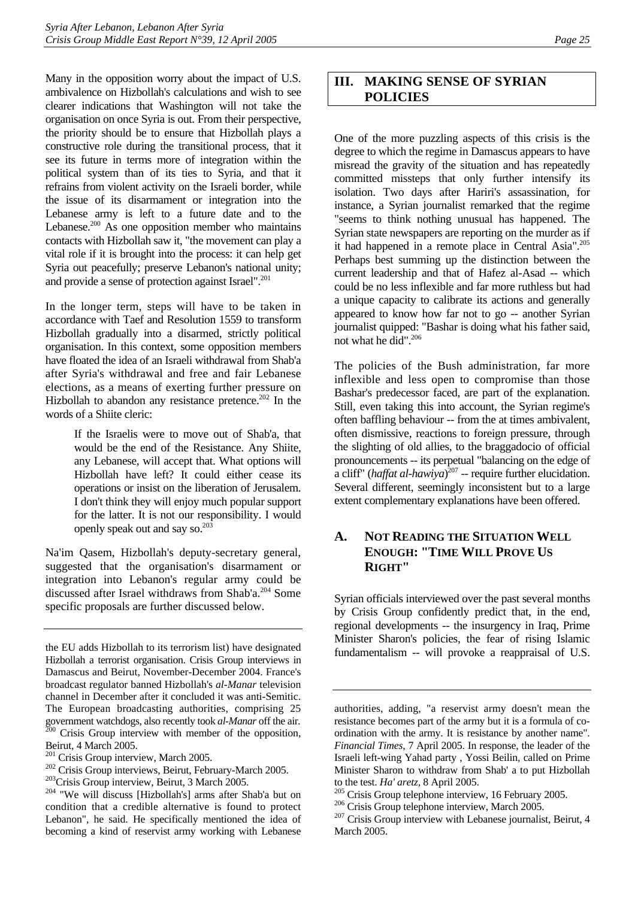Many in the opposition worry about the impact of U.S. ambivalence on Hizbollah's calculations and wish to see clearer indications that Washington will not take the organisation on once Syria is out. From their perspective, the priority should be to ensure that Hizbollah plays a constructive role during the transitional process, that it see its future in terms more of integration within the political system than of its ties to Syria, and that it refrains from violent activity on the Israeli border, while the issue of its disarmament or integration into the Lebanese army is left to a future date and to the Lebanese. $200$  As one opposition member who maintains contacts with Hizbollah saw it, "the movement can play a vital role if it is brought into the process: it can help get Syria out peacefully; preserve Lebanon's national unity; and provide a sense of protection against Israel".<sup>201</sup>

In the longer term, steps will have to be taken in accordance with Taef and Resolution 1559 to transform Hizbollah gradually into a disarmed, strictly political organisation. In this context, some opposition members have floated the idea of an Israeli withdrawal from Shab'a after Syria's withdrawal and free and fair Lebanese elections, as a means of exerting further pressure on Hizbollah to abandon any resistance pretence.<sup>202</sup> In the words of a Shiite cleric:

> If the Israelis were to move out of Shab'a, that would be the end of the Resistance. Any Shiite, any Lebanese, will accept that. What options will Hizbollah have left? It could either cease its operations or insist on the liberation of Jerusalem. I don't think they will enjoy much popular support for the latter. It is not our responsibility. I would openly speak out and say so.[203](#page-29-5)

Na'im Qasem, Hizbollah's deputy-secretary general, suggested that the organisation's disarmament or integration into Lebanon's regular army could be discussed after Israel withdraws from Shab'a.[204 S](#page-29-6)ome specific proposals are further discussed below.

# <span id="page-29-0"></span>**III. MAKING SENSE OF SYRIAN POLICIES**

One of the more puzzling aspects of this crisis is the degree to which the regime in Damascus appears to have misread the gravity of the situation and has repeatedly committed missteps that only further intensify its isolation. Two days after Hariri's assassination, for instance, a Syrian journalist remarked that the regime "seems to think nothing unusual has happened. The Syrian state newspapers are reporting on the murder as if it had happened in a remote place in Central Asia".<sup>205</sup> Perhaps best summing up the distinction between the current leadership and that of Hafez al-Asad -- which could be no less inflexible and far more ruthless but had a unique capacity to calibrate its actions and generally appeared to know how far not to go -- another Syrian journalist quipped: "Bashar is doing what his father said, not what he did".[206](#page-29-8) 

The policies of the Bush administration, far more inflexible and less open to compromise than those Bashar's predecessor faced, are part of the explanation. Still, even taking this into account, the Syrian regime's often baffling behaviour -- from the at times ambivalent, often dismissive, reactions to foreign pressure, through the slighting of old allies, to the braggadocio of official pronouncements -- its perpetual "balancing on the edge of a cliff" (*haffat al-hawiya*) [207 -](#page-29-9)- require further elucidation. Several different, seemingly inconsistent but to a large extent complementary explanations have been offered.

### <span id="page-29-1"></span>**A. NOT READING THE SITUATION WELL ENOUGH: "TIME WILL PROVE US RIGHT"**

Syrian officials interviewed over the past several months by Crisis Group confidently predict that, in the end, regional developments -- the insurgency in Iraq, Prime Minister Sharon's policies, the fear of rising Islamic fundamentalism -- will provoke a reappraisal of U.S.

the EU adds Hizbollah to its terrorism list) have designated Hizbollah a terrorist organisation. Crisis Group interviews in Damascus and Beirut, November-December 2004. France's broadcast regulator banned Hizbollah's *al-Manar* television channel in December after it concluded it was anti-Semitic. The European broadcasting authorities, comprising 25 government watchdogs, also recently took *al-Manar* off the air. 200 Crisis Group interview with member of the opposition, Beirut, 4 March 2005.<br><sup>201</sup> Crisis Group interview, March 2005.

<span id="page-29-3"></span><span id="page-29-2"></span>

<span id="page-29-4"></span>

<span id="page-29-6"></span><span id="page-29-5"></span>

<sup>&</sup>lt;sup>202</sup> Crisis Group interviews, Beirut, February-March 2005.<br><sup>203</sup> Crisis Group interview, Beirut, 3 March 2005.<br><sup>204</sup> "We will discuss [Hizbollah's] arms after Shab'a but on condition that a credible alternative is found to protect Lebanon", he said. He specifically mentioned the idea of becoming a kind of reservist army working with Lebanese

authorities, adding, "a reservist army doesn't mean the resistance becomes part of the army but it is a formula of coordination with the army. It is resistance by another name". *Financial Times*, 7 April 2005. In response, the leader of the Israeli left-wing Yahad party , Yossi Beilin, called on Prime Minister Sharon to withdraw from Shab' a to put Hizbollah to the test. *Ha' aretz*, 8 April 2005.<br><sup>205</sup> Crisis Group telephone interview, 16 February 2005.<br><sup>206</sup> Crisis Group interview with Lebanese journalist, Beirut, 4<br><sup>207</sup> Crisis Group interview with Lebanese journalist, Beir

<span id="page-29-7"></span>

<span id="page-29-8"></span>

<span id="page-29-9"></span>March 2005.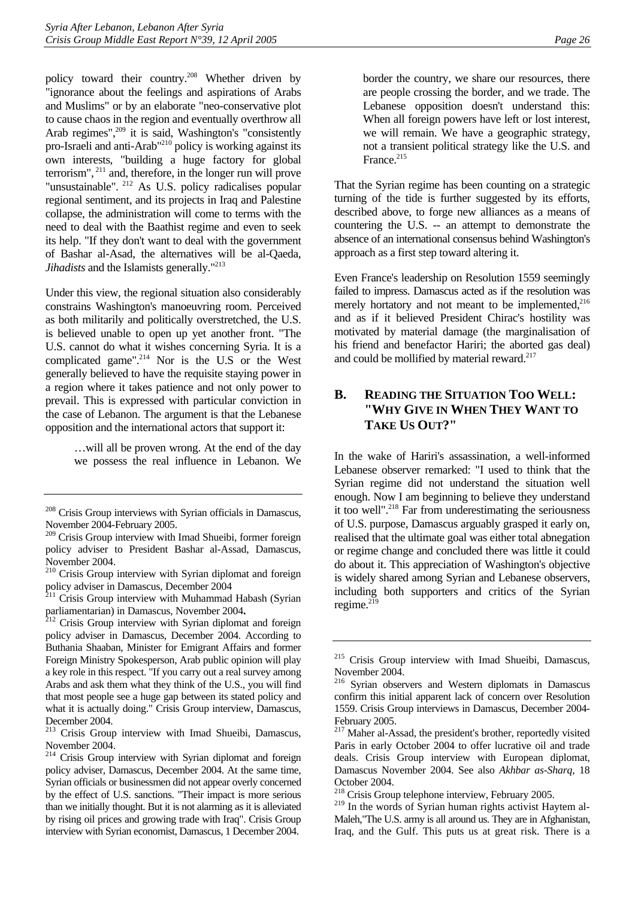policy toward their country.[208](#page-30-1) Whether driven by "ignorance about the feelings and aspirations of Arabs and Muslims" or by an elaborate "neo-conservative plot to cause chaos in the region and eventually overthrow all Arab regimes",<sup>209</sup> it is said, Washington's "consistently pro-Israeli and anti-Arab"[210 p](#page-30-3)olicy is working against its own interests, "building a huge factory for global terrorism", [211 a](#page-30-4)nd, therefore, in the longer run will prove "unsustainable". [212](#page-30-5) As U.S. policy radicalises popular regional sentiment, and its projects in Iraq and Palestine collapse, the administration will come to terms with the need to deal with the Baathist regime and even to seek its help. "If they don't want to deal with the government of Bashar al-Asad, the alternatives will be al-Qaeda, *Jihadists* and the Islamists generally."<sup>213</sup>

Under this view, the regional situation also considerably constrains Washington's manoeuvring room. Perceived as both militarily and politically overstretched, the U.S. is believed unable to open up yet another front. "The U.S. cannot do what it wishes concerning Syria. It is a complicated game".<sup>214</sup> Nor is the U.S or the West generally believed to have the requisite staying power in a region where it takes patience and not only power to prevail. This is expressed with particular conviction in the case of Lebanon. The argument is that the Lebanese opposition and the international actors that support it:

> …will all be proven wrong. At the end of the day we possess the real influence in Lebanon. We

border the country, we share our resources, there are people crossing the border, and we trade. The Lebanese opposition doesn't understand this: When all foreign powers have left or lost interest, we will remain. We have a geographic strategy, not a transient political strategy like the U.S. and France.<sup>[215](#page-30-8)</sup>

That the Syrian regime has been counting on a strategic turning of the tide is further suggested by its efforts, described above, to forge new alliances as a means of countering the U.S. -- an attempt to demonstrate the absence of an international consensus behind Washington's approach as a first step toward altering it.

Even France's leadership on Resolution 1559 seemingly failed to impress. Damascus acted as if the resolution was merely hortatory and not meant to be implemented, $216$ and as if it believed President Chirac's hostility was motivated by material damage (the marginalisation of his friend and benefactor Hariri; the aborted gas deal) and could be mollified by material reward.<sup>217</sup>

## <span id="page-30-0"></span>**B. READING THE SITUATION TOO WELL: "WHY GIVE IN WHEN THEY WANT TO TAKE US OUT?"**

In the wake of Hariri's assassination, a well-informed Lebanese observer remarked: "I used to think that the Syrian regime did not understand the situation well enough. Now I am beginning to believe they understand it too well".<sup>218</sup> Far from underestimating the seriousness of U.S. purpose, Damascus arguably grasped it early on, realised that the ultimate goal was either total abnegation or regime change and concluded there was little it could do about it. This appreciation of Washington's objective is widely shared among Syrian and Lebanese observers, including both supporters and critics of the Syrian regime. $^{219}$ 

<span id="page-30-1"></span><sup>&</sup>lt;sup>208</sup> Crisis Group interviews with Syrian officials in Damascus, November 2004-February 2005.

<span id="page-30-2"></span><sup>&</sup>lt;sup>209</sup> Crisis Group interview with Imad Shueibi, former foreign policy adviser to President Bashar al-Assad, Damascus, November 2004.

<span id="page-30-3"></span><sup>210</sup> Crisis Group interview with Syrian diplomat and foreign policy adviser in Damascus, December 2004

<span id="page-30-4"></span> $2^{211}$  Crisis Group interview with Muhammad Habash (Syrian parliamentarian) in Damascus, November 2004.<br><sup>212</sup> Crisis Group interview with Syrian diplomat and foreign

<span id="page-30-5"></span>policy adviser in Damascus, December 2004. According to Buthania Shaaban, Minister for Emigrant Affairs and former Foreign Ministry Spokesperson, Arab public opinion will play a key role in this respect. "If you carry out a real survey among Arabs and ask them what they think of the U.S., you will find that most people see a huge gap between its stated policy and what it is actually doing." Crisis Group interview, Damascus, December 2004.

<span id="page-30-6"></span><sup>&</sup>lt;sup>213</sup> Crisis Group interview with Imad Shueibi, Damascus, November 2004.

<span id="page-30-7"></span><sup>&</sup>lt;sup>214</sup> Crisis Group interview with Syrian diplomat and foreign policy adviser, Damascus, December 2004. At the same time, Syrian officials or businessmen did not appear overly concerned by the effect of U.S. sanctions. "Their impact is more serious than we initially thought. But it is not alarming as it is alleviated by rising oil prices and growing trade with Iraq". Crisis Group interview with Syrian economist, Damascus, 1 December 2004.

<span id="page-30-8"></span><sup>&</sup>lt;sup>215</sup> Crisis Group interview with Imad Shueibi, Damascus, November 2004.

<span id="page-30-9"></span><sup>216</sup> Syrian observers and Western diplomats in Damascus confirm this initial apparent lack of concern over Resolution 1559. Crisis Group interviews in Damascus, December 2004- February 2005.

<span id="page-30-10"></span><sup>&</sup>lt;sup>217</sup> Maher al-Assad, the president's brother, reportedly visited Paris in early October 2004 to offer lucrative oil and trade deals. Crisis Group interview with European diplomat, Damascus November 2004. See also *Akhbar as-Sharq*, 18 October 2004.

<span id="page-30-11"></span><sup>218</sup> Crisis Group telephone interview, February 2005.

<span id="page-30-12"></span><sup>&</sup>lt;sup>219</sup> In the words of Syrian human rights activist Haytem al-Maleh,"The U.S. army is all around us. They are in Afghanistan, Iraq, and the Gulf. This puts us at great risk. There is a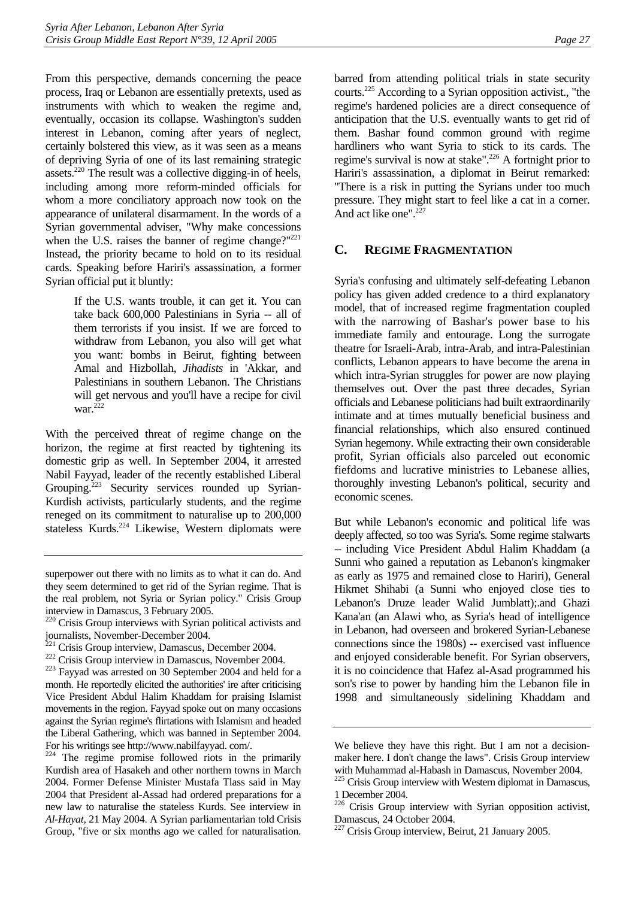From this perspective, demands concerning the peace process, Iraq or Lebanon are essentially pretexts, used as instruments with which to weaken the regime and, eventually, occasion its collapse. Washington's sudden interest in Lebanon, coming after years of neglect, certainly bolstered this view, as it was seen as a means of depriving Syria of one of its last remaining strategic assets.[220 T](#page-31-1)he result was a collective digging-in of heels, including among more reform-minded officials for whom a more conciliatory approach now took on the appearance of unilateral disarmament. In the words of a Syrian governmental adviser, "Why make concessions when the U.S. raises the banner of regime change?" $^{221}$ Instead, the priority became to hold on to its residual cards. Speaking before Hariri's assassination, a former Syrian official put it bluntly:

> If the U.S. wants trouble, it can get it. You can take back 600,000 Palestinians in Syria -- all of them terrorists if you insist. If we are forced to withdraw from Lebanon, you also will get what you want: bombs in Beirut, fighting between Amal and Hizbollah, *Jihadists* in 'Akkar, and Palestinians in southern Lebanon. The Christians will get nervous and you'll have a recipe for civil war. $^{222}$

With the perceived threat of regime change on the horizon, the regime at first reacted by tightening its domestic grip as well. In September 2004, it arrested Nabil Fayyad, leader of the recently established Liberal Grouping.<sup>223</sup> Security services rounded up Syrian-Kurdish activists, particularly students, and the regime reneged on its commitment to naturalise up to 200,000 stateless Kurds.<sup>224</sup> Likewise, Western diplomats were barred from attending political trials in state security courts.<sup>225</sup> According to a Syrian opposition activist., "the regime's hardened policies are a direct consequence of anticipation that the U.S. eventually wants to get rid of them. Bashar found common ground with regime hardliners who want Syria to stick to its cards. The regime's survival is now at stake".<sup>226</sup> A fortnight prior to Hariri's assassination, a diplomat in Beirut remarked: "There is a risk in putting the Syrians under too much pressure. They might start to feel like a cat in a corner. And act like one".<sup>227</sup>

#### <span id="page-31-0"></span>**C. REGIME FRAGMENTATION**

Syria's confusing and ultimately self-defeating Lebanon policy has given added credence to a third explanatory model, that of increased regime fragmentation coupled with the narrowing of Bashar's power base to his immediate family and entourage. Long the surrogate theatre for Israeli-Arab, intra-Arab, and intra-Palestinian conflicts, Lebanon appears to have become the arena in which intra-Syrian struggles for power are now playing themselves out. Over the past three decades, Syrian officials and Lebanese politicians had built extraordinarily intimate and at times mutually beneficial business and financial relationships, which also ensured continued Syrian hegemony. While extracting their own considerable profit, Syrian officials also parceled out economic fiefdoms and lucrative ministries to Lebanese allies, thoroughly investing Lebanon's political, security and economic scenes.

But while Lebanon's economic and political life was deeply affected, so too was Syria's. Some regime stalwarts -- including Vice President Abdul Halim Khaddam (a Sunni who gained a reputation as Lebanon's kingmaker as early as 1975 and remained close to Hariri), General Hikmet Shihabi (a Sunni who enjoyed close ties to Lebanon's Druze leader Walid Jumblatt);.and Ghazi Kana'an (an Alawi who, as Syria's head of intelligence in Lebanon, had overseen and brokered Syrian-Lebanese connections since the 1980s) -- exercised vast influence and enjoyed considerable benefit. For Syrian observers, it is no coincidence that Hafez al-Asad programmed his son's rise to power by handing him the Lebanon file in 1998 and simultaneously sidelining Khaddam and

superpower out there with no limits as to what it can do. And they seem determined to get rid of the Syrian regime. That is the real problem, not Syria or Syrian policy." Crisis Group interview in Damascus, 3 February 2005.

<span id="page-31-1"></span><sup>&</sup>lt;sup>220</sup> Crisis Group interviews with Syrian political activists and journalists, November-December 2004.<br><sup>221</sup> Crisis Group interview, Damascus, December 2004.

<span id="page-31-2"></span>

<span id="page-31-4"></span><span id="page-31-3"></span>

 $222$  Crisis Group interview in Damascus, November 2004.<br> $223$  Fayyad was arrested on 30 September 2004 and held for a month. He reportedly elicited the authorities' ire after criticising Vice President Abdul Halim Khaddam for praising Islamist movements in the region. Fayyad spoke out on many occasions against the Syrian regime's flirtations with Islamism and headed the Liberal Gathering, which was banned in September 2004. For his writings see http://www.nabilfayyad. com/.

<span id="page-31-5"></span><sup>&</sup>lt;sup>224</sup> The regime promise followed riots in the primarily Kurdish area of Hasakeh and other northern towns in March 2004. Former Defense Minister Mustafa Tlass said in May 2004 that President al-Assad had ordered preparations for a new law to naturalise the stateless Kurds. See interview in *Al-Hayat*, 21 May 2004. A Syrian parliamentarian told Crisis Group, "five or six months ago we called for naturalisation.

We believe they have this right. But I am not a decisionmaker here. I don't change the laws". Crisis Group interview with Muhammad al-Habash in Damascus, November 2004.

<span id="page-31-6"></span><sup>&</sup>lt;sup>225</sup> Crisis Group interview with Western diplomat in Damascus, 1 December 2004.

<span id="page-31-7"></span><sup>&</sup>lt;sup>226</sup> Crisis Group interview with Syrian opposition activist, Damascus, 24 October 2004.

<span id="page-31-8"></span><sup>227</sup> Crisis Group interview, Beirut, 21 January 2005.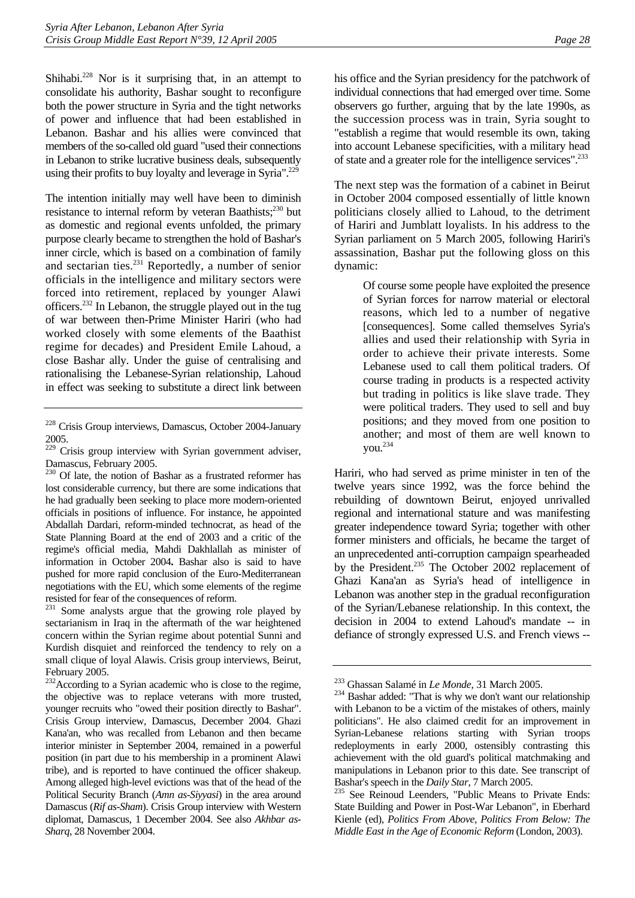Shihabi.<sup>228</sup> Nor is it surprising that, in an attempt to consolidate his authority, Bashar sought to reconfigure both the power structure in Syria and the tight networks of power and influence that had been established in Lebanon. Bashar and his allies were convinced that members of the so-called old guard "used their connections in Lebanon to strike lucrative business deals, subsequently using their profits to buy loyalty and leverage in Syria".<sup>[229](#page-32-1)</sup>

The intention initially may well have been to diminish resistance to internal reform by veteran Baathists;<sup>230</sup> but as domestic and regional events unfolded, the primary purpose clearly became to strengthen the hold of Bashar's inner circle, which is based on a combination of family and sectarian ties.<sup>231</sup> Reportedly, a number of senior officials in the intelligence and military sectors were forced into retirement, replaced by younger Alawi officers[.232 I](#page-32-4)n Lebanon, the struggle played out in the tug of war between then-Prime Minister Hariri (who had worked closely with some elements of the Baathist regime for decades) and President Emile Lahoud, a close Bashar ally. Under the guise of centralising and rationalising the Lebanese-Syrian relationship, Lahoud in effect was seeking to substitute a direct link between

<span id="page-32-3"></span><sup>231</sup> Some analysts argue that the growing role played by sectarianism in Iraq in the aftermath of the war heightened concern within the Syrian regime about potential Sunni and Kurdish disquiet and reinforced the tendency to rely on a small clique of loyal Alawis. Crisis group interviews, Beirut, February 2005.

his office and the Syrian presidency for the patchwork of individual connections that had emerged over time. Some observers go further, arguing that by the late 1990s, as the succession process was in train, Syria sought to "establish a regime that would resemble its own, taking into account Lebanese specificities, with a military head of state and a greater role for the intelligence services".[233](#page-32-5)

The next step was the formation of a cabinet in Beirut in October 2004 composed essentially of little known politicians closely allied to Lahoud, to the detriment of Hariri and Jumblatt loyalists. In his address to the Syrian parliament on 5 March 2005, following Hariri's assassination, Bashar put the following gloss on this dynamic:

> Of course some people have exploited the presence of Syrian forces for narrow material or electoral reasons, which led to a number of negative [consequences]. Some called themselves Syria's allies and used their relationship with Syria in order to achieve their private interests. Some Lebanese used to call them political traders. Of course trading in products is a respected activity but trading in politics is like slave trade. They were political traders. They used to sell and buy positions; and they moved from one position to another; and most of them are well known to you. $^{234}$

Hariri, who had served as prime minister in ten of the twelve years since 1992, was the force behind the rebuilding of downtown Beirut, enjoyed unrivalled regional and international stature and was manifesting greater independence toward Syria; together with other former ministers and officials, he became the target of an unprecedented anti-corruption campaign spearheaded by the President.<sup>235</sup> The October 2002 replacement of Ghazi Kana'an as Syria's head of intelligence in Lebanon was another step in the gradual reconfiguration of the Syrian/Lebanese relationship. In this context, the decision in 2004 to extend Lahoud's mandate -- in defiance of strongly expressed U.S. and French views --

<span id="page-32-0"></span><sup>228</sup> Crisis Group interviews, Damascus, October 2004-January 2005.

<span id="page-32-1"></span><sup>&</sup>lt;sup>229</sup> Crisis group interview with Syrian government adviser, Damascus, February 2005.

<span id="page-32-2"></span><sup>&</sup>lt;sup>230</sup> Of late, the notion of Bashar as a frustrated reformer has lost considerable currency, but there are some indications that he had gradually been seeking to place more modern-oriented officials in positions of influence. For instance, he appointed Abdallah Dardari, reform-minded technocrat, as head of the State Planning Board at the end of 2003 and a critic of the regime's official media, Mahdi Dakhlallah as minister of information in October 2004**.** Bashar also is said to have pushed for more rapid conclusion of the Euro-Mediterranean negotiations with the EU, which some elements of the regime resisted for fear of the consequences of reform.

<span id="page-32-4"></span><sup>&</sup>lt;sup>232</sup>According to a Syrian academic who is close to the regime, the objective was to replace veterans with more trusted, younger recruits who "owed their position directly to Bashar". Crisis Group interview, Damascus, December 2004. Ghazi Kana'an, who was recalled from Lebanon and then became interior minister in September 2004, remained in a powerful position (in part due to his membership in a prominent Alawi tribe), and is reported to have continued the officer shakeup. Among alleged high-level evictions was that of the head of the Political Security Branch (*Amn as-Siyyasi*) in the area around Damascus (*Rif as-Sham*). Crisis Group interview with Western diplomat, Damascus, 1 December 2004. See also *Akhbar as-Sharq*, 28 November 2004.

<span id="page-32-6"></span><span id="page-32-5"></span>

<sup>&</sup>lt;sup>233</sup> Ghassan Salamé in *Le Monde*, 31 March 2005.<br><sup>234</sup> Bashar added: "That is why we don't want our relationship with Lebanon to be a victim of the mistakes of others, mainly politicians". He also claimed credit for an improvement in Syrian-Lebanese relations starting with Syrian troops redeployments in early 2000, ostensibly contrasting this achievement with the old guard's political matchmaking and manipulations in Lebanon prior to this date. See transcript of Bashar's speech in the *Daily Star*, 7 March 2005.<br><sup>235</sup> See Reinoud Leenders, "Public Means to Private Ends:

<span id="page-32-7"></span>State Building and Power in Post-War Lebanon", in Eberhard Kienle (ed), *Politics From Above, Politics From Below: The Middle East in the Age of Economic Reform* (London, 2003).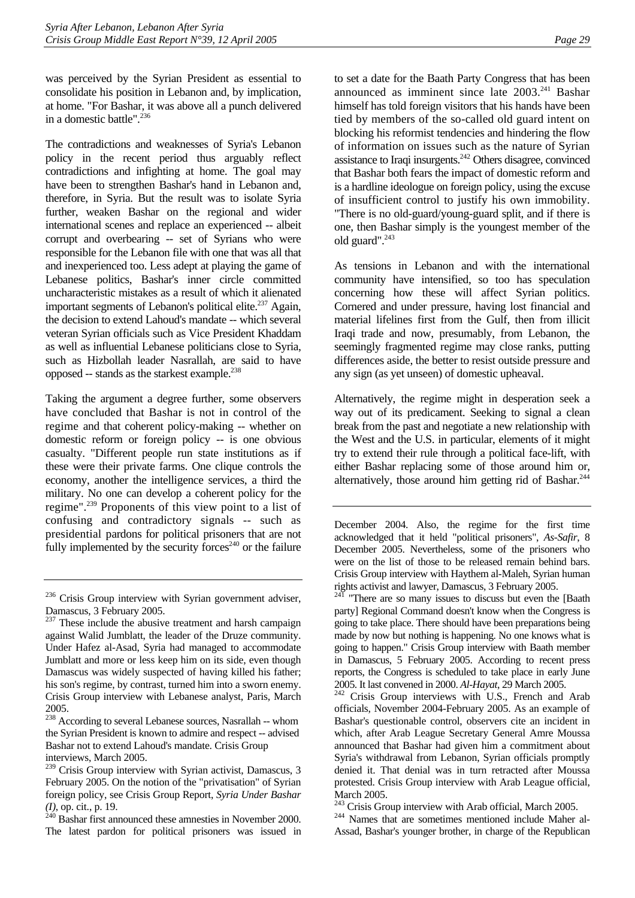was perceived by the Syrian President as essential to consolidate his position in Lebanon and, by implication, at home. "For Bashar, it was above all a punch delivered in a domestic battle".<sup>236</sup>

The contradictions and weaknesses of Syria's Lebanon policy in the recent period thus arguably reflect contradictions and infighting at home. The goal may have been to strengthen Bashar's hand in Lebanon and, therefore, in Syria. But the result was to isolate Syria further, weaken Bashar on the regional and wider international scenes and replace an experienced -- albeit corrupt and overbearing -- set of Syrians who were responsible for the Lebanon file with one that was all that and inexperienced too. Less adept at playing the game of Lebanese politics, Bashar's inner circle committed uncharacteristic mistakes as a result of which it alienated important segments of Lebanon's political elite.<sup>237</sup> Again, the decision to extend Lahoud's mandate -- which several veteran Syrian officials such as Vice President Khaddam as well as influential Lebanese politicians close to Syria, such as Hizbollah leader Nasrallah, are said to have opposed  $-$  stands as the starkest example.<sup>[238](#page-33-2)</sup>

Taking the argument a degree further, some observers have concluded that Bashar is not in control of the regime and that coherent policy-making -- whether on domestic reform or foreign policy -- is one obvious casualty. "Different people run state institutions as if these were their private farms. One clique controls the economy, another the intelligence services, a third the military. No one can develop a coherent policy for the regime"[.239](#page-33-3) Proponents of this view point to a list of confusing and contradictory signals -- such as presidential pardons for political prisoners that are not fully implemented by the security forces<sup>240</sup> or the failure

<span id="page-33-2"></span><sup>238</sup> According to several Lebanese sources, Nasrallah -- whom the Syrian President is known to admire and respect -- advised Bashar not to extend Lahoud's mandate. Crisis Group interviews, March 2005.

<span id="page-33-4"></span>*(I)*, op. cit., p. 19. 240 Bashar first announced these amnesties in November 2000. The latest pardon for political prisoners was issued in to set a date for the Baath Party Congress that has been announced as imminent since late  $2003.<sup>241</sup>$  Bashar himself has told foreign visitors that his hands have been tied by members of the so-called old guard intent on blocking his reformist tendencies and hindering the flow of information on issues such as the nature of Syrian assistance to Iraqi insurgents.<sup>242</sup> Others disagree, convinced that Bashar both fears the impact of domestic reform and is a hardline ideologue on foreign policy, using the excuse of insufficient control to justify his own immobility. "There is no old-guard/young-guard split, and if there is one, then Bashar simply is the youngest member of the old guard".<sup>[243](#page-33-7)</sup>

As tensions in Lebanon and with the international community have intensified, so too has speculation concerning how these will affect Syrian politics. Cornered and under pressure, having lost financial and material lifelines first from the Gulf, then from illicit Iraqi trade and now, presumably, from Lebanon, the seemingly fragmented regime may close ranks, putting differences aside, the better to resist outside pressure and any sign (as yet unseen) of domestic upheaval.

Alternatively, the regime might in desperation seek a way out of its predicament. Seeking to signal a clean break from the past and negotiate a new relationship with the West and the U.S. in particular, elements of it might try to extend their rule through a political face-lift, with either Bashar replacing some of those around him or, alternatively, those around him getting rid of Bashar.<sup>244</sup>

<span id="page-33-0"></span> $236$  Crisis Group interview with Syrian government adviser, Damascus, 3 February 2005.

<span id="page-33-1"></span> $237$  These include the abusive treatment and harsh campaign against Walid Jumblatt, the leader of the Druze community. Under Hafez al-Asad, Syria had managed to accommodate Jumblatt and more or less keep him on its side, even though Damascus was widely suspected of having killed his father; his son's regime, by contrast, turned him into a sworn enemy. Crisis Group interview with Lebanese analyst, Paris, March 2005.

<span id="page-33-3"></span><sup>&</sup>lt;sup>239</sup> Crisis Group interview with Syrian activist, Damascus, 3 February 2005. On the notion of the "privatisation" of Syrian foreign policy, see Crisis Group Report, *Syria Under Bashar* 

December 2004. Also, the regime for the first time acknowledged that it held "political prisoners", *As-Safir*, 8 December 2005. Nevertheless, some of the prisoners who were on the list of those to be released remain behind bars. Crisis Group interview with Haythem al-Maleh, Syrian human rights activist and lawyer, Damascus, 3 February 2005.

<span id="page-33-5"></span> $24\overline{1}$  "There are so many issues to discuss but even the [Baath party] Regional Command doesn't know when the Congress is going to take place. There should have been preparations being made by now but nothing is happening. No one knows what is going to happen." Crisis Group interview with Baath member in Damascus, 5 February 2005. According to recent press reports, the Congress is scheduled to take place in early June 2005. It last convened in 2000. *Al-Hayat*, 29 March 2005. 242 Crisis Group interviews with U.S., French and Arab

<span id="page-33-6"></span>officials, November 2004-February 2005. As an example of Bashar's questionable control, observers cite an incident in which, after Arab League Secretary General Amre Moussa announced that Bashar had given him a commitment about Syria's withdrawal from Lebanon, Syrian officials promptly denied it. That denial was in turn retracted after Moussa protested. Crisis Group interview with Arab League official, March 2005.

<span id="page-33-7"></span><sup>&</sup>lt;sup>243</sup> Crisis Group interview with Arab official, March 2005.<br><sup>244</sup> Names that are sometimes mentioned include Maher al-

<span id="page-33-8"></span>Assad, Bashar's younger brother, in charge of the Republican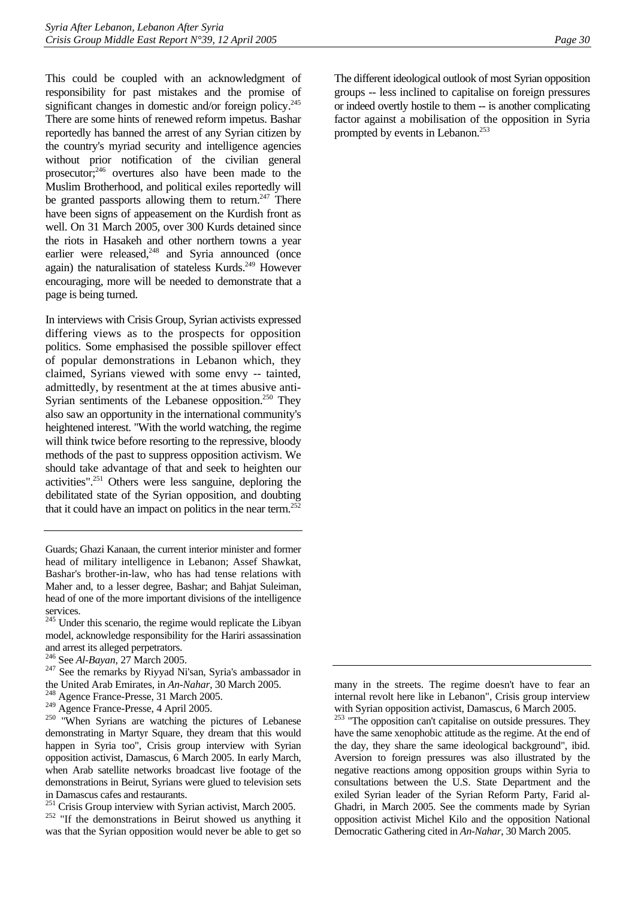This could be coupled with an acknowledgment of responsibility for past mistakes and the promise of significant changes in domestic and/or foreign policy.<sup>245</sup> There are some hints of renewed reform impetus. Bashar reportedly has banned the arrest of any Syrian citizen by the country's myriad security and intelligence agencies without prior notification of the civilian general prosecutor[;246](#page-34-1) overtures also have been made to the Muslim Brotherhood, and political exiles reportedly will be granted passports allowing them to return. $247$  There have been signs of appeasement on the Kurdish front as well. On 31 March 2005, over 300 Kurds detained since the riots in Hasakeh and other northern towns a year earlier were released, $248$  and Syria announced (once again) the naturalisation of stateless Kurds.<sup>249</sup> However encouraging, more will be needed to demonstrate that a page is being turned.

In interviews with Crisis Group, Syrian activists expressed differing views as to the prospects for opposition politics. Some emphasised the possible spillover effect of popular demonstrations in Lebanon which, they claimed, Syrians viewed with some envy -- tainted, admittedly, by resentment at the at times abusive anti-Syrian sentiments of the Lebanese opposition.<sup>250</sup> They also saw an opportunity in the international community's heightened interest. "With the world watching, the regime will think twice before resorting to the repressive, bloody methods of the past to suppress opposition activism. We should take advantage of that and seek to heighten our activities"[.251](#page-34-6) Others were less sanguine, deploring the debilitated state of the Syrian opposition, and doubting that it could have an impact on politics in the near term.<sup>252</sup>

Guards; Ghazi Kanaan, the current interior minister and former head of military intelligence in Lebanon; Assef Shawkat, Bashar's brother-in-law, who has had tense relations with Maher and, to a lesser degree, Bashar; and Bahjat Suleiman, head of one of the more important divisions of the intelligence services.

<span id="page-34-0"></span><sup>245</sup> Under this scenario, the regime would replicate the Libyan model, acknowledge responsibility for the Hariri assassination and arrest its alleged perpetrators.<br><sup>246</sup> See Al-Bayan, 27 March 2005.

- <span id="page-34-1"></span>
- <span id="page-34-2"></span><sup>247</sup> See the remarks by Riyyad Ni'san, Syria's ambassador in
- the United Arab Emirates, in *An-Nahar*, 30 March 2005.<br><sup>248</sup> Agence France-Presse, 31 March 2005.<br><sup>249</sup> Agence France-Presse, 4 April 2005.
- <span id="page-34-4"></span><span id="page-34-3"></span>

<span id="page-34-5"></span> $250$  "When Syrians are watching the pictures of Lebanese demonstrating in Martyr Square, they dream that this would happen in Syria too", Crisis group interview with Syrian opposition activist, Damascus, 6 March 2005. In early March, when Arab satellite networks broadcast live footage of the demonstrations in Beirut, Syrians were glued to television sets in Damascus cafes and restaurants.

<span id="page-34-7"></span><span id="page-34-6"></span>

<sup>251</sup> Crisis Group interview with Syrian activist, March 2005.<br><sup>252</sup> "If the demonstrations in Beirut showed us anything it was that the Syrian opposition would never be able to get so

The different ideological outlook of most Syrian opposition groups -- less inclined to capitalise on foreign pressures or indeed overtly hostile to them -- is another complicating factor against a mobilisation of the opposition in Syria prompted by events in Lebanon.<sup>253</sup>

many in the streets. The regime doesn't have to fear an internal revolt here like in Lebanon", Crisis group interview

<span id="page-34-8"></span>with Syrian opposition activist, Damascus, 6 March 2005.<br><sup>253</sup> "The opposition can't capitalise on outside pressures. They have the same xenophobic attitude as the regime. At the end of the day, they share the same ideological background", ibid. Aversion to foreign pressures was also illustrated by the negative reactions among opposition groups within Syria to consultations between the U.S. State Department and the exiled Syrian leader of the Syrian Reform Party, Farid al-Ghadri, in March 2005. See the comments made by Syrian opposition activist Michel Kilo and the opposition National Democratic Gathering cited in *An-Nahar*, 30 March 2005.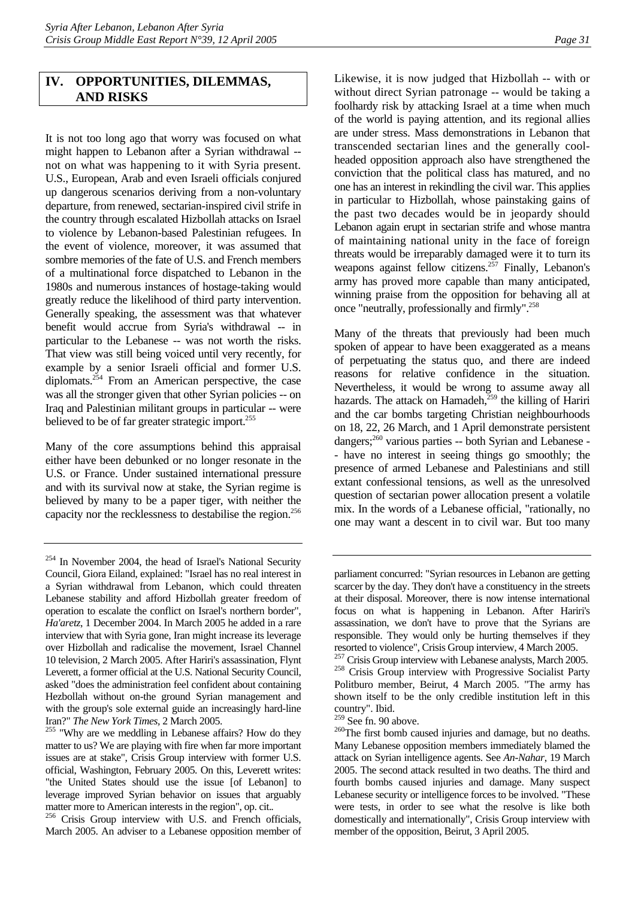# <span id="page-35-0"></span>**IV. OPPORTUNITIES, DILEMMAS, AND RISKS**

It is not too long ago that worry was focused on what might happen to Lebanon after a Syrian withdrawal - not on what was happening to it with Syria present. U.S., European, Arab and even Israeli officials conjured up dangerous scenarios deriving from a non-voluntary departure, from renewed, sectarian-inspired civil strife in the country through escalated Hizbollah attacks on Israel to violence by Lebanon-based Palestinian refugees. In the event of violence, moreover, it was assumed that sombre memories of the fate of U.S. and French members of a multinational force dispatched to Lebanon in the 1980s and numerous instances of hostage-taking would greatly reduce the likelihood of third party intervention. Generally speaking, the assessment was that whatever benefit would accrue from Syria's withdrawal -- in particular to the Lebanese -- was not worth the risks. That view was still being voiced until very recently, for example by a senior Israeli official and former U.S. diplomats.<sup>254</sup> From an American perspective, the case was all the stronger given that other Syrian policies -- on Iraq and Palestinian militant groups in particular -- were believed to be of far greater strategic import.<sup>255</sup>

Many of the core assumptions behind this appraisal either have been debunked or no longer resonate in the U.S. or France. Under sustained international pressure and with its survival now at stake, the Syrian regime is believed by many to be a paper tiger, with neither the capacity nor the recklessness to destabilise the region[.256](#page-35-3)

<span id="page-35-3"></span>March 2005. An adviser to a Lebanese opposition member of

Likewise, it is now judged that Hizbollah -- with or without direct Syrian patronage -- would be taking a foolhardy risk by attacking Israel at a time when much of the world is paying attention, and its regional allies are under stress. Mass demonstrations in Lebanon that transcended sectarian lines and the generally coolheaded opposition approach also have strengthened the conviction that the political class has matured, and no one has an interest in rekindling the civil war. This applies in particular to Hizbollah, whose painstaking gains of the past two decades would be in jeopardy should Lebanon again erupt in sectarian strife and whose mantra of maintaining national unity in the face of foreign threats would be irreparably damaged were it to turn its weapons against fellow citizens.<sup>257</sup> Finally, Lebanon's army has proved more capable than many anticipated, winning praise from the opposition for behaving all at once "neutrally, professionally and firmly".[258](#page-35-5) 

Many of the threats that previously had been much spoken of appear to have been exaggerated as a means of perpetuating the status quo, and there are indeed reasons for relative confidence in the situation. Nevertheless, it would be wrong to assume away all hazards. The attack on Hamadeh, $259$  the killing of Hariri and the car bombs targeting Christian neighbourhoods on 18, 22, 26 March, and 1 April demonstrate persistent dangers;<sup>260</sup> various parties -- both Syrian and Lebanese -- have no interest in seeing things go smoothly; the presence of armed Lebanese and Palestinians and still extant confessional tensions, as well as the unresolved question of sectarian power allocation present a volatile mix. In the words of a Lebanese official, "rationally, no one may want a descent in to civil war. But too many

<span id="page-35-6"></span>

<span id="page-35-1"></span><sup>&</sup>lt;sup>254</sup> In November 2004, the head of Israel's National Security Council, Giora Eiland, explained: "Israel has no real interest in a Syrian withdrawal from Lebanon, which could threaten Lebanese stability and afford Hizbollah greater freedom of operation to escalate the conflict on Israel's northern border", *Ha'aretz*, 1 December 2004. In March 2005 he added in a rare interview that with Syria gone, Iran might increase its leverage over Hizbollah and radicalise the movement, Israel Channel 10 television, 2 March 2005. After Hariri's assassination, Flynt Leverett, a former official at the U.S. National Security Council, asked "does the administration feel confident about containing Hezbollah without on-the ground Syrian management and with the group's sole external guide an increasingly hard-line

<span id="page-35-2"></span>Iran?" *The New York Times,* 2 March 2005. 255 "Why are we meddling in Lebanese affairs? How do they matter to us? We are playing with fire when far more important issues are at stake", Crisis Group interview with former U.S. official, Washington, February 2005. On this, Leverett writes: "the United States should use the issue [of Lebanon] to leverage improved Syrian behavior on issues that arguably matter more to American interests in the region", op. cit.*.* 256 Crisis Group interview with U.S. and French officials,

parliament concurred: "Syrian resources in Lebanon are getting scarcer by the day. They don't have a constituency in the streets at their disposal. Moreover, there is now intense international focus on what is happening in Lebanon. After Hariri's assassination, we don't have to prove that the Syrians are responsible. They would only be hurting themselves if they resorted to violence", Crisis Group interview, 4 March 2005.

<span id="page-35-5"></span><span id="page-35-4"></span> $^{257}$  Crisis Group interview with Lebanese analysts, March 2005.<br><sup>258</sup> Crisis Group interview with Progressive Socialist Party Politburo member, Beirut, 4 March 2005. "The army has shown itself to be the only credible institution left in this country". Ibid.<br><sup>259</sup> See fn. 90 above.

<span id="page-35-7"></span> $260$ The first bomb caused injuries and damage, but no deaths. Many Lebanese opposition members immediately blamed the attack on Syrian intelligence agents. See *An-Nahar*, 19 March 2005. The second attack resulted in two deaths. The third and fourth bombs caused injuries and damage. Many suspect Lebanese security or intelligence forces to be involved. "These were tests, in order to see what the resolve is like both domestically and internationally", Crisis Group interview with member of the opposition, Beirut, 3 April 2005.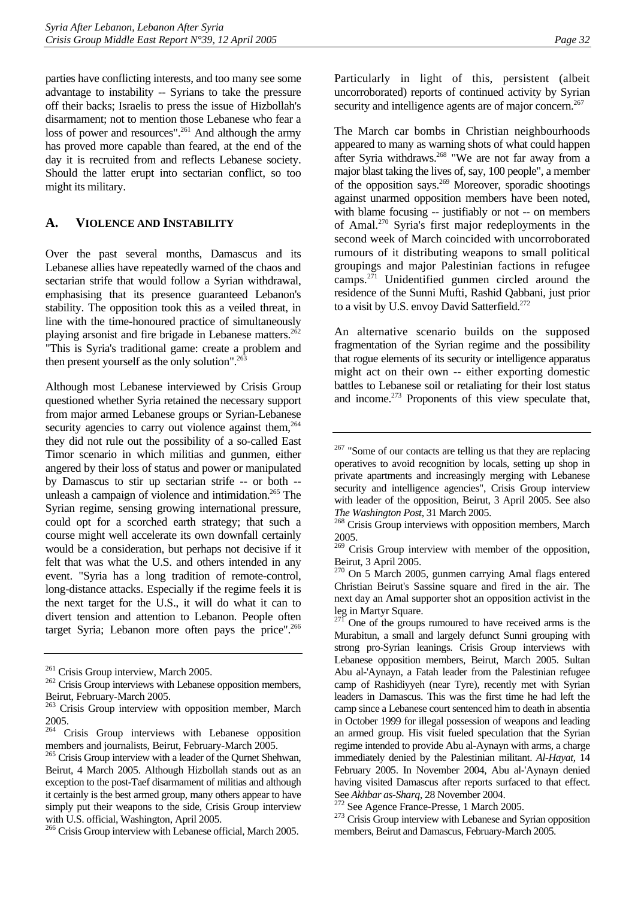parties have conflicting interests, and too many see some advantage to instability -- Syrians to take the pressure off their backs; Israelis to press the issue of Hizbollah's disarmament; not to mention those Lebanese who fear a loss of power and resources".<sup>261</sup> And although the army has proved more capable than feared, at the end of the day it is recruited from and reflects Lebanese society. Should the latter erupt into sectarian conflict, so too might its military.

#### <span id="page-36-0"></span>**A. VIOLENCE AND INSTABILITY**

Over the past several months, Damascus and its Lebanese allies have repeatedly warned of the chaos and sectarian strife that would follow a Syrian withdrawal, emphasising that its presence guaranteed Lebanon's stability. The opposition took this as a veiled threat, in line with the time-honoured practice of simultaneously playing arsonist and fire brigade in Lebanese matters.<sup>262</sup> "This is Syria's traditional game: create a problem and then present yourself as the only solution". $^{263}$ 

Although most Lebanese interviewed by Crisis Group questioned whether Syria retained the necessary support from major armed Lebanese groups or Syrian-Lebanese security agencies to carry out violence against them.<sup>264</sup> they did not rule out the possibility of a so-called East Timor scenario in which militias and gunmen, either angered by their loss of status and power or manipulated by Damascus to stir up sectarian strife -- or both - unleash a campaign of violence and intimidation.<sup>265</sup> The Syrian regime, sensing growing international pressure, could opt for a scorched earth strategy; that such a course might well accelerate its own downfall certainly would be a consideration, but perhaps not decisive if it felt that was what the U.S. and others intended in any event. "Syria has a long tradition of remote-control, long-distance attacks. Especially if the regime feels it is the next target for the U.S., it will do what it can to divert tension and attention to Lebanon. People often target Syria; Lebanon more often pays the price".<sup>266</sup>

<span id="page-36-6"></span>266 Crisis Group interview with Lebanese official, March 2005.

Particularly in light of this, persistent (albeit uncorroborated) reports of continued activity by Syrian security and intelligence agents are of major concern.<sup>267</sup>

The March car bombs in Christian neighbourhoods appeared to many as warning shots of what could happen after Syria withdraws.[268 "](#page-36-8)We are not far away from a major blast taking the lives of, say, 100 people", a member of the opposition says.<sup>269</sup> Moreover, sporadic shootings against unarmed opposition members have been noted, with blame focusing -- justifiably or not -- on members of Amal.[270](#page-36-10) Syria's first major redeployments in the second week of March coincided with uncorroborated rumours of it distributing weapons to small political groupings and major Palestinian factions in refugee camps. $2^{71}$  Unidentified gunmen circled around the residence of the Sunni Mufti, Rashid Qabbani, just prior to a visit by U.S. envoy David Satterfield.<sup>272</sup>

An alternative scenario builds on the supposed fragmentation of the Syrian regime and the possibility that rogue elements of its security or intelligence apparatus might act on their own -- either exporting domestic battles to Lebanese soil or retaliating for their lost status and income. $273$  Proponents of this view speculate that,

<span id="page-36-2"></span><span id="page-36-1"></span>

 $261$  Crisis Group interview, March 2005.<br><sup>262</sup> Crisis Group interviews with Lebanese opposition members, Beirut, February-March 2005.

<span id="page-36-3"></span><sup>&</sup>lt;sup>263</sup> Crisis Group interview with opposition member, March  $\frac{2005}{264}$ 

<span id="page-36-4"></span>Crisis Group interviews with Lebanese opposition members and journalists, Beirut, February-March 2005.

<span id="page-36-5"></span><sup>&</sup>lt;sup>265</sup> Crisis Group interview with a leader of the Qurnet Shehwan, Beirut, 4 March 2005. Although Hizbollah stands out as an exception to the post-Taef disarmament of militias and although it certainly is the best armed group, many others appear to have simply put their weapons to the side, Crisis Group interview with U.S. official, Washington, April 2005.

<span id="page-36-7"></span><sup>&</sup>lt;sup>267</sup> "Some of our contacts are telling us that they are replacing operatives to avoid recognition by locals, setting up shop in private apartments and increasingly merging with Lebanese security and intelligence agencies", Crisis Group interview with leader of the opposition, Beirut, 3 April 2005. See also

<span id="page-36-8"></span>*The Washington Post*, 31 March 2005. 268 Crisis Group interviews with opposition members, March 2005.

<span id="page-36-9"></span><sup>269</sup> Crisis Group interview with member of the opposition, Beirut, 3 April 2005.

<span id="page-36-10"></span><sup>270</sup> On 5 March 2005, gunmen carrying Amal flags entered Christian Beirut's Sassine square and fired in the air. The next day an Amal supporter shot an opposition activist in the leg in Martyr Square.

<span id="page-36-11"></span>One of the groups rumoured to have received arms is the Murabitun, a small and largely defunct Sunni grouping with strong pro-Syrian leanings. Crisis Group interviews with Lebanese opposition members, Beirut, March 2005. Sultan Abu al-'Aynayn, a Fatah leader from the Palestinian refugee camp of Rashidiyyeh (near Tyre), recently met with Syrian leaders in Damascus. This was the first time he had left the camp since a Lebanese court sentenced him to death in absentia in October 1999 for illegal possession of weapons and leading an armed group. His visit fueled speculation that the Syrian regime intended to provide Abu al-Aynayn with arms, a charge immediately denied by the Palestinian militant. *Al-Hayat*, 14 February 2005. In November 2004, Abu al-'Aynayn denied having visited Damascus after reports surfaced to that effect. See *Akhbar as-Sharq*, 28 November 2004.<br><sup>272</sup> See Agence France-Presse, 1 March 2005.<br><sup>273</sup> Crisis Group interview with Lebanese and Syrian opposition

<span id="page-36-12"></span>

<span id="page-36-13"></span>members, Beirut and Damascus, February-March 2005.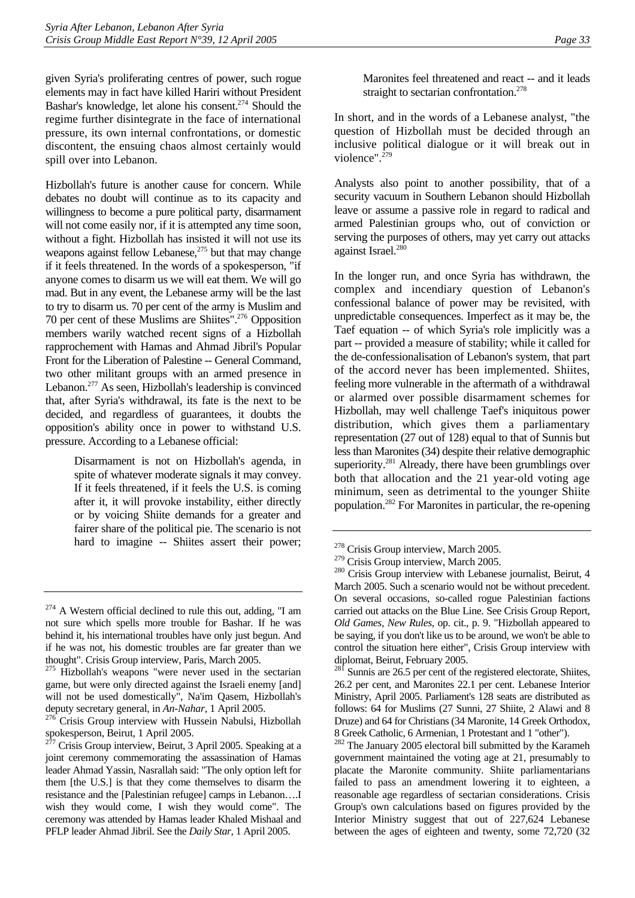given Syria's proliferating centres of power, such rogue elements may in fact have killed Hariri without President Bashar's knowledge, let alone his consent.<sup>274</sup> Should the regime further disintegrate in the face of international pressure, its own internal confrontations, or domestic discontent, the ensuing chaos almost certainly would spill over into Lebanon.

Hizbollah's future is another cause for concern. While debates no doubt will continue as to its capacity and willingness to become a pure political party, disarmament will not come easily nor, if it is attempted any time soon, without a fight. Hizbollah has insisted it will not use its weapons against fellow Lebanese, $275$  but that may change if it feels threatened. In the words of a spokesperson, "if anyone comes to disarm us we will eat them. We will go mad. But in any event, the Lebanese army will be the last to try to disarm us. 70 per cent of the army is Muslim and 70 per cent of these Muslims are Shiites".[276 O](#page-37-2)pposition members warily watched recent signs of a Hizbollah rapprochement with Hamas and Ahmad Jibril's Popular Front for the Liberation of Palestine -- General Command, two other militant groups with an armed presence in Lebanon.[277 A](#page-37-3)s seen, Hizbollah's leadership is convinced that, after Syria's withdrawal, its fate is the next to be decided, and regardless of guarantees, it doubts the opposition's ability once in power to withstand U.S. pressure. According to a Lebanese official:

> Disarmament is not on Hizbollah's agenda, in spite of whatever moderate signals it may convey. If it feels threatened, if it feels the U.S. is coming after it, it will provoke instability, either directly or by voicing Shiite demands for a greater and fairer share of the political pie. The scenario is not hard to imagine -- Shiites assert their power;

Maronites feel threatened and react -- and it leads straight to sectarian confrontation.<sup>278</sup>

In short, and in the words of a Lebanese analyst, "the question of Hizbollah must be decided through an inclusive political dialogue or it will break out in violence". $^{279}$  $^{279}$  $^{279}$ 

Analysts also point to another possibility, that of a security vacuum in Southern Lebanon should Hizbollah leave or assume a passive role in regard to radical and armed Palestinian groups who, out of conviction or serving the purposes of others, may yet carry out attacks against Israel.<sup>280</sup>

In the longer run, and once Syria has withdrawn, the complex and incendiary question of Lebanon's confessional balance of power may be revisited, with unpredictable consequences. Imperfect as it may be, the Taef equation -- of which Syria's role implicitly was a part -- provided a measure of stability; while it called for the de-confessionalisation of Lebanon's system, that part of the accord never has been implemented. Shiites, feeling more vulnerable in the aftermath of a withdrawal or alarmed over possible disarmament schemes for Hizbollah, may well challenge Taef's iniquitous power distribution, which gives them a parliamentary representation (27 out of 128) equal to that of Sunnis but less than Maronites (34) despite their relative demographic superiority.<sup>[281](#page-37-7)</sup> Already, there have been grumblings over both that allocation and the 21 year-old voting age minimum, seen as detrimental to the younger Shiite population[.282 F](#page-37-8)or Maronites in particular, the re-opening

<span id="page-37-0"></span> $274$  A Western official declined to rule this out, adding, "I am not sure which spells more trouble for Bashar. If he was behind it, his international troubles have only just begun. And if he was not, his domestic troubles are far greater than we thought". Crisis Group interview, Paris, March 2005.

<span id="page-37-1"></span> $275$  Hizbollah's weapons "were never used in the sectarian game, but were only directed against the Israeli enemy [and] will not be used domestically", Na'im Qasem, Hizbollah's deputy secretary general, in *An-Nahar*, 1 April 2005.<br><sup>276</sup> Crisis Group interview with Hussein Nabulsi, Hizbollah

<span id="page-37-2"></span>spokesperson, Beirut, 1 April 2005.

<span id="page-37-3"></span>Crisis Group interview, Beirut, 3 April 2005. Speaking at a joint ceremony commemorating the assassination of Hamas leader Ahmad Yassin, Nasrallah said: "The only option left for them [the U.S.] is that they come themselves to disarm the resistance and the [Palestinian refugee] camps in Lebanon….I wish they would come, I wish they would come". The ceremony was attended by Hamas leader Khaled Mishaal and PFLP leader Ahmad Jibril. See the *Daily Star*, 1 April 2005.

<span id="page-37-4"></span><sup>&</sup>lt;sup>278</sup> Crisis Group interview, March 2005.<br><sup>279</sup> Crisis Group interview, March 2005.

<span id="page-37-5"></span>

<span id="page-37-6"></span> $280$  Crisis Group interview with Lebanese journalist, Beirut, 4 March 2005. Such a scenario would not be without precedent. On several occasions, so-called rogue Palestinian factions carried out attacks on the Blue Line. See Crisis Group Report, *Old Games, New Rules*, op. cit., p. 9. "Hizbollah appeared to be saying, if you don't like us to be around, we won't be able to control the situation here either", Crisis Group interview with diplomat, Beirut, February 2005.

<span id="page-37-7"></span> $^{281}$  Sunnis are 26.5 per cent of the registered electorate, Shiites, 26.2 per cent, and Maronites 22.1 per cent. Lebanese Interior Ministry, April 2005. Parliament's 128 seats are distributed as follows: 64 for Muslims (27 Sunni, 27 Shiite, 2 Alawi and 8 Druze) and 64 for Christians (34 Maronite, 14 Greek Orthodox, 8 Greek Catholic, 6 Armenian, 1 Protestant and 1 "other").

<span id="page-37-8"></span><sup>&</sup>lt;sup>282</sup> The January 2005 electoral bill submitted by the Karameh government maintained the voting age at 21, presumably to placate the Maronite community. Shiite parliamentarians failed to pass an amendment lowering it to eighteen, a reasonable age regardless of sectarian considerations. Crisis Group's own calculations based on figures provided by the Interior Ministry suggest that out of 227,624 Lebanese between the ages of eighteen and twenty, some 72,720 (32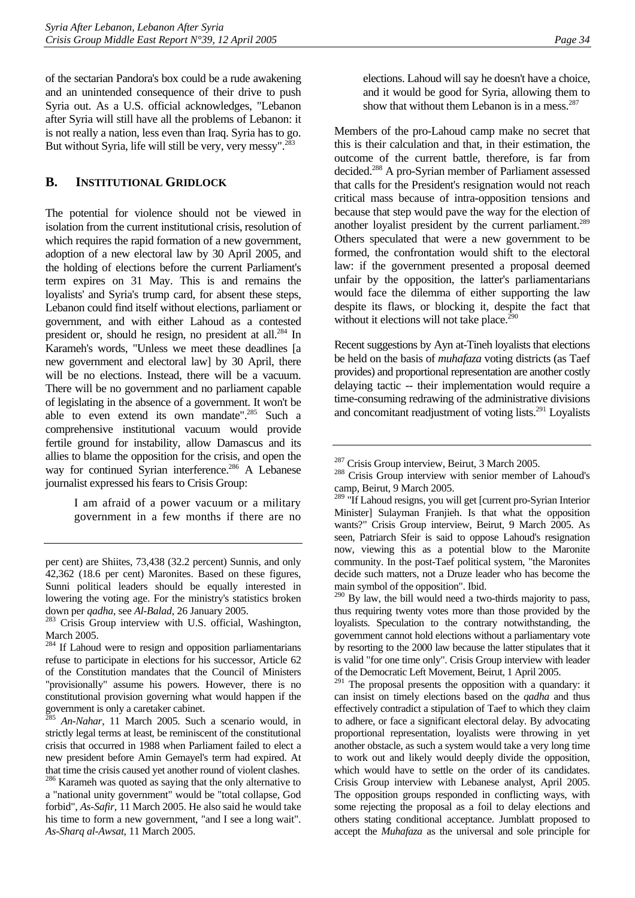of the sectarian Pandora's box could be a rude awakening and an unintended consequence of their drive to push Syria out. As a U.S. official acknowledges, "Lebanon after Syria will still have all the problems of Lebanon: it is not really a nation, less even than Iraq. Syria has to go. But without Syria, life will still be very, very messy".<sup>[283](#page-38-1)</sup>

## <span id="page-38-0"></span>**B. INSTITUTIONAL GRIDLOCK**

The potential for violence should not be viewed in isolation from the current institutional crisis, resolution of which requires the rapid formation of a new government, adoption of a new electoral law by 30 April 2005, and the holding of elections before the current Parliament's term expires on 31 May. This is and remains the loyalists' and Syria's trump card, for absent these steps, Lebanon could find itself without elections, parliament or government, and with either Lahoud as a contested president or, should he resign, no president at all.[284](#page-38-2) In Karameh's words, "Unless we meet these deadlines [a new government and electoral law] by 30 April, there will be no elections. Instead, there will be a vacuum. There will be no government and no parliament capable of legislating in the absence of a government. It won't be able to even extend its own mandate".[285](#page-38-3) Such a comprehensive institutional vacuum would provide fertile ground for instability, allow Damascus and its allies to blame the opposition for the crisis, and open the way for continued Syrian interference.<sup>286</sup> A Lebanese journalist expressed his fears to Crisis Group:

> I am afraid of a power vacuum or a military government in a few months if there are no

elections. Lahoud will say he doesn't have a choice, and it would be good for Syria, allowing them to show that without them Lebanon is in a mess. $287$ 

Members of the pro-Lahoud camp make no secret that this is their calculation and that, in their estimation, the outcome of the current battle, therefore, is far from decided.[288 A](#page-38-6) pro-Syrian member of Parliament assessed that calls for the President's resignation would not reach critical mass because of intra-opposition tensions and because that step would pave the way for the election of another loyalist president by the current parliament.<sup>289</sup> Others speculated that were a new government to be formed, the confrontation would shift to the electoral law: if the government presented a proposal deemed unfair by the opposition, the latter's parliamentarians would face the dilemma of either supporting the law despite its flaws, or blocking it, despite the fact that without it elections will not take place. $290$ 

Recent suggestions by Ayn at-Tineh loyalists that elections be held on the basis of *muhafaza* voting districts (as Taef provides) and proportional representation are another costly delaying tactic -- their implementation would require a time-consuming redrawing of the administrative divisions and concomitant readjustment of voting lists.<sup>291</sup> Loyalists

<span id="page-38-8"></span> $290$  By law, the bill would need a two-thirds majority to pass, thus requiring twenty votes more than those provided by the loyalists. Speculation to the contrary notwithstanding, the government cannot hold elections without a parliamentary vote by resorting to the 2000 law because the latter stipulates that it is valid "for one time only". Crisis Group interview with leader of the Democratic Left Movement, Beirut, 1 April 2005.

<span id="page-38-9"></span> $291$  The proposal presents the opposition with a quandary: it can insist on timely elections based on the *qadha* and thus effectively contradict a stipulation of Taef to which they claim to adhere, or face a significant electoral delay. By advocating proportional representation, loyalists were throwing in yet another obstacle, as such a system would take a very long time to work out and likely would deeply divide the opposition, which would have to settle on the order of its candidates. Crisis Group interview with Lebanese analyst, April 2005. The opposition groups responded in conflicting ways, with some rejecting the proposal as a foil to delay elections and others stating conditional acceptance. Jumblatt proposed to accept the *Muhafaza* as the universal and sole principle for

per cent) are Shiites, 73,438 (32.2 percent) Sunnis, and only 42,362 (18.6 per cent) Maronites. Based on these figures, Sunni political leaders should be equally interested in lowering the voting age. For the ministry's statistics broken down per *qadha*, see *Al-Balad*, 26 January 2005.<br><sup>283</sup> Crisis Group interview with U.S. official, Washington,

<span id="page-38-1"></span>March 2005.

<span id="page-38-2"></span><sup>&</sup>lt;sup>284</sup> If Lahoud were to resign and opposition parliamentarians refuse to participate in elections for his successor, Article 62 of the Constitution mandates that the Council of Ministers "provisionally" assume his powers. However, there is no constitutional provision governing what would happen if the government is only a caretaker cabinet.

<span id="page-38-3"></span><sup>285</sup> *An-Nahar*, 11 March 2005. Such a scenario would, in strictly legal terms at least, be reminiscent of the constitutional crisis that occurred in 1988 when Parliament failed to elect a new president before Amin Gemayel's term had expired. At that time the crisis caused yet another round of violent clashes.

<span id="page-38-4"></span><sup>&</sup>lt;sup>286</sup> Karameh was quoted as saying that the only alternative to a "national unity government" would be "total collapse, God forbid", *As-Safir*, 11 March 2005. He also said he would take his time to form a new government, "and I see a long wait". *As-Sharq al-Awsat*, 11 March 2005.

<span id="page-38-6"></span><span id="page-38-5"></span>

<sup>&</sup>lt;sup>287</sup> Crisis Group interview, Beirut, 3 March 2005.<br><sup>288</sup> Crisis Group interview with senior member of Lahoud's camp, Beirut, 9 March 2005.

<span id="page-38-7"></span><sup>&</sup>lt;sup>289</sup> "If Lahoud resigns, you will get [current pro-Syrian Interior Minister] Sulayman Franjieh. Is that what the opposition wants?" Crisis Group interview, Beirut, 9 March 2005. As seen, Patriarch Sfeir is said to oppose Lahoud's resignation now, viewing this as a potential blow to the Maronite community. In the post-Taef political system, "the Maronites decide such matters, not a Druze leader who has become the main symbol of the opposition". Ibid.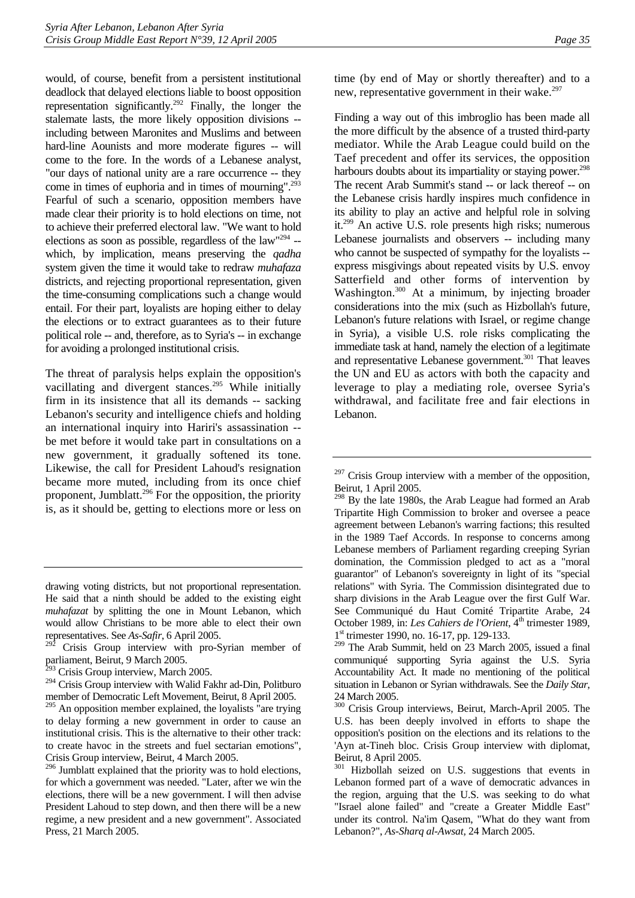would, of course, benefit from a persistent institutional deadlock that delayed elections liable to boost opposition representation significantly.[292](#page-39-0) Finally, the longer the stalemate lasts, the more likely opposition divisions - including between Maronites and Muslims and between hard-line Aounists and more moderate figures -- will come to the fore. In the words of a Lebanese analyst, "our days of national unity are a rare occurrence -- they come in times of euphoria and in times of mourning".<sup>293</sup> Fearful of such a scenario, opposition members have made clear their priority is to hold elections on time, not to achieve their preferred electoral law. "We want to hold elections as soon as possible, regardless of the law"[294 -](#page-39-2) which, by implication, means preserving the *qadha*  system given the time it would take to redraw *muhafaza*  districts, and rejecting proportional representation, given the time-consuming complications such a change would entail. For their part, loyalists are hoping either to delay the elections or to extract guarantees as to their future political role -- and, therefore, as to Syria's -- in exchange for avoiding a prolonged institutional crisis.

The threat of paralysis helps explain the opposition's vacillating and divergent stances.<sup>295</sup> While initially firm in its insistence that all its demands -- sacking Lebanon's security and intelligence chiefs and holding an international inquiry into Hariri's assassination - be met before it would take part in consultations on a new government, it gradually softened its tone. Likewise, the call for President Lahoud's resignation became more muted, including from its once chief proponent, Jumblatt.[296 F](#page-39-4)or the opposition, the priority is, as it should be, getting to elections more or less on time (by end of May or shortly thereafter) and to a new, representative government in their wake. $297$ 

Finding a way out of this imbroglio has been made all the more difficult by the absence of a trusted third-party mediator. While the Arab League could build on the Taef precedent and offer its services, the opposition harbours doubts about its impartiality or staying power.<sup>298</sup> The recent Arab Summit's stand -- or lack thereof -- on the Lebanese crisis hardly inspires much confidence in its ability to play an active and helpful role in solving it.[299](#page-39-7) An active U.S. role presents high risks; numerous Lebanese journalists and observers -- including many who cannot be suspected of sympathy for the loyalists -express misgivings about repeated visits by U.S. envoy Satterfield and other forms of intervention by Washington.<sup>300</sup> At a minimum, by injecting broader considerations into the mix (such as Hizbollah's future, Lebanon's future relations with Israel, or regime change in Syria), a visible U.S. role risks complicating the immediate task at hand, namely the election of a legitimate and representative Lebanese government.<sup>301</sup> That leaves the UN and EU as actors with both the capacity and leverage to play a mediating role, oversee Syria's withdrawal, and facilitate free and fair elections in Lebanon.

drawing voting districts, but not proportional representation. He said that a ninth should be added to the existing eight *muhafazat* by splitting the one in Mount Lebanon, which would allow Christians to be more able to elect their own representatives. See *As-Safir*, 6 April 2005.

<span id="page-39-0"></span>Crisis Group interview with pro-Syrian member of parliament, Beirut, 9 March 2005.

<span id="page-39-1"></span> $^{93}$  Crisis Group interview, March 2005.

<span id="page-39-2"></span><sup>&</sup>lt;sup>294</sup> Crisis Group interview with Walid Fakhr ad-Din, Politburo member of Democratic Left Movement, Beirut, 8 April 2005.

<span id="page-39-3"></span><sup>&</sup>lt;sup>295</sup> An opposition member explained, the loyalists "are trying to delay forming a new government in order to cause an institutional crisis. This is the alternative to their other track: to create havoc in the streets and fuel sectarian emotions", Crisis Group interview, Beirut, 4 March 2005.

<span id="page-39-4"></span><sup>&</sup>lt;sup>296</sup> Jumblatt explained that the priority was to hold elections, for which a government was needed. "Later, after we win the elections, there will be a new government. I will then advise President Lahoud to step down, and then there will be a new regime, a new president and a new government". Associated Press, 21 March 2005.

<span id="page-39-5"></span> $297$  Crisis Group interview with a member of the opposition, Beirut, 1 April 2005.

<span id="page-39-6"></span><sup>&</sup>lt;sup>298</sup> By the late 1980s, the Arab League had formed an Arab Tripartite High Commission to broker and oversee a peace agreement between Lebanon's warring factions; this resulted in the 1989 Taef Accords. In response to concerns among Lebanese members of Parliament regarding creeping Syrian domination, the Commission pledged to act as a "moral guarantor" of Lebanon's sovereignty in light of its "special relations" with Syria. The Commission disintegrated due to sharp divisions in the Arab League over the first Gulf War. See Communiqué du Haut Comité Tripartite Arabe, 24 October 1989, in: Les Cahiers de l'Orient, 4<sup>th</sup> trimester 1989, 1<sup>st</sup> trimester 1990, no. 16-17, pp. 129-133.

<span id="page-39-7"></span><sup>299</sup> The Arab Summit, held on 23 March 2005, issued a final communiqué supporting Syria against the U.S. Syria Accountability Act. It made no mentioning of the political situation in Lebanon or Syrian withdrawals. See the *Daily Star*, 24 March 2005.

<span id="page-39-8"></span><sup>300</sup> Crisis Group interviews, Beirut, March-April 2005. The U.S. has been deeply involved in efforts to shape the opposition's position on the elections and its relations to the 'Ayn at-Tineh bloc. Crisis Group interview with diplomat, Beirut, 8 April 2005.

<span id="page-39-9"></span><sup>&</sup>lt;sup>301</sup> Hizbollah seized on U.S. suggestions that events in Lebanon formed part of a wave of democratic advances in the region, arguing that the U.S. was seeking to do what "Israel alone failed" and "create a Greater Middle East" under its control. Na'im Qasem, "What do they want from Lebanon?", *As-Sharq al-Awsat,* 24 March 2005.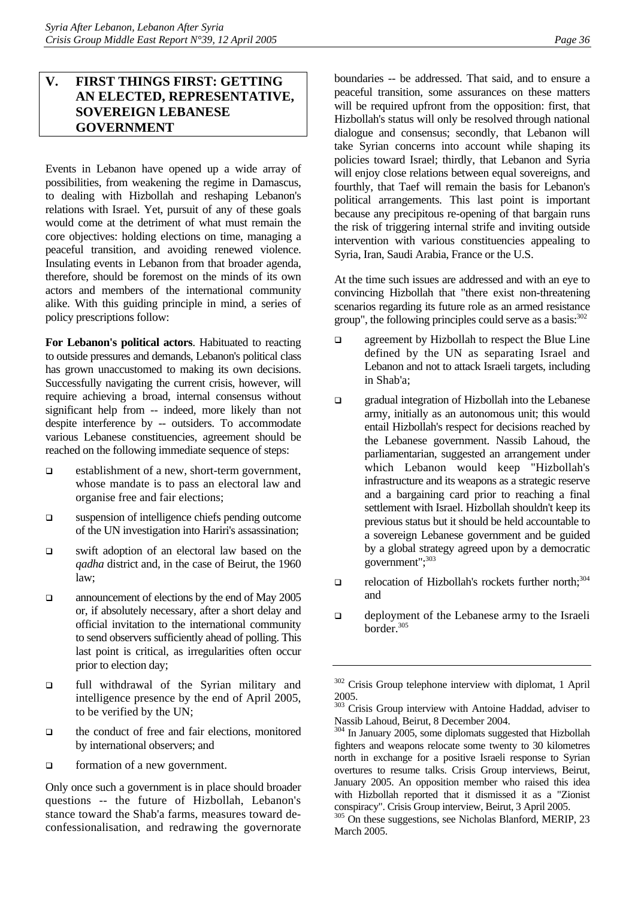# <span id="page-40-0"></span>**V. FIRST THINGS FIRST: GETTING AN ELECTED, REPRESENTATIVE, SOVEREIGN LEBANESE GOVERNMENT**

Events in Lebanon have opened up a wide array of possibilities, from weakening the regime in Damascus, to dealing with Hizbollah and reshaping Lebanon's relations with Israel. Yet, pursuit of any of these goals would come at the detriment of what must remain the core objectives: holding elections on time, managing a peaceful transition, and avoiding renewed violence. Insulating events in Lebanon from that broader agenda, therefore, should be foremost on the minds of its own actors and members of the international community alike. With this guiding principle in mind, a series of policy prescriptions follow:

**For Lebanon's political actors**. Habituated to reacting to outside pressures and demands, Lebanon's political class has grown unaccustomed to making its own decisions. Successfully navigating the current crisis, however, will require achieving a broad, internal consensus without significant help from -- indeed, more likely than not despite interference by -- outsiders. To accommodate various Lebanese constituencies, agreement should be reached on the following immediate sequence of steps:

- □ establishment of a new, short-term government, whose mandate is to pass an electoral law and organise free and fair elections;
- suspension of intelligence chiefs pending outcome of the UN investigation into Hariri's assassination;
- swift adoption of an electoral law based on the *qadha* district and, in the case of Beirut, the 1960 law;
- announcement of elections by the end of May 2005 or, if absolutely necessary, after a short delay and official invitation to the international community to send observers sufficiently ahead of polling. This last point is critical, as irregularities often occur prior to election day;
- full withdrawal of the Syrian military and intelligence presence by the end of April 2005, to be verified by the UN;
- $\Box$  the conduct of free and fair elections, monitored by international observers; and
- formation of a new government.

Only once such a government is in place should broader questions -- the future of Hizbollah, Lebanon's stance toward the Shab'a farms, measures toward deconfessionalisation, and redrawing the governorate boundaries -- be addressed. That said, and to ensure a peaceful transition, some assurances on these matters will be required upfront from the opposition: first, that Hizbollah's status will only be resolved through national dialogue and consensus; secondly, that Lebanon will take Syrian concerns into account while shaping its policies toward Israel; thirdly, that Lebanon and Syria will enjoy close relations between equal sovereigns, and fourthly, that Taef will remain the basis for Lebanon's political arrangements. This last point is important because any precipitous re-opening of that bargain runs the risk of triggering internal strife and inviting outside intervention with various constituencies appealing to

At the time such issues are addressed and with an eye to convincing Hizbollah that "there exist non-threatening scenarios regarding its future role as an armed resistance group", the following principles could serve as a basis: $302$ 

Syria, Iran, Saudi Arabia, France or the U.S.

- $\Box$  agreement by Hizbollah to respect the Blue Line defined by the UN as separating Israel and Lebanon and not to attack Israeli targets, including in Shab'a;
- gradual integration of Hizbollah into the Lebanese army, initially as an autonomous unit; this would entail Hizbollah's respect for decisions reached by the Lebanese government. Nassib Lahoud, the parliamentarian, suggested an arrangement under which Lebanon would keep "Hizbollah's infrastructure and its weapons as a strategic reserve and a bargaining card prior to reaching a final settlement with Israel. Hizbollah shouldn't keep its previous status but it should be held accountable to a sovereign Lebanese government and be guided by a global strategy agreed upon by a democratic government"[;303](#page-40-2)
- $\Box$  relocation of Hizbollah's rockets further north;<sup>304</sup> and
- deployment of the Lebanese army to the Israeli border.[305](#page-40-4)

<span id="page-40-1"></span><sup>302</sup> Crisis Group telephone interview with diplomat, 1 April 2005.

<span id="page-40-2"></span><sup>&</sup>lt;sup>303</sup> Crisis Group interview with Antoine Haddad, adviser to Nassib Lahoud, Beirut, 8 December 2004.

<span id="page-40-3"></span><sup>&</sup>lt;sup>304</sup> In January 2005, some diplomats suggested that Hizbollah fighters and weapons relocate some twenty to 30 kilometres north in exchange for a positive Israeli response to Syrian overtures to resume talks. Crisis Group interviews, Beirut, January 2005. An opposition member who raised this idea with Hizbollah reported that it dismissed it as a "Zionist conspiracy". Crisis Group interview, Beirut, 3 April 2005.

<span id="page-40-4"></span><sup>&</sup>lt;sup>305</sup> On these suggestions, see Nicholas Blanford, MERIP, 23 March 2005.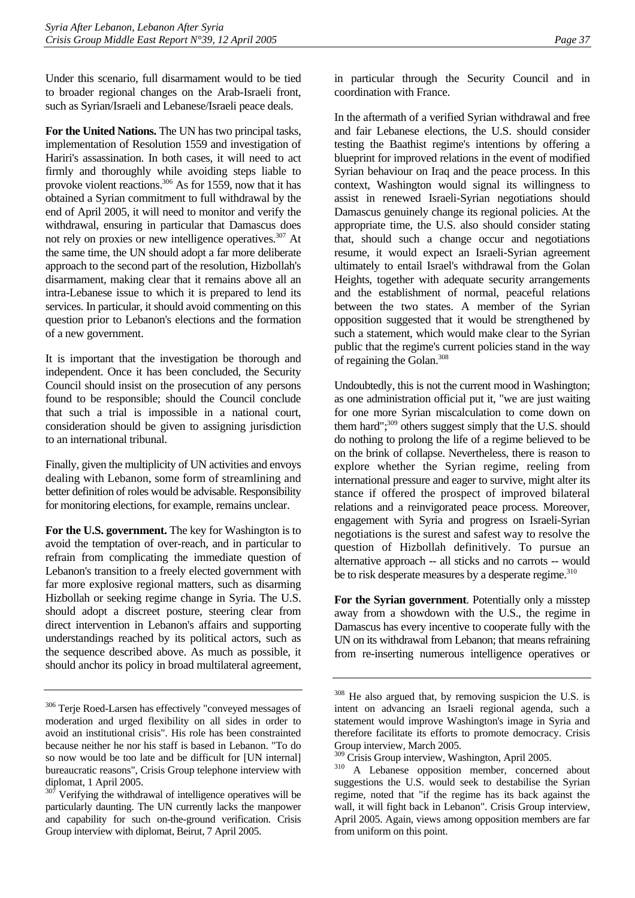Under this scenario, full disarmament would to be tied to broader regional changes on the Arab-Israeli front, such as Syrian/Israeli and Lebanese/Israeli peace deals.

**For the United Nations.** The UN has two principal tasks, implementation of Resolution 1559 and investigation of Hariri's assassination. In both cases, it will need to act firmly and thoroughly while avoiding steps liable to provoke violent reactions.<sup>306</sup> As for 1559, now that it has obtained a Syrian commitment to full withdrawal by the end of April 2005, it will need to monitor and verify the withdrawal, ensuring in particular that Damascus does not rely on proxies or new intelligence operatives.<sup>307</sup> At the same time, the UN should adopt a far more deliberate approach to the second part of the resolution, Hizbollah's disarmament, making clear that it remains above all an intra-Lebanese issue to which it is prepared to lend its services. In particular, it should avoid commenting on this question prior to Lebanon's elections and the formation of a new government.

It is important that the investigation be thorough and independent. Once it has been concluded, the Security Council should insist on the prosecution of any persons found to be responsible; should the Council conclude that such a trial is impossible in a national court, consideration should be given to assigning jurisdiction to an international tribunal.

Finally, given the multiplicity of UN activities and envoys dealing with Lebanon, some form of streamlining and better definition of roles would be advisable. Responsibility for monitoring elections, for example, remains unclear.

For the U.S. government. The key for Washington is to avoid the temptation of over-reach, and in particular to refrain from complicating the immediate question of Lebanon's transition to a freely elected government with far more explosive regional matters, such as disarming Hizbollah or seeking regime change in Syria. The U.S. should adopt a discreet posture, steering clear from direct intervention in Lebanon's affairs and supporting understandings reached by its political actors, such as the sequence described above. As much as possible, it should anchor its policy in broad multilateral agreement, in particular through the Security Council and in coordination with France.

In the aftermath of a verified Syrian withdrawal and free and fair Lebanese elections, the U.S. should consider testing the Baathist regime's intentions by offering a blueprint for improved relations in the event of modified Syrian behaviour on Iraq and the peace process. In this context, Washington would signal its willingness to assist in renewed Israeli-Syrian negotiations should Damascus genuinely change its regional policies. At the appropriate time, the U.S. also should consider stating that, should such a change occur and negotiations resume, it would expect an Israeli-Syrian agreement ultimately to entail Israel's withdrawal from the Golan Heights, together with adequate security arrangements and the establishment of normal, peaceful relations between the two states. A member of the Syrian opposition suggested that it would be strengthened by such a statement, which would make clear to the Syrian public that the regime's current policies stand in the way of regaining the Golan.[308](#page-41-2) 

Undoubtedly, this is not the current mood in Washington; as one administration official put it, "we are just waiting for one more Syrian miscalculation to come down on them hard"; $309$  others suggest simply that the U.S. should do nothing to prolong the life of a regime believed to be on the brink of collapse. Nevertheless, there is reason to explore whether the Syrian regime, reeling from international pressure and eager to survive, might alter its stance if offered the prospect of improved bilateral relations and a reinvigorated peace process. Moreover, engagement with Syria and progress on Israeli-Syrian negotiations is the surest and safest way to resolve the question of Hizbollah definitively. To pursue an alternative approach -- all sticks and no carrots -- would be to risk desperate measures by a desperate regime.<sup>310</sup>

**For the Syrian government**. Potentially only a misstep away from a showdown with the U.S., the regime in Damascus has every incentive to cooperate fully with the UN on its withdrawal from Lebanon; that means refraining from re-inserting numerous intelligence operatives or

<span id="page-41-0"></span><sup>306</sup> Terje Roed-Larsen has effectively "conveyed messages of moderation and urged flexibility on all sides in order to avoid an institutional crisis". His role has been constrainted because neither he nor his staff is based in Lebanon. "To do so now would be too late and be difficult for [UN internal] bureaucratic reasons", Crisis Group telephone interview with diplomat, 1 April 2005.

<span id="page-41-1"></span> $307$  Verifying the withdrawal of intelligence operatives will be particularly daunting. The UN currently lacks the manpower and capability for such on-the-ground verification. Crisis Group interview with diplomat, Beirut, 7 April 2005.

<span id="page-41-2"></span><sup>&</sup>lt;sup>308</sup> He also argued that, by removing suspicion the U.S. is intent on advancing an Israeli regional agenda, such a statement would improve Washington's image in Syria and therefore facilitate its efforts to promote democracy. Crisis Group interview, March 2005.<br><sup>309</sup> Crisis Group interview, Washington, April 2005.

<span id="page-41-3"></span>

<span id="page-41-4"></span><sup>&</sup>lt;sup>310</sup> A Lebanese opposition member, concerned about suggestions the U.S. would seek to destabilise the Syrian regime, noted that "if the regime has its back against the wall, it will fight back in Lebanon". Crisis Group interview, April 2005. Again, views among opposition members are far from uniform on this point.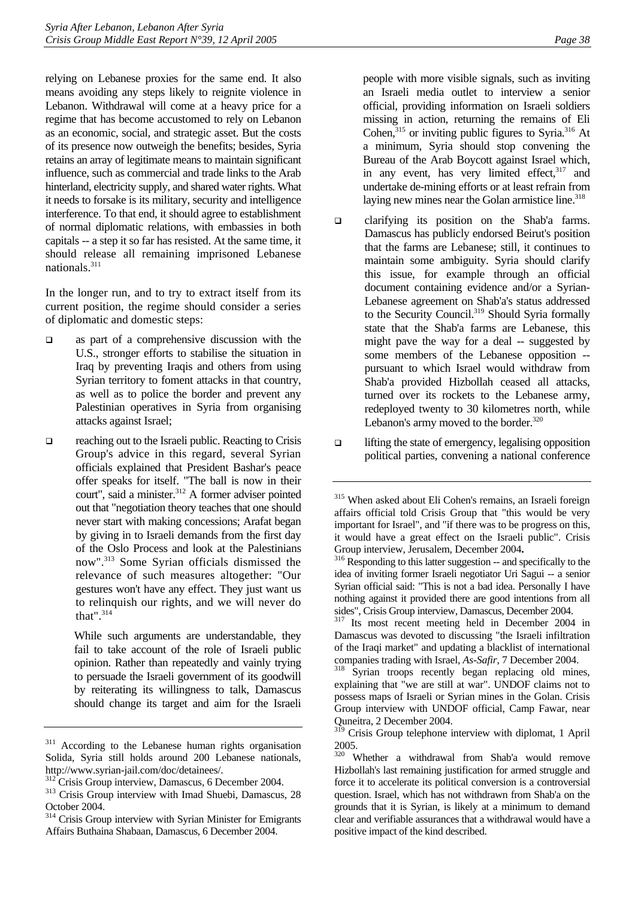relying on Lebanese proxies for the same end. It also means avoiding any steps likely to reignite violence in Lebanon. Withdrawal will come at a heavy price for a regime that has become accustomed to rely on Lebanon as an economic, social, and strategic asset. But the costs of its presence now outweigh the benefits; besides, Syria retains an array of legitimate means to maintain significant influence, such as commercial and trade links to the Arab hinterland, electricity supply, and shared water rights. What it needs to forsake is its military, security and intelligence interference. To that end, it should agree to establishment of normal diplomatic relations, with embassies in both capitals -- a step it so far has resisted. At the same time, it should release all remaining imprisoned Lebanese nationals.[311](#page-42-0) 

In the longer run, and to try to extract itself from its current position, the regime should consider a series of diplomatic and domestic steps:

- as part of a comprehensive discussion with the U.S., stronger efforts to stabilise the situation in Iraq by preventing Iraqis and others from using Syrian territory to foment attacks in that country, as well as to police the border and prevent any Palestinian operatives in Syria from organising attacks against Israel;
- □ reaching out to the Israeli public. Reacting to Crisis Group's advice in this regard, several Syrian officials explained that President Bashar's peace offer speaks for itself. "The ball is now in their court", said a minister.<sup>312</sup> A former adviser pointed out that "negotiation theory teaches that one should never start with making concessions; Arafat began by giving in to Israeli demands from the first day of the Oslo Process and look at the Palestinians now".[313](#page-42-2) Some Syrian officials dismissed the relevance of such measures altogether: "Our gestures won't have any effect. They just want us to relinquish our rights, and we will never do that". $314$

While such arguments are understandable, they fail to take account of the role of Israeli public opinion. Rather than repeatedly and vainly trying to persuade the Israeli government of its goodwill by reiterating its willingness to talk, Damascus should change its target and aim for the Israeli

people with more visible signals, such as inviting an Israeli media outlet to interview a senior official, providing information on Israeli soldiers missing in action, returning the remains of Eli Cohen, $315$  or inviting public figures to Syria. $316$  At a minimum, Syria should stop convening the Bureau of the Arab Boycott against Israel which, in any event, has very limited effect, $317$  and undertake de-mining efforts or at least refrain from laying new mines near the Golan armistice line. $318$ 

- clarifying its position on the Shab'a farms. Damascus has publicly endorsed Beirut's position that the farms are Lebanese; still, it continues to maintain some ambiguity. Syria should clarify this issue, for example through an official document containing evidence and/or a Syrian-Lebanese agreement on Shab'a's status addressed to the Security Council.<sup>319</sup> Should Syria formally state that the Shab'a farms are Lebanese, this might pave the way for a deal -- suggested by some members of the Lebanese opposition - pursuant to which Israel would withdraw from Shab'a provided Hizbollah ceased all attacks, turned over its rockets to the Lebanese army, redeployed twenty to 30 kilometres north, while Lebanon's army moved to the border. $320$
- $\Box$  lifting the state of emergency, legalising opposition political parties, convening a national conference

<span id="page-42-0"></span><sup>&</sup>lt;sup>311</sup> According to the Lebanese human rights organisation Solida, Syria still holds around 200 Lebanese nationals, http://www.syrian-jail.com/doc/detainees/.

<span id="page-42-2"></span><span id="page-42-1"></span>

 $312$  Crisis Group interview, Damascus, 6 December 2004.  $313$  Crisis Group interview with Imad Shuebi, Damascus, 28 October 2004.

<span id="page-42-3"></span><sup>&</sup>lt;sup>314</sup> Crisis Group interview with Syrian Minister for Emigrants Affairs Buthaina Shabaan, Damascus, 6 December 2004.

<span id="page-42-4"></span><sup>315</sup> When asked about Eli Cohen's remains, an Israeli foreign affairs official told Crisis Group that "this would be very important for Israel", and "if there was to be progress on this, it would have a great effect on the Israeli public". Crisis Group interview, Jerusalem, December 2004.<br><sup>316</sup> Responding to this latter suggestion -- and specifically to the

<span id="page-42-5"></span>idea of inviting former Israeli negotiator Uri Sagui -- a senior Syrian official said: "This is not a bad idea. Personally I have nothing against it provided there are good intentions from all sides", Crisis Group interview, Damascus, December 2004. 317 Its most recent meeting held in December 2004 in

<span id="page-42-6"></span>Damascus was devoted to discussing "the Israeli infiltration of the Iraqi market" and updating a blacklist of international companies trading with Israel, *As-Safir*, 7 December 2004.<br><sup>318</sup> Syrian troops recently began replacing old mines,

<span id="page-42-7"></span>explaining that "we are still at war". UNDOF claims not to possess maps of Israeli or Syrian mines in the Golan. Crisis Group interview with UNDOF official, Camp Fawar, near Quneitra, 2 December 2004.

<span id="page-42-8"></span><sup>&</sup>lt;sup>319</sup> Crisis Group telephone interview with diplomat, 1 April 2005.

<span id="page-42-9"></span>Whether a withdrawal from Shab'a would remove Hizbollah's last remaining justification for armed struggle and force it to accelerate its political conversion is a controversial question. Israel, which has not withdrawn from Shab'a on the grounds that it is Syrian, is likely at a minimum to demand clear and verifiable assurances that a withdrawal would have a positive impact of the kind described.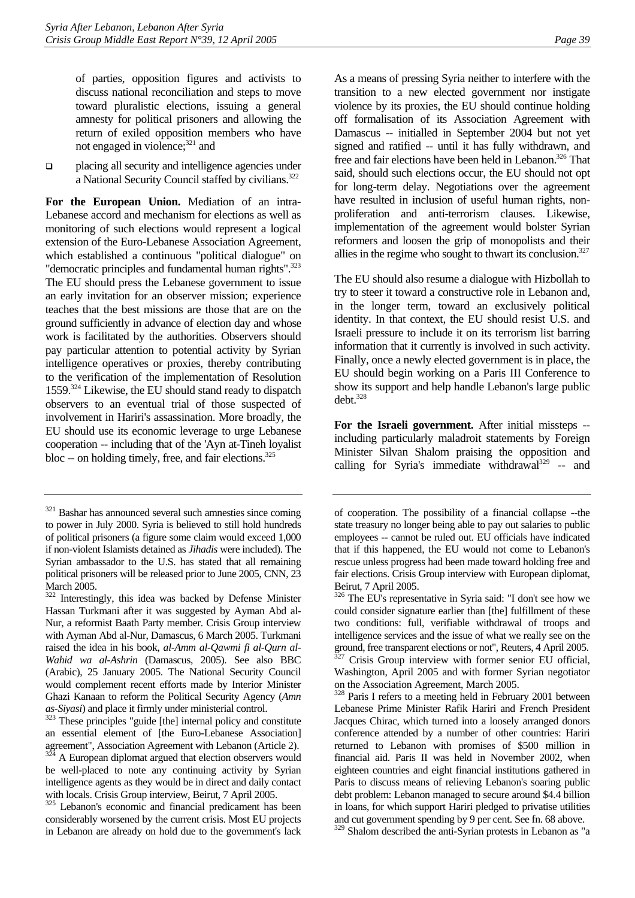of parties, opposition figures and activists to discuss national reconciliation and steps to move toward pluralistic elections, issuing a general amnesty for political prisoners and allowing the return of exiled opposition members who have not engaged in violence;<sup>321</sup> and

 placing all security and intelligence agencies under a National Security Council staffed by civilians.<sup>[322](#page-43-1)</sup>

**For the European Union.** Mediation of an intra-Lebanese accord and mechanism for elections as well as monitoring of such elections would represent a logical extension of the Euro-Lebanese Association Agreement, which established a continuous "political dialogue" on "democratic principles and fundamental human rights".<sup>323</sup> The EU should press the Lebanese government to issue an early invitation for an observer mission; experience teaches that the best missions are those that are on the ground sufficiently in advance of election day and whose work is facilitated by the authorities. Observers should pay particular attention to potential activity by Syrian intelligence operatives or proxies, thereby contributing to the verification of the implementation of Resolution 1559.[324 L](#page-43-3)ikewise, the EU should stand ready to dispatch observers to an eventual trial of those suspected of involvement in Hariri's assassination. More broadly, the EU should use its economic leverage to urge Lebanese cooperation -- including that of the 'Ayn at-Tineh loyalist bloc -- on holding timely, free, and fair elections. $325$ 

<span id="page-43-2"></span>*as-Siyasi*) and place it firmly under ministerial control. 323 These principles "guide [the] internal policy and constitute an essential element of [the Euro-Lebanese Association] agreement", Association Agreement with Lebanon (Article 2).

As a means of pressing Syria neither to interfere with the transition to a new elected government nor instigate violence by its proxies, the EU should continue holding off formalisation of its Association Agreement with Damascus -- initialled in September 2004 but not yet signed and ratified -- until it has fully withdrawn, and free and fair elections have been held in Lebanon.<sup>326</sup> That said, should such elections occur, the EU should not opt for long-term delay. Negotiations over the agreement have resulted in inclusion of useful human rights, nonproliferation and anti-terrorism clauses. Likewise, implementation of the agreement would bolster Syrian reformers and loosen the grip of monopolists and their allies in the regime who sought to thwart its conclusion.<sup>327</sup>

The EU should also resume a dialogue with Hizbollah to try to steer it toward a constructive role in Lebanon and, in the longer term, toward an exclusively political identity. In that context, the EU should resist U.S. and Israeli pressure to include it on its terrorism list barring information that it currently is involved in such activity. Finally, once a newly elected government is in place, the EU should begin working on a Paris III Conference to show its support and help handle Lebanon's large public debt.[328](#page-43-7) 

**For the Israeli government.** After initial missteps - including particularly maladroit statements by Foreign Minister Silvan Shalom praising the opposition and calling for Syria's immediate withdrawal<sup>329</sup> -- and

<span id="page-43-0"></span><sup>&</sup>lt;sup>321</sup> Bashar has announced several such amnesties since coming to power in July 2000. Syria is believed to still hold hundreds of political prisoners (a figure some claim would exceed 1,000 if non-violent Islamists detained as *Jihadis* were included). The Syrian ambassador to the U.S. has stated that all remaining political prisoners will be released prior to June 2005, CNN, 23 March 2005.

<span id="page-43-1"></span><sup>322</sup> Interestingly, this idea was backed by Defense Minister Hassan Turkmani after it was suggested by Ayman Abd al-Nur, a reformist Baath Party member. Crisis Group interview with Ayman Abd al-Nur, Damascus, 6 March 2005. Turkmani raised the idea in his book, *al-Amm al-Qawmi fi al-Qurn al-Wahid wa al-Ashrin* (Damascus, 2005). See also BBC (Arabic), 25 January 2005. The National Security Council would complement recent efforts made by Interior Minister Ghazi Kanaan to reform the Political Security Agency (*Amn* 

<span id="page-43-3"></span>A European diplomat argued that election observers would be well-placed to note any continuing activity by Syrian intelligence agents as they would be in direct and daily contact with locals. Crisis Group interview, Beirut, 7 April 2005.

<span id="page-43-4"></span><sup>&</sup>lt;sup>325</sup> Lebanon's economic and financial predicament has been considerably worsened by the current crisis. Most EU projects in Lebanon are already on hold due to the government's lack

of cooperation. The possibility of a financial collapse --the state treasury no longer being able to pay out salaries to public employees -- cannot be ruled out. EU officials have indicated that if this happened, the EU would not come to Lebanon's rescue unless progress had been made toward holding free and fair elections. Crisis Group interview with European diplomat, Beirut, 7 April 2005.

<span id="page-43-5"></span><sup>326</sup> The EU's representative in Syria said: "I don't see how we could consider signature earlier than [the] fulfillment of these two conditions: full, verifiable withdrawal of troops and intelligence services and the issue of what we really see on the ground, free transparent elections or not", Reuters, 4 April 2005.

<span id="page-43-6"></span> $327$  Crisis Group interview with former senior EU official, Washington, April 2005 and with former Syrian negotiator on the Association Agreement, March 2005.

<span id="page-43-7"></span><sup>&</sup>lt;sup>328</sup> Paris I refers to a meeting held in February 2001 between Lebanese Prime Minister Rafik Hariri and French President Jacques Chirac, which turned into a loosely arranged donors conference attended by a number of other countries: Hariri returned to Lebanon with promises of \$500 million in financial aid. Paris II was held in November 2002, when eighteen countries and eight financial institutions gathered in Paris to discuss means of relieving Lebanon's soaring public debt problem: Lebanon managed to secure around \$4.4 billion in loans, for which support Hariri pledged to privatise utilities and cut government spending by 9 per cent. See fn. 68 above.

<span id="page-43-8"></span><sup>&</sup>lt;sup>329</sup> Shalom described the anti-Syrian protests in Lebanon as "a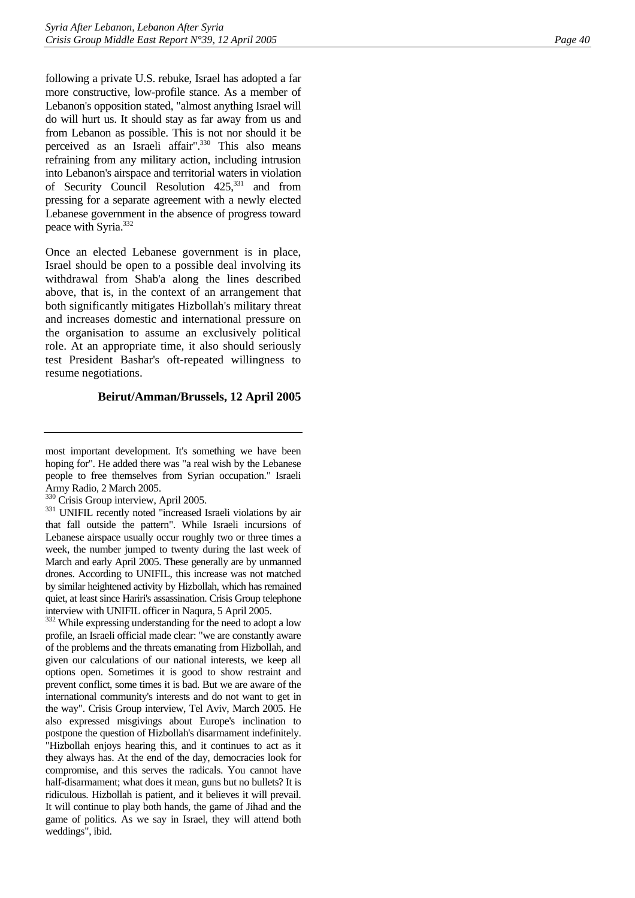following a private U.S. rebuke, Israel has adopted a far more constructive, low-profile stance. As a member of Lebanon's opposition stated, "almost anything Israel will do will hurt us. It should stay as far away from us and from Lebanon as possible. This is not nor should it be perceived as an Israeli affair".<sup>330</sup> This also means refraining from any military action, including intrusion into Lebanon's airspace and territorial waters in violation of Security Council Resolution 425[,331](#page-44-1) and from pressing for a separate agreement with a newly elected Lebanese government in the absence of progress toward peace with Syria.[332](#page-44-2)

Once an elected Lebanese government is in place, Israel should be open to a possible deal involving its withdrawal from Shab'a along the lines described above, that is, in the context of an arrangement that both significantly mitigates Hizbollah's military threat and increases domestic and international pressure on the organisation to assume an exclusively political role. At an appropriate time, it also should seriously test President Bashar's oft-repeated willingness to resume negotiations.

#### **Beirut/Amman/Brussels, 12 April 2005**

<span id="page-44-2"></span><sup>332</sup> While expressing understanding for the need to adopt a low profile, an Israeli official made clear: "we are constantly aware of the problems and the threats emanating from Hizbollah, and given our calculations of our national interests, we keep all options open. Sometimes it is good to show restraint and prevent conflict, some times it is bad. But we are aware of the international community's interests and do not want to get in the way". Crisis Group interview, Tel Aviv, March 2005. He also expressed misgivings about Europe's inclination to postpone the question of Hizbollah's disarmament indefinitely. "Hizbollah enjoys hearing this, and it continues to act as it they always has. At the end of the day, democracies look for compromise, and this serves the radicals. You cannot have half-disarmament; what does it mean, guns but no bullets? It is ridiculous. Hizbollah is patient, and it believes it will prevail. It will continue to play both hands, the game of Jihad and the game of politics. As we say in Israel, they will attend both weddings", ibid.

most important development. It's something we have been hoping for". He added there was "a real wish by the Lebanese people to free themselves from Syrian occupation." Israeli

<span id="page-44-0"></span>Army Radio, 2 March 2005.<br><sup>330</sup> Crisis Group interview, April 2005.

<span id="page-44-1"></span><sup>&</sup>lt;sup>331</sup> UNIFIL recently noted "increased Israeli violations by air that fall outside the pattern". While Israeli incursions of Lebanese airspace usually occur roughly two or three times a week, the number jumped to twenty during the last week of March and early April 2005. These generally are by unmanned drones. According to UNIFIL, this increase was not matched by similar heightened activity by Hizbollah, which has remained quiet, at least since Hariri's assassination. Crisis Group telephone interview with UNIFIL officer in Naqura, 5 April 2005.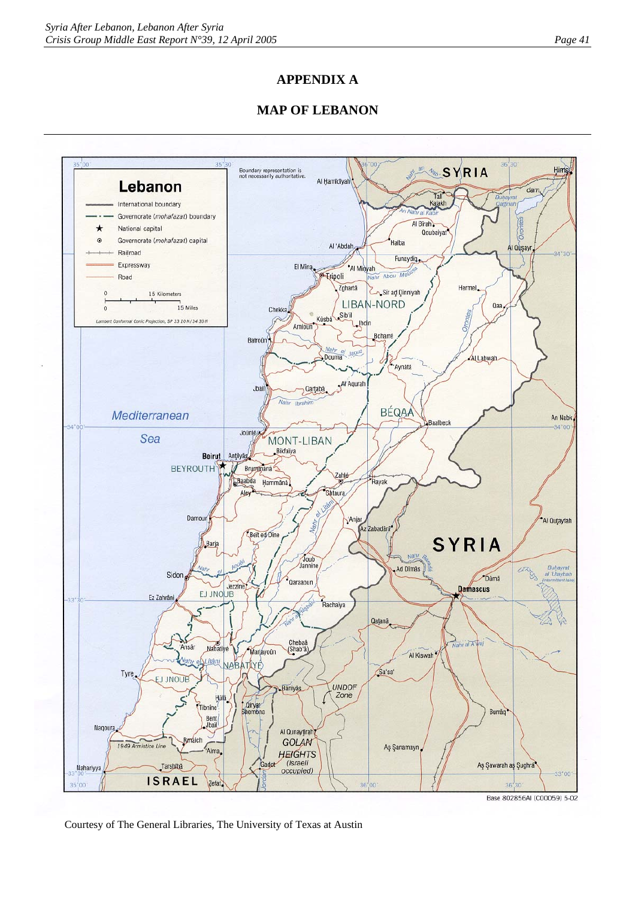# **APPENDIX A**

# **MAP OF LEBANON**



Courtesy of The General Libraries, The University of Texas at Austin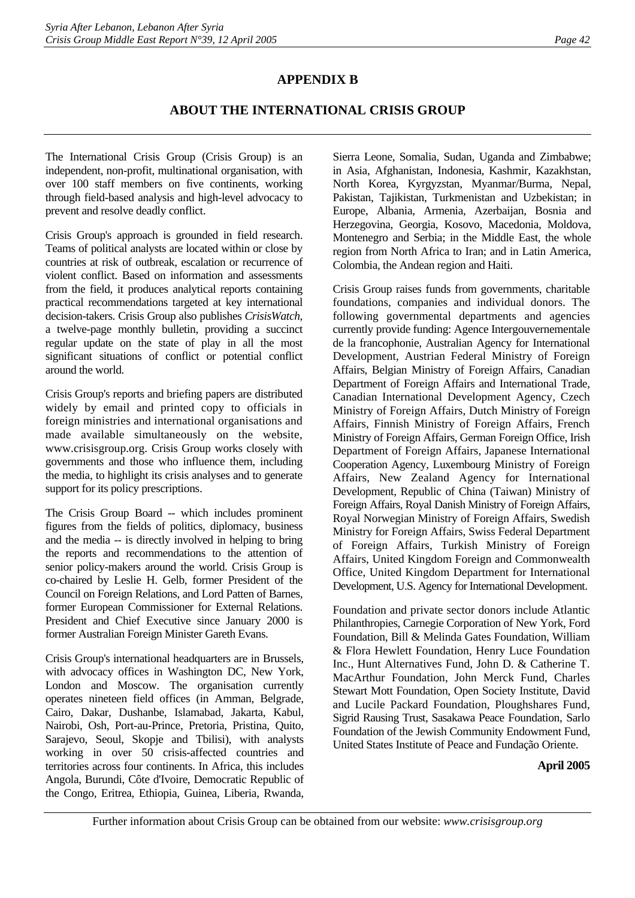# **APPENDIX B**

# **ABOUT THE INTERNATIONAL CRISIS GROUP**

The International Crisis Group (Crisis Group) is an independent, non-profit, multinational organisation, with over 100 staff members on five continents, working through field-based analysis and high-level advocacy to prevent and resolve deadly conflict.

Crisis Group's approach is grounded in field research. Teams of political analysts are located within or close by countries at risk of outbreak, escalation or recurrence of violent conflict. Based on information and assessments from the field, it produces analytical reports containing practical recommendations targeted at key international decision-takers. Crisis Group also publishes *CrisisWatch*, a twelve-page monthly bulletin, providing a succinct regular update on the state of play in all the most significant situations of conflict or potential conflict around the world.

Crisis Group's reports and briefing papers are distributed widely by email and printed copy to officials in foreign ministries and international organisations and made available simultaneously on the website, www.crisisgroup.org. Crisis Group works closely with governments and those who influence them, including the media, to highlight its crisis analyses and to generate support for its policy prescriptions.

The Crisis Group Board -- which includes prominent figures from the fields of politics, diplomacy, business and the media -- is directly involved in helping to bring the reports and recommendations to the attention of senior policy-makers around the world. Crisis Group is co-chaired by Leslie H. Gelb, former President of the Council on Foreign Relations, and Lord Patten of Barnes, former European Commissioner for External Relations. President and Chief Executive since January 2000 is former Australian Foreign Minister Gareth Evans.

Crisis Group's international headquarters are in Brussels, with advocacy offices in Washington DC, New York, London and Moscow. The organisation currently operates nineteen field offices (in Amman, Belgrade, Cairo, Dakar, Dushanbe, Islamabad, Jakarta, Kabul, Nairobi, Osh, Port-au-Prince, Pretoria, Pristina, Quito, Sarajevo, Seoul, Skopje and Tbilisi), with analysts working in over 50 crisis-affected countries and territories across four continents. In Africa, this includes Angola, Burundi, Côte d'Ivoire, Democratic Republic of the Congo, Eritrea, Ethiopia, Guinea, Liberia, Rwanda,

Sierra Leone, Somalia, Sudan, Uganda and Zimbabwe; in Asia, Afghanistan, Indonesia, Kashmir, Kazakhstan, North Korea, Kyrgyzstan, Myanmar/Burma, Nepal, Pakistan, Tajikistan, Turkmenistan and Uzbekistan; in Europe, Albania, Armenia, Azerbaijan, Bosnia and Herzegovina, Georgia, Kosovo, Macedonia, Moldova, Montenegro and Serbia; in the Middle East, the whole region from North Africa to Iran; and in Latin America, Colombia, the Andean region and Haiti.

Crisis Group raises funds from governments, charitable foundations, companies and individual donors. The following governmental departments and agencies currently provide funding: Agence Intergouvernementale de la francophonie, Australian Agency for International Development, Austrian Federal Ministry of Foreign Affairs, Belgian Ministry of Foreign Affairs, Canadian Department of Foreign Affairs and International Trade, Canadian International Development Agency, Czech Ministry of Foreign Affairs, Dutch Ministry of Foreign Affairs, Finnish Ministry of Foreign Affairs, French Ministry of Foreign Affairs, German Foreign Office, Irish Department of Foreign Affairs, Japanese International Cooperation Agency, Luxembourg Ministry of Foreign Affairs, New Zealand Agency for International Development, Republic of China (Taiwan) Ministry of Foreign Affairs, Royal Danish Ministry of Foreign Affairs, Royal Norwegian Ministry of Foreign Affairs, Swedish Ministry for Foreign Affairs, Swiss Federal Department of Foreign Affairs, Turkish Ministry of Foreign Affairs, United Kingdom Foreign and Commonwealth Office, United Kingdom Department for International Development, U.S. Agency for International Development.

Foundation and private sector donors include Atlantic Philanthropies, Carnegie Corporation of New York, Ford Foundation, Bill & Melinda Gates Foundation, William & Flora Hewlett Foundation, Henry Luce Foundation Inc., Hunt Alternatives Fund, John D. & Catherine T. MacArthur Foundation, John Merck Fund, Charles Stewart Mott Foundation, Open Society Institute, David and Lucile Packard Foundation, Ploughshares Fund, Sigrid Rausing Trust, Sasakawa Peace Foundation, Sarlo Foundation of the Jewish Community Endowment Fund, United States Institute of Peace and Fundação Oriente.

#### **April 2005**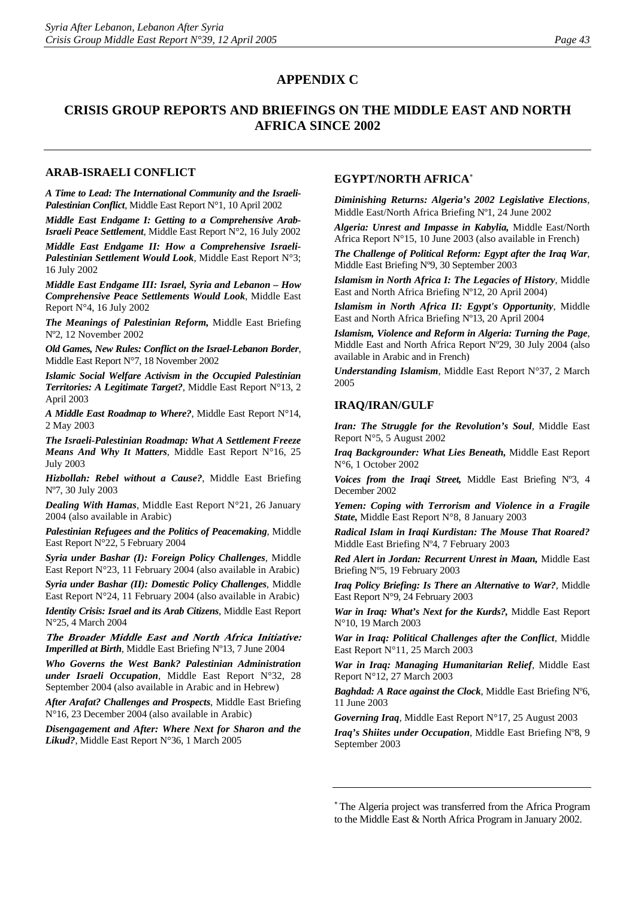# **CRISIS GROUP REPORTS AND BRIEFINGS ON THE MIDDLE EAST AND NORTH AFRICA SINCE 2002**

#### **ARAB-ISRAELI CONFLICT**

*A Time to Lead: The International Community and the Israeli-Palestinian Conflict*, Middle East Report N°1, 10 April 2002

*Middle East Endgame I: Getting to a Comprehensive Arab-Israeli Peace Settlement*, Middle East Report N°2, 16 July 2002 *Middle East Endgame II: How a Comprehensive Israeli-Palestinian Settlement Would Look*, Middle East Report N°3; 16 July 2002

*Middle East Endgame III: Israel, Syria and Lebanon – How Comprehensive Peace Settlements Would Look*, Middle East Report N°4, 16 July 2002

*The Meanings of Palestinian Reform,* Middle East Briefing Nº2, 12 November 2002

*Old Games, New Rules: Conflict on the Israel-Lebanon Border*, Middle East Report N°7, 18 November 2002

*Islamic Social Welfare Activism in the Occupied Palestinian Territories: A Legitimate Target?*, Middle East Report N°13, 2 April 2003

*A Middle East Roadmap to Where?*, Middle East Report N°14, 2 May 2003

*The Israeli-Palestinian Roadmap: What A Settlement Freeze Means And Why It Matters*, Middle East Report N°16, 25 July 2003

*Hizbollah: Rebel without a Cause?*, Middle East Briefing Nº7, 30 July 2003

*Dealing With Hamas*, Middle East Report N°21, 26 January 2004 (also available in Arabic)

*Palestinian Refugees and the Politics of Peacemaking*, Middle East Report N°22, 5 February 2004

*Syria under Bashar (I): Foreign Policy Challenges*, Middle East Report N°23, 11 February 2004 (also available in Arabic)

*Syria under Bashar (II): Domestic Policy Challenges*, Middle East Report N°24, 11 February 2004 (also available in Arabic)

*Identity Crisis: Israel and its Arab Citizens*, Middle East Report N°25, 4 March 2004

**The Broader Middle East and North Africa Initiative:**  *Imperilled at Birth*, Middle East Briefing Nº13, 7 June 2004

*Who Governs the West Bank? Palestinian Administration under Israeli Occupation*, Middle East Report N°32, 28 September 2004 (also available in Arabic and in Hebrew)

*After Arafat? Challenges and Prospects*, Middle East Briefing N°16, 23 December 2004 (also available in Arabic)

*Disengagement and After: Where Next for Sharon and the Likud?*, Middle East Report N°36, 1 March 2005

#### **EGYPT/NORTH AFRICA**[∗](#page-47-0)

*Diminishing Returns: Algeria's 2002 Legislative Elections*, Middle East/North Africa Briefing Nº1, 24 June 2002

*Algeria: Unrest and Impasse in Kabylia,* Middle East/North Africa Report N°15, 10 June 2003 (also available in French)

*The Challenge of Political Reform: Egypt after the Iraq War*, Middle East Briefing Nº9, 30 September 2003

*Islamism in North Africa I: The Legacies of History*, Middle East and North Africa Briefing Nº12, 20 April 2004)

*Islamism in North Africa II: Egypt's Opportunity*, Middle East and North Africa Briefing Nº13, 20 April 2004

*Islamism, Violence and Reform in Algeria: Turning the Page*, Middle East and North Africa Report Nº29, 30 July 2004 (also available in Arabic and in French)

*Understanding Islamism*, Middle East Report N°37, 2 March 2005

#### **[IRAQ/IRAN/GULF](http://www.crisisweb.org/home/index.cfm?id=1275&l=1)**

*Iran: The Struggle for the Revolution's Soul*, Middle East Report N°5, 5 August 2002

*Iraq Backgrounder: What Lies Beneath,* Middle East Report N°6, 1 October 2002

*Voices from the Iraqi Street,* Middle East Briefing Nº3, 4 December 2002

*[Yemen: Coping with Terrorism and Violence in a Fragile](http://www.crisisweb.org/projects/showreport.cfm?reportid=863)  [State,](http://www.crisisweb.org/projects/showreport.cfm?reportid=863)* Middle East Report N°8, 8 January 2003

*Radical Islam in Iraqi Kurdistan: The Mouse That Roared?* Middle East Briefing Nº4, 7 February 2003

*Red Alert in Jordan: Recurrent Unrest in Maan,* Middle East Briefing Nº5, 19 February 2003

*Iraq Policy Briefing: Is There an Alternative to War?*, Middle East Report N°9, 24 February 2003

*War in Iraq: What's Next for the Kurds?,* Middle East Report N°10, 19 March 2003

*War in Iraq: Political Challenges after the Conflict*, Middle East Report N°11, 25 March 2003

*War in Iraq: Managing Humanitarian Relief,* Middle East Report N°12, 27 March 2003

*Baghdad: A Race against the Clock*, Middle East Briefing Nº6, 11 June 2003

*Governing Iraq*, Middle East Report N°17, 25 August 2003

*Iraq's Shiites under Occupation*, Middle East Briefing Nº8, 9 September 2003

<span id="page-47-0"></span><sup>∗</sup> The Algeria project was transferred from the Africa Program to the Middle East & North Africa Program in January 2002.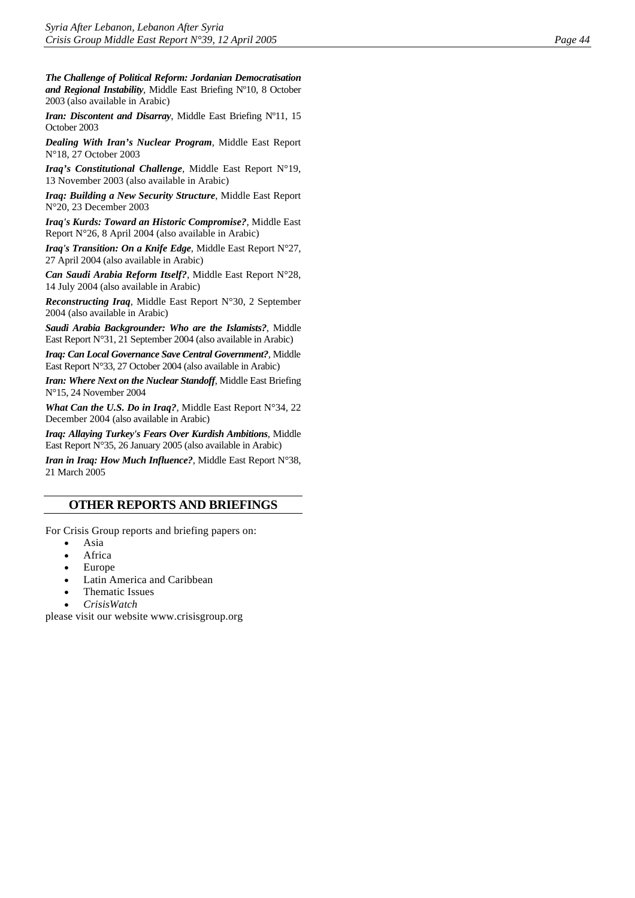*The Challenge of Political Reform: Jordanian Democratisation and Regional Instability*, Middle East Briefing Nº10, 8 October 2003 (also available in Arabic)

*Iran: Discontent and Disarray*, Middle East Briefing N°11, 15 October 2003

*Dealing With Iran's Nuclear Program*, Middle East Report N°18, 27 October 2003

*Iraq's Constitutional Challenge*, Middle East Report N°19, 13 November 2003 (also available in Arabic)

*Iraq: Building a New Security Structure*, Middle East Report N°20, 23 December 2003

*Iraq's Kurds: Toward an Historic Compromise?*, Middle East Report N°26, 8 April 2004 (also available in Arabic)

*Iraq's Transition: On a Knife Edge*, Middle East Report N°27, 27 April 2004 (also available in Arabic)

*Can Saudi Arabia Reform Itself?*, Middle East Report N°28, 14 July 2004 (also available in Arabic)

*Reconstructing Iraq*, Middle East Report N°30, 2 September 2004 (also available in Arabic)

*Saudi Arabia Backgrounder: Who are the Islamists?*, Middle East Report N°31, 21 September 2004 (also available in Arabic)

*Iraq: Can Local Governance Save Central Government?*, Middle East Report N°33, 27 October 2004 (also available in Arabic)

*Iran: Where Next on the Nuclear Standoff*, Middle East Briefing N°15, 24 November 2004

*What Can the U.S. Do in Iraq?*, Middle East Report N°34, 22 December 2004 (also available in Arabic)

*Iraq: Allaying Turkey's Fears Over Kurdish Ambitions*, Middle East Report N°35, 26 January 2005 (also available in Arabic)

*Iran in Iraq: How Much Influence?*, Middle East Report N°38, 21 March 2005

# **OTHER REPORTS AND BRIEFINGS**

For Crisis Group reports and briefing papers on:

- Asia
- **Africa**
- Europe
- Latin America and Caribbean
- Thematic Issues
- *CrisisWatch*

please visit our website [www.crisisgroup.org](http://www.crisisgroup.org/)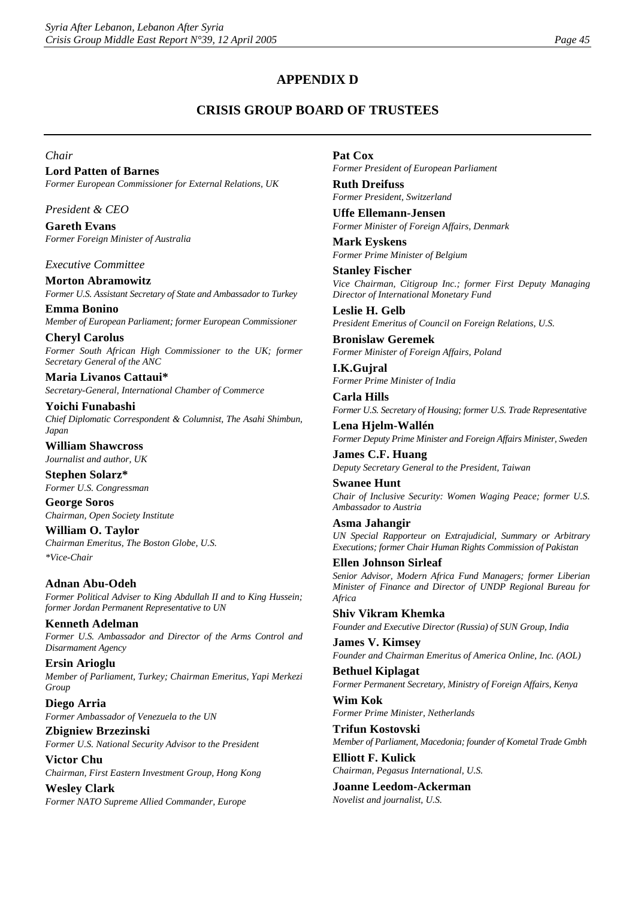# **APPENDIX D**

# **CRISIS GROUP BOARD OF TRUSTEES**

#### *Chair*

**Lord Patten of Barnes**  *Former European Commissioner for External Relations, UK* 

*President & CEO* 

**Gareth Evans**  *Former Foreign Minister of Australia* 

*Executive Committee* 

**Morton Abramowitz**  *Former U.S. Assistant Secretary of State and Ambassador to Turkey* 

**Emma Bonino**  *Member of European Parliament; former European Commissioner* 

**Cheryl Carolus**  *Former South African High Commissioner to the UK; former Secretary General of the ANC* 

**Maria Livanos Cattaui\***  *Secretary-General, International Chamber of Commerce* 

**Yoichi Funabashi**  *Chief Diplomatic Correspondent & Columnist, The Asahi Shimbun, Japan* 

**William Shawcross**  *Journalist and author, UK* 

**Stephen Solarz\***  *Former U.S. Congressman* 

**George Soros**  *Chairman, Open Society Institute* 

**William O. Taylor**  *Chairman Emeritus, The Boston Globe, U.S. \*Vice-Chair* 

**Adnan Abu-Odeh**  *Former Political Adviser to King Abdullah II and to King Hussein; former Jordan Permanent Representative to UN* 

**Kenneth Adelman**  *Former U.S. Ambassador and Director of the Arms Control and Disarmament Agency* 

**Ersin Arioglu**  *Member of Parliament, Turkey; Chairman Emeritus, Yapi Merkezi Group* 

**Diego Arria**  *Former Ambassador of Venezuela to the UN* 

**Zbigniew Brzezinski**  *Former U.S. National Security Advisor to the President*  **Victor Chu** 

*Chairman, First Eastern Investment Group, Hong Kong* 

**Wesley Clark**  *Former NATO Supreme Allied Commander, Europe*  **Pat Cox** 

*Former President of European Parliament* 

**Ruth Dreifuss**  *Former President, Switzerland* 

**Uffe Ellemann-Jensen**  *Former Minister of Foreign Affairs, Denmark* 

**Mark Eyskens**  *Former Prime Minister of Belgium* 

**Stanley Fischer**  *Vice Chairman, Citigroup Inc.; former First Deputy Managing Director of International Monetary Fund* 

**Leslie H. Gelb**  *President Emeritus of Council on Foreign Relations, U.S.* 

**Bronislaw Geremek**  *Former Minister of Foreign Affairs, Poland* 

**I.K.Gujral**  *Former Prime Minister of India* 

**Carla Hills**  *Former U.S. Secretary of Housing; former U.S. Trade Representative* 

**Lena Hjelm-Wallén**  *Former Deputy Prime Minister and Foreign Affairs Minister, Sweden* 

**James C.F. Huang**  *Deputy Secretary General to the President, Taiwan* 

**Swanee Hunt**  *Chair of Inclusive Security: Women Waging Peace; former U.S. Ambassador to Austria* 

**Asma Jahangir**  *UN Special Rapporteur on Extrajudicial, Summary or Arbitrary Executions; former Chair Human Rights Commission of Pakistan* 

**Ellen Johnson Sirleaf**  *Senior Advisor, Modern Africa Fund Managers; former Liberian Minister of Finance and Director of UNDP Regional Bureau for Africa* 

**Shiv Vikram Khemka**  *Founder and Executive Director (Russia) of SUN Group, India* 

**James V. Kimsey**  *Founder and Chairman Emeritus of America Online, Inc. (AOL)* 

**Bethuel Kiplagat**  *Former Permanent Secretary, Ministry of Foreign Affairs, Kenya* 

**Wim Kok**  *Former Prime Minister, Netherlands* 

**Trifun Kostovski**  *Member of Parliament, Macedonia; founder of Kometal Trade Gmbh* 

**Elliott F. Kulick**  *Chairman, Pegasus International, U.S.* 

**Joanne Leedom-Ackerman**  *Novelist and journalist, U.S.*